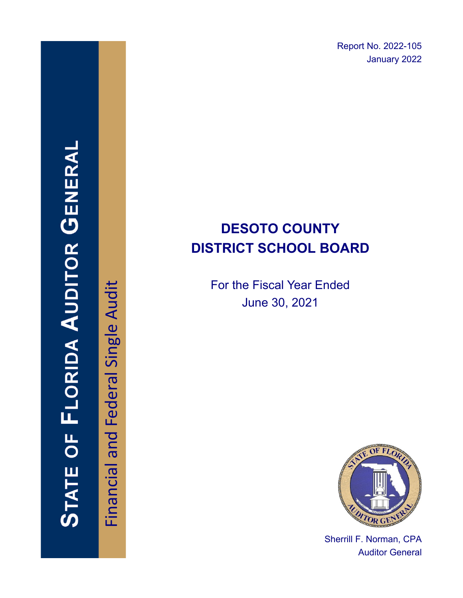Report No. 2022-105 January 2022

# STATE OF FLORIDA AUDITOR GENERAI

Financial and Federal Single Audit Financial and Federal Single Audit

# **DESOTO COUNTY DISTRICT SCHOOL BOARD**

For the Fiscal Year Ended June 30, 2021



Sherrill F. Norman, CPA Auditor General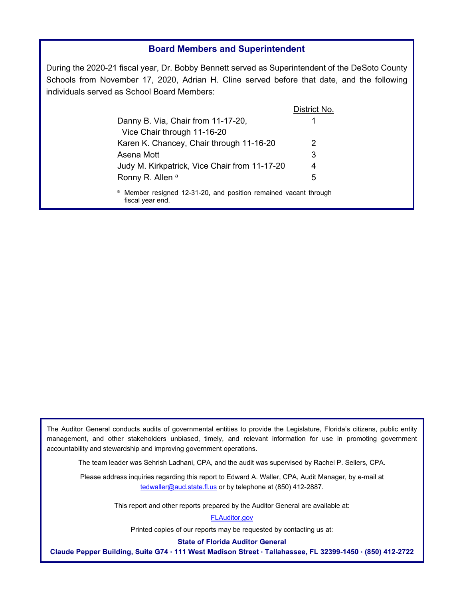#### **Board Members and Superintendent**

During the 2020-21 fiscal year, Dr. Bobby Bennett served as Superintendent of the DeSoto County Schools from November 17, 2020, Adrian H. Cline served before that date, and the following individuals served as School Board Members:

|                                                                                         | District No. |
|-----------------------------------------------------------------------------------------|--------------|
| Danny B. Via, Chair from 11-17-20,                                                      | 1            |
| Vice Chair through 11-16-20                                                             |              |
| Karen K. Chancey, Chair through 11-16-20                                                | 2            |
| Asena Mott                                                                              | 3            |
| Judy M. Kirkpatrick, Vice Chair from 11-17-20                                           | 4            |
| Ronny R. Allen <sup>a</sup>                                                             | 5            |
| Member resigned 12-31-20, and position remained vacant through<br>a<br>fiscal year end. |              |

The Auditor General conducts audits of governmental entities to provide the Legislature, Florida's citizens, public entity management, and other stakeholders unbiased, timely, and relevant information for use in promoting government accountability and stewardship and improving government operations.

The team leader was Sehrish Ladhani, CPA, and the audit was supervised by Rachel P. Sellers, CPA.

Please address inquiries regarding this report to Edward A. Waller, CPA, Audit Manager, by e-mail at tedwaller@aud.state.fl.us or by telephone at (850) 412-2887.

This report and other reports prepared by the Auditor General are available at:

[FLAuditor.gov](http://flauditor.gov/)

Printed copies of our reports may be requested by contacting us at:

**State of Florida Auditor General** 

**Claude Pepper Building, Suite G74 · 111 West Madison Street · Tallahassee, FL 32399-1450 · (850) 412-2722**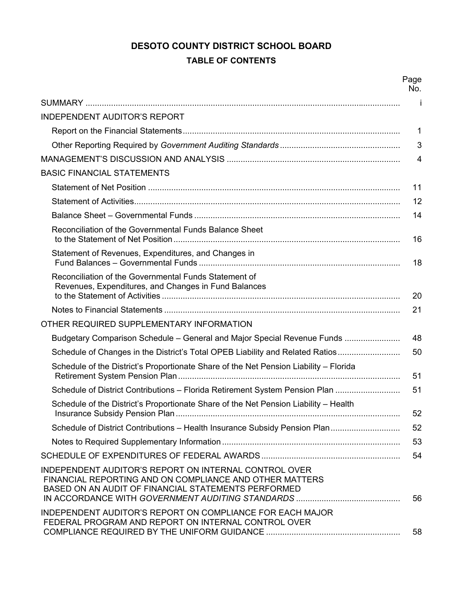#### **DESOTO COUNTY DISTRICT SCHOOL BOARD TABLE OF CONTENTS**

|                                                                                                                                                                         | Page<br>No.  |
|-------------------------------------------------------------------------------------------------------------------------------------------------------------------------|--------------|
|                                                                                                                                                                         | $\mathbf{i}$ |
| <b>INDEPENDENT AUDITOR'S REPORT</b>                                                                                                                                     |              |
|                                                                                                                                                                         | 1            |
|                                                                                                                                                                         | 3            |
|                                                                                                                                                                         | 4            |
| <b>BASIC FINANCIAL STATEMENTS</b>                                                                                                                                       |              |
|                                                                                                                                                                         | 11           |
|                                                                                                                                                                         | 12           |
|                                                                                                                                                                         | 14           |
| Reconciliation of the Governmental Funds Balance Sheet                                                                                                                  | 16           |
| Statement of Revenues, Expenditures, and Changes in                                                                                                                     | 18           |
| Reconciliation of the Governmental Funds Statement of<br>Revenues, Expenditures, and Changes in Fund Balances                                                           | 20           |
|                                                                                                                                                                         | 21           |
| OTHER REQUIRED SUPPLEMENTARY INFORMATION                                                                                                                                |              |
| Budgetary Comparison Schedule – General and Major Special Revenue Funds                                                                                                 | 48           |
| Schedule of Changes in the District's Total OPEB Liability and Related Ratios                                                                                           | 50           |
| Schedule of the District's Proportionate Share of the Net Pension Liability – Florida                                                                                   | 51           |
| Schedule of District Contributions - Florida Retirement System Pension Plan                                                                                             | 51           |
| Schedule of the District's Proportionate Share of the Net Pension Liability – Health                                                                                    | 52           |
| Schedule of District Contributions - Health Insurance Subsidy Pension Plan                                                                                              | 52           |
|                                                                                                                                                                         | 53           |
|                                                                                                                                                                         | 54           |
| INDEPENDENT AUDITOR'S REPORT ON INTERNAL CONTROL OVER<br>FINANCIAL REPORTING AND ON COMPLIANCE AND OTHER MATTERS<br>BASED ON AN AUDIT OF FINANCIAL STATEMENTS PERFORMED | 56           |
| INDEPENDENT AUDITOR'S REPORT ON COMPLIANCE FOR EACH MAJOR<br>FEDERAL PROGRAM AND REPORT ON INTERNAL CONTROL OVER                                                        | 58           |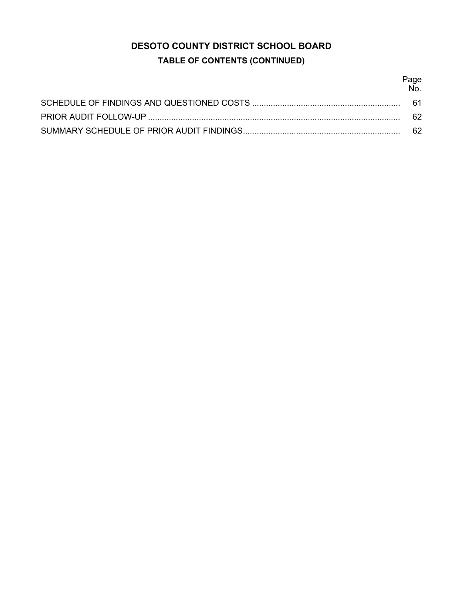## **DESOTO COUNTY DISTRICT SCHOOL BOARD TABLE OF CONTENTS (CONTINUED)**

| Page<br>No. |
|-------------|
|             |
| -62.        |
|             |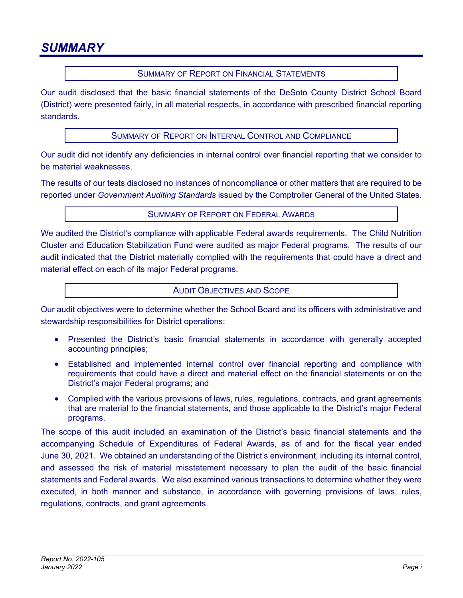#### SUMMARY OF REPORT ON FINANCIAL STATEMENTS

<span id="page-4-0"></span>Our audit disclosed that the basic financial statements of the DeSoto County District School Board (District) were presented fairly, in all material respects, in accordance with prescribed financial reporting standards.

SUMMARY OF REPORT ON INTERNAL CONTROL AND COMPLIANCE

Our audit did not identify any deficiencies in internal control over financial reporting that we consider to be material weaknesses.

The results of our tests disclosed no instances of noncompliance or other matters that are required to be reported under *Government Auditing Standards* issued by the Comptroller General of the United States*.* 

SUMMARY OF REPORT ON FEDERAL AWARDS

We audited the District's compliance with applicable Federal awards requirements. The Child Nutrition Cluster and Education Stabilization Fund were audited as major Federal programs. The results of our audit indicated that the District materially complied with the requirements that could have a direct and material effect on each of its major Federal programs.

#### AUDIT OBJECTIVES AND SCOPE

Our audit objectives were to determine whether the School Board and its officers with administrative and stewardship responsibilities for District operations:

- Presented the District's basic financial statements in accordance with generally accepted accounting principles;
- Established and implemented internal control over financial reporting and compliance with requirements that could have a direct and material effect on the financial statements or on the District's major Federal programs; and
- Complied with the various provisions of laws, rules, regulations, contracts, and grant agreements that are material to the financial statements, and those applicable to the District's major Federal programs.

The scope of this audit included an examination of the District's basic financial statements and the accompanying Schedule of Expenditures of Federal Awards, as of and for the fiscal year ended June 30, 2021. We obtained an understanding of the District's environment, including its internal control, and assessed the risk of material misstatement necessary to plan the audit of the basic financial statements and Federal awards. We also examined various transactions to determine whether they were executed, in both manner and substance, in accordance with governing provisions of laws, rules, regulations, contracts, and grant agreements.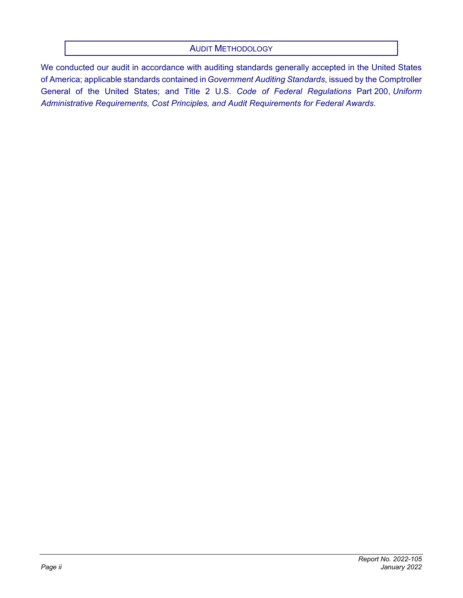#### AUDIT METHODOLOGY

We conducted our audit in accordance with auditing standards generally accepted in the United States of America; applicable standards contained in *Government Auditing Standards*, issued by the Comptroller General of the United States; and Title 2 U.S. *Code of Federal Regulations* Part 200, *Uniform Administrative Requirements, Cost Principles, and Audit Requirements for Federal Awards*.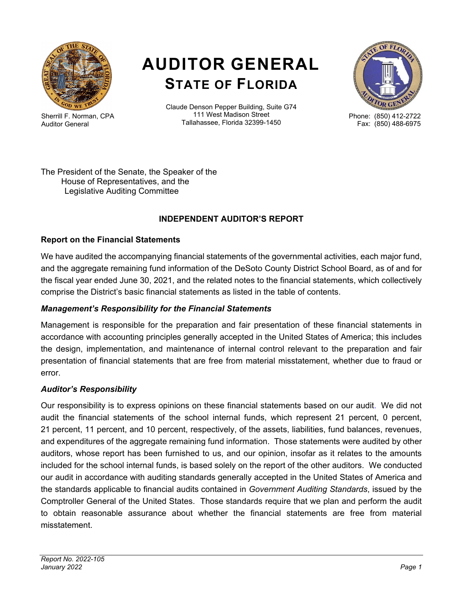<span id="page-6-0"></span>

Sherrill F. Norman, CPA Auditor General

# **AUDITOR GENERAL STATE OF FLORIDA**

Claude Denson Pepper Building, Suite G74 111 West Madison Street Tallahassee, Florida 32399-1450



Phone: (850) 412-2722 Fax: (850) 488-6975

The President of the Senate, the Speaker of the House of Representatives, and the Legislative Auditing Committee

#### **INDEPENDENT AUDITOR'S REPORT**

#### **Report on the Financial Statements**

We have audited the accompanying financial statements of the governmental activities, each major fund, and the aggregate remaining fund information of the DeSoto County District School Board, as of and for the fiscal year ended June 30, 2021, and the related notes to the financial statements, which collectively comprise the District's basic financial statements as listed in the table of contents.

#### *Management's Responsibility for the Financial Statements*

Management is responsible for the preparation and fair presentation of these financial statements in accordance with accounting principles generally accepted in the United States of America; this includes the design, implementation, and maintenance of internal control relevant to the preparation and fair presentation of financial statements that are free from material misstatement, whether due to fraud or error.

#### *Auditor's Responsibility*

Our responsibility is to express opinions on these financial statements based on our audit. We did not audit the financial statements of the school internal funds, which represent 21 percent, 0 percent, 21 percent, 11 percent, and 10 percent, respectively, of the assets, liabilities, fund balances, revenues, and expenditures of the aggregate remaining fund information. Those statements were audited by other auditors, whose report has been furnished to us, and our opinion, insofar as it relates to the amounts included for the school internal funds, is based solely on the report of the other auditors. We conducted our audit in accordance with auditing standards generally accepted in the United States of America and the standards applicable to financial audits contained in *Government Auditing Standards*, issued by the Comptroller General of the United States. Those standards require that we plan and perform the audit to obtain reasonable assurance about whether the financial statements are free from material misstatement.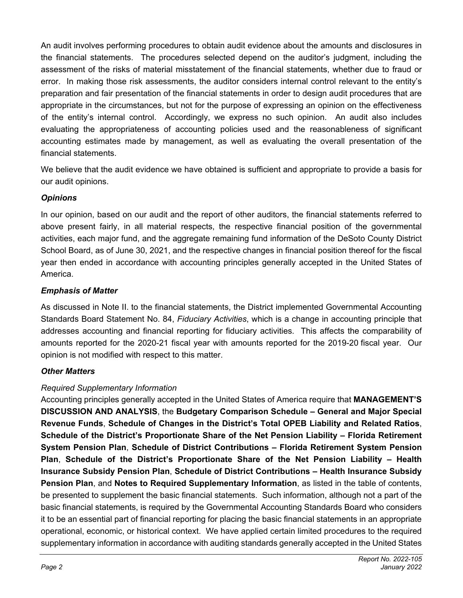An audit involves performing procedures to obtain audit evidence about the amounts and disclosures in the financial statements. The procedures selected depend on the auditor's judgment, including the assessment of the risks of material misstatement of the financial statements, whether due to fraud or error. In making those risk assessments, the auditor considers internal control relevant to the entity's preparation and fair presentation of the financial statements in order to design audit procedures that are appropriate in the circumstances, but not for the purpose of expressing an opinion on the effectiveness of the entity's internal control. Accordingly, we express no such opinion. An audit also includes evaluating the appropriateness of accounting policies used and the reasonableness of significant accounting estimates made by management, as well as evaluating the overall presentation of the financial statements.

We believe that the audit evidence we have obtained is sufficient and appropriate to provide a basis for our audit opinions.

#### *Opinions*

In our opinion, based on our audit and the report of other auditors, the financial statements referred to above present fairly, in all material respects, the respective financial position of the governmental activities, each major fund, and the aggregate remaining fund information of the DeSoto County District School Board, as of June 30, 2021, and the respective changes in financial position thereof for the fiscal year then ended in accordance with accounting principles generally accepted in the United States of America.

#### *Emphasis of Matter*

As discussed in Note II. to the financial statements, the District implemented Governmental Accounting Standards Board Statement No. 84, *Fiduciary Activities*, which is a change in accounting principle that addresses accounting and financial reporting for fiduciary activities. This affects the comparability of amounts reported for the 2020-21 fiscal year with amounts reported for the 2019-20 fiscal year. Our opinion is not modified with respect to this matter.

#### *Other Matters*

#### *Required Supplementary Information*

Accounting principles generally accepted in the United States of America require that **MANAGEMENT'S DISCUSSION AND ANALYSIS**, the **Budgetary Comparison Schedule – General and Major Special Revenue Funds**, **Schedule of Changes in the District's Total OPEB Liability and Related Ratios**, **Schedule of the District's Proportionate Share of the Net Pension Liability – Florida Retirement System Pension Plan**, **Schedule of District Contributions – Florida Retirement System Pension Plan**, **Schedule of the District's Proportionate Share of the Net Pension Liability – Health Insurance Subsidy Pension Plan**, **Schedule of District Contributions – Health Insurance Subsidy Pension Plan**, and **Notes to Required Supplementary Information**, as listed in the table of contents, be presented to supplement the basic financial statements. Such information, although not a part of the basic financial statements, is required by the Governmental Accounting Standards Board who considers it to be an essential part of financial reporting for placing the basic financial statements in an appropriate operational, economic, or historical context. We have applied certain limited procedures to the required supplementary information in accordance with auditing standards generally accepted in the United States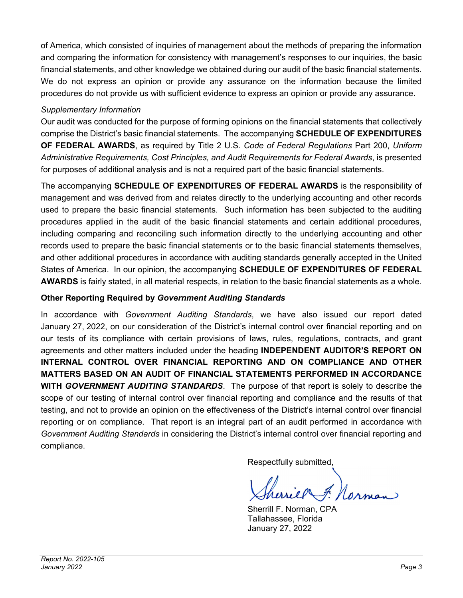<span id="page-8-0"></span>of America, which consisted of inquiries of management about the methods of preparing the information and comparing the information for consistency with management's responses to our inquiries, the basic financial statements, and other knowledge we obtained during our audit of the basic financial statements. We do not express an opinion or provide any assurance on the information because the limited procedures do not provide us with sufficient evidence to express an opinion or provide any assurance.

#### *Supplementary Information*

Our audit was conducted for the purpose of forming opinions on the financial statements that collectively comprise the District's basic financial statements. The accompanying **SCHEDULE OF EXPENDITURES OF FEDERAL AWARDS**, as required by Title 2 U.S. *Code of Federal Regulations* Part 200, *Uniform Administrative Requirements, Cost Principles, and Audit Requirements for Federal Awards*, is presented for purposes of additional analysis and is not a required part of the basic financial statements.

The accompanying **SCHEDULE OF EXPENDITURES OF FEDERAL AWARDS** is the responsibility of management and was derived from and relates directly to the underlying accounting and other records used to prepare the basic financial statements. Such information has been subjected to the auditing procedures applied in the audit of the basic financial statements and certain additional procedures, including comparing and reconciling such information directly to the underlying accounting and other records used to prepare the basic financial statements or to the basic financial statements themselves, and other additional procedures in accordance with auditing standards generally accepted in the United States of America. In our opinion, the accompanying **SCHEDULE OF EXPENDITURES OF FEDERAL AWARDS** is fairly stated, in all material respects, in relation to the basic financial statements as a whole.

#### **Other Reporting Required by** *Government Auditing Standards*

In accordance with *Government Auditing Standards*, we have also issued our report dated January 27, 2022, on our consideration of the District's internal control over financial reporting and on our tests of its compliance with certain provisions of laws, rules, regulations, contracts, and grant agreements and other matters included under the heading **INDEPENDENT AUDITOR'S REPORT ON INTERNAL CONTROL OVER FINANCIAL REPORTING AND ON COMPLIANCE AND OTHER MATTERS BASED ON AN AUDIT OF FINANCIAL STATEMENTS PERFORMED IN ACCORDANCE WITH** *GOVERNMENT AUDITING STANDARDS*. The purpose of that report is solely to describe the scope of our testing of internal control over financial reporting and compliance and the results of that testing, and not to provide an opinion on the effectiveness of the District's internal control over financial reporting or on compliance. That report is an integral part of an audit performed in accordance with *Government Auditing Standards* in considering the District's internal control over financial reporting and compliance.

Respectfully submitted,

Sherrill F. Norman, CPA Tallahassee, Florida January 27, 2022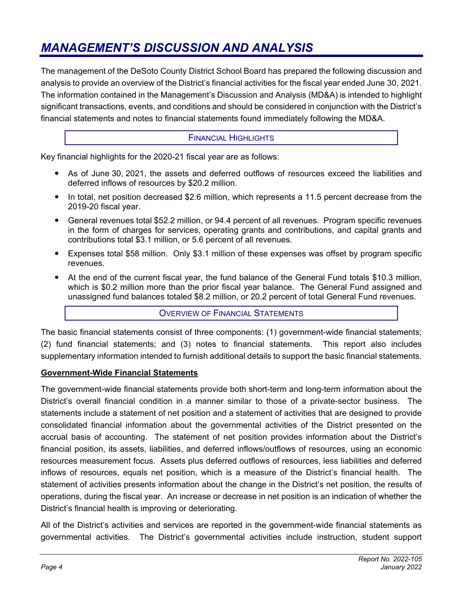# <span id="page-9-0"></span>*MANAGEMENT'S DISCUSSION AND ANALYSIS*

The management of the DeSoto County District School Board has prepared the following discussion and analysis to provide an overview of the District's financial activities for the fiscal year ended June 30, 2021. The information contained in the Management's Discussion and Analysis (MD&A) is intended to highlight significant transactions, events, and conditions and should be considered in conjunction with the District's financial statements and notes to financial statements found immediately following the MD&A.

#### FINANCIAL HIGHLIGHTS

Key financial highlights for the 2020-21 fiscal year are as follows:

- As of June 30, 2021, the assets and deferred outflows of resources exceed the liabilities and deferred inflows of resources by \$20.2 million.
- In total, net position decreased \$2.6 million, which represents a 11.5 percent decrease from the 2019-20 fiscal year.
- General revenues total \$52.2 million, or 94.4 percent of all revenues. Program specific revenues in the form of charges for services, operating grants and contributions, and capital grants and contributions total \$3.1 million, or 5.6 percent of all revenues.
- Expenses total \$58 million. Only \$3.1 million of these expenses was offset by program specific revenues.
- At the end of the current fiscal year, the fund balance of the General Fund totals \$10.3 million, which is \$0.2 million more than the prior fiscal year balance. The General Fund assigned and unassigned fund balances totaled \$8.2 million, or 20.2 percent of total General Fund revenues.

#### OVERVIEW OF FINANCIAL STATEMENTS

The basic financial statements consist of three components: (1) government-wide financial statements; (2) fund financial statements; and (3) notes to financial statements. This report also includes supplementary information intended to furnish additional details to support the basic financial statements.

#### **Government-Wide Financial Statements**

The government-wide financial statements provide both short-term and long-term information about the District's overall financial condition in a manner similar to those of a private-sector business. The statements include a statement of net position and a statement of activities that are designed to provide consolidated financial information about the governmental activities of the District presented on the accrual basis of accounting. The statement of net position provides information about the District's financial position, its assets, liabilities, and deferred inflows/outflows of resources, using an economic resources measurement focus. Assets plus deferred outflows of resources, less liabilities and deferred inflows of resources, equals net position, which is a measure of the District's financial health. The statement of activities presents information about the change in the District's net position, the results of operations, during the fiscal year. An increase or decrease in net position is an indication of whether the District's financial health is improving or deteriorating.

All of the District's activities and services are reported in the government-wide financial statements as governmental activities. The District's governmental activities include instruction, student support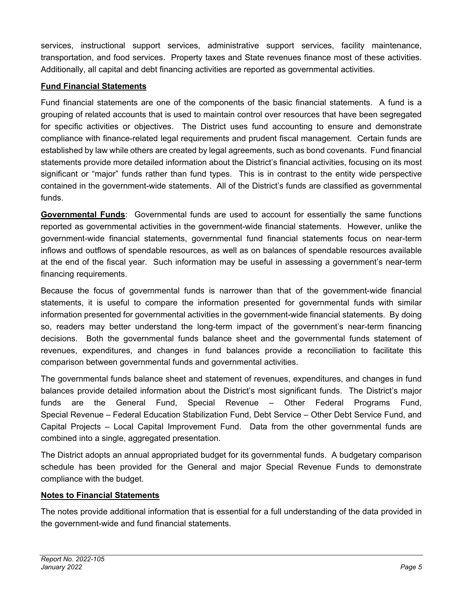services, instructional support services, administrative support services, facility maintenance, transportation, and food services. Property taxes and State revenues finance most of these activities. Additionally, all capital and debt financing activities are reported as governmental activities.

#### **Fund Financial Statements**

Fund financial statements are one of the components of the basic financial statements. A fund is a grouping of related accounts that is used to maintain control over resources that have been segregated for specific activities or objectives. The District uses fund accounting to ensure and demonstrate compliance with finance-related legal requirements and prudent fiscal management. Certain funds are established by law while others are created by legal agreements, such as bond covenants. Fund financial statements provide more detailed information about the District's financial activities, focusing on its most significant or "major" funds rather than fund types. This is in contrast to the entity wide perspective contained in the government-wide statements. All of the District's funds are classified as governmental funds.

**Governmental Funds**: Governmental funds are used to account for essentially the same functions reported as governmental activities in the government-wide financial statements. However, unlike the government-wide financial statements, governmental fund financial statements focus on near-term inflows and outflows of spendable resources, as well as on balances of spendable resources available at the end of the fiscal year. Such information may be useful in assessing a government's near-term financing requirements.

Because the focus of governmental funds is narrower than that of the government-wide financial statements, it is useful to compare the information presented for governmental funds with similar information presented for governmental activities in the government-wide financial statements. By doing so, readers may better understand the long-term impact of the government's near-term financing decisions. Both the governmental funds balance sheet and the governmental funds statement of revenues, expenditures, and changes in fund balances provide a reconciliation to facilitate this comparison between governmental funds and governmental activities.

The governmental funds balance sheet and statement of revenues, expenditures, and changes in fund balances provide detailed information about the District's most significant funds. The District's major funds are the General Fund, Special Revenue – Other Federal Programs Fund, Special Revenue – Federal Education Stabilization Fund, Debt Service – Other Debt Service Fund, and Capital Projects – Local Capital Improvement Fund. Data from the other governmental funds are combined into a single, aggregated presentation.

The District adopts an annual appropriated budget for its governmental funds. A budgetary comparison schedule has been provided for the General and major Special Revenue Funds to demonstrate compliance with the budget.

#### **Notes to Financial Statements**

The notes provide additional information that is essential for a full understanding of the data provided in the government-wide and fund financial statements.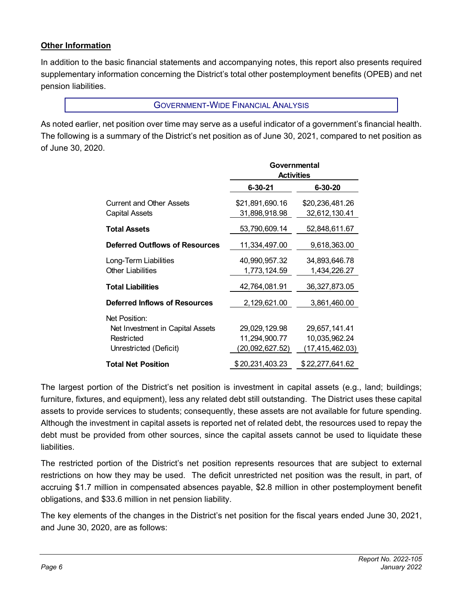#### **Other Information**

In addition to the basic financial statements and accompanying notes, this report also presents required supplementary information concerning the District's total other postemployment benefits (OPEB) and net pension liabilities.

#### GOVERNMENT-WIDE FINANCIAL ANALYSIS

As noted earlier, net position over time may serve as a useful indicator of a government's financial health. The following is a summary of the District's net position as of June 30, 2021, compared to net position as of June 30, 2020.

|                                                                                           | Governmental                                      |                                                   |  |  |  |  |
|-------------------------------------------------------------------------------------------|---------------------------------------------------|---------------------------------------------------|--|--|--|--|
|                                                                                           | <b>Activities</b>                                 |                                                   |  |  |  |  |
|                                                                                           | 6-30-21                                           | $6 - 30 - 20$                                     |  |  |  |  |
| <b>Current and Other Assets</b><br><b>Capital Assets</b>                                  | \$21,891,690.16<br>31,898,918.98                  | \$20,236,481.26<br>32,612,130.41                  |  |  |  |  |
| <b>Total Assets</b>                                                                       | 53,790,609.14                                     | 52,848,611.67                                     |  |  |  |  |
| <b>Deferred Outflows of Resources</b>                                                     | 11,334,497.00                                     | 9,618,363.00                                      |  |  |  |  |
| Long-Term Liabilities<br><b>Other Liabilities</b>                                         | 40,990,957.32<br>1,773,124.59                     | 34,893,646.78<br>1,434,226.27                     |  |  |  |  |
| <b>Total Liabilities</b>                                                                  | 42,764,081.91                                     | 36,327,873.05                                     |  |  |  |  |
| <b>Deferred Inflows of Resources</b>                                                      | 2,129,621.00                                      | 3,861,460.00                                      |  |  |  |  |
| Net Position:<br>Net Investment in Capital Assets<br>Restricted<br>Unrestricted (Deficit) | 29,029,129.98<br>11,294,900.77<br>(20,092,627.52) | 29,657,141.41<br>10,035,962.24<br>(17,415,462.03) |  |  |  |  |
| <b>Total Net Position</b>                                                                 | \$20,231,403.23                                   | \$22,277,641.62                                   |  |  |  |  |

The largest portion of the District's net position is investment in capital assets (e.g., land; buildings; furniture, fixtures, and equipment), less any related debt still outstanding. The District uses these capital assets to provide services to students; consequently, these assets are not available for future spending. Although the investment in capital assets is reported net of related debt, the resources used to repay the debt must be provided from other sources, since the capital assets cannot be used to liquidate these **liabilities** 

The restricted portion of the District's net position represents resources that are subject to external restrictions on how they may be used. The deficit unrestricted net position was the result, in part, of accruing \$1.7 million in compensated absences payable, \$2.8 million in other postemployment benefit obligations, and \$33.6 million in net pension liability.

The key elements of the changes in the District's net position for the fiscal years ended June 30, 2021, and June 30, 2020, are as follows: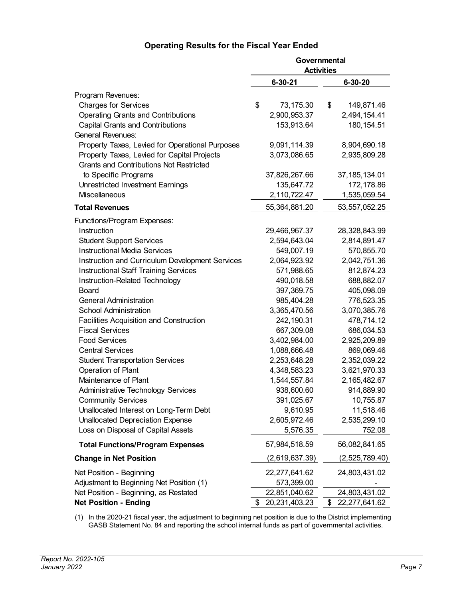#### **Operating Results for the Fiscal Year Ended**

|                                                                                                                                                                              | Governmental<br><b>Activities</b> |                                              |    |                                               |
|------------------------------------------------------------------------------------------------------------------------------------------------------------------------------|-----------------------------------|----------------------------------------------|----|-----------------------------------------------|
|                                                                                                                                                                              |                                   | $6 - 30 - 21$                                |    | $6 - 30 - 20$                                 |
| Program Revenues:<br><b>Charges for Services</b>                                                                                                                             | \$                                | 73,175.30                                    | \$ | 149,871.46                                    |
| <b>Operating Grants and Contributions</b><br><b>Capital Grants and Contributions</b>                                                                                         |                                   | 2,900,953.37<br>153,913.64                   |    | 2,494,154.41<br>180, 154.51                   |
| <b>General Revenues:</b><br>Property Taxes, Levied for Operational Purposes<br>Property Taxes, Levied for Capital Projects<br><b>Grants and Contributions Not Restricted</b> |                                   | 9,091,114.39<br>3,073,086.65                 |    | 8,904,690.18<br>2,935,809.28                  |
| to Specific Programs<br><b>Unrestricted Investment Earnings</b><br>Miscellaneous                                                                                             |                                   | 37,826,267.66<br>135,647.72<br>2,110,722.47  |    | 37, 185, 134.01<br>172,178.86<br>1,535,059.54 |
| <b>Total Revenues</b>                                                                                                                                                        |                                   | 55,364,881.20                                |    | 53,557,052.25                                 |
| Functions/Program Expenses:<br>Instruction<br><b>Student Support Services</b>                                                                                                |                                   | 29,466,967.37<br>2,594,643.04                |    | 28,328,843.99<br>2,814,891.47                 |
| <b>Instructional Media Services</b><br>Instruction and Curriculum Development Services<br><b>Instructional Staff Training Services</b>                                       |                                   | 549,007.19<br>2,064,923.92<br>571,988.65     |    | 570,855.70<br>2,042,751.36<br>812,874.23      |
| Instruction-Related Technology<br>Board<br><b>General Administration</b>                                                                                                     |                                   | 490,018.58<br>397,369.75<br>985,404.28       |    | 688,882.07<br>405,098.09<br>776,523.35        |
| <b>School Administration</b><br>Facilities Acquisition and Construction<br><b>Fiscal Services</b>                                                                            |                                   | 3,365,470.56<br>242,190.31<br>667,309.08     |    | 3,070,385.76<br>478,714.12<br>686,034.53      |
| <b>Food Services</b><br><b>Central Services</b>                                                                                                                              |                                   | 3,402,984.00<br>1,088,666.48<br>2,253,648.28 |    | 2,925,209.89<br>869,069.46<br>2,352,039.22    |
| <b>Student Transportation Services</b><br>Operation of Plant<br>Maintenance of Plant                                                                                         |                                   | 4,348,583.23<br>1,544,557.84                 |    | 3,621,970.33<br>2,165,482.67                  |
| Administrative Technology Services<br><b>Community Services</b><br>Unallocated Interest on Long-Term Debt                                                                    |                                   | 938,600.60<br>391,025.67<br>9,610.95         |    | 914,889.90<br>10,755.87<br>11,518.46          |
| <b>Unallocated Depreciation Expense</b><br>Loss on Disposal of Capital Assets                                                                                                |                                   | 2,605,972.46<br>5,576.35                     |    | 2,535,299.10<br>752.08                        |
| <b>Total Functions/Program Expenses</b>                                                                                                                                      |                                   | 57,984,518.59                                |    | 56,082,841.65                                 |
| <b>Change in Net Position</b>                                                                                                                                                |                                   | (2,619,637.39)                               |    | (2,525,789.40)                                |
| Net Position - Beginning<br>Adjustment to Beginning Net Position (1)                                                                                                         |                                   | 22,277,641.62<br>573,399.00                  |    | 24,803,431.02                                 |
| Net Position - Beginning, as Restated<br><b>Net Position - Ending</b>                                                                                                        | \$                                | 22,851,040.62<br>20,231,403.23               | \$ | 24,803,431.02<br>22,277,641.62                |

(1) In the 2020-21 fiscal year, the adjustment to beginning net position is due to the District implementing GASB Statement No. 84 and reporting the school internal funds as part of governmental activities.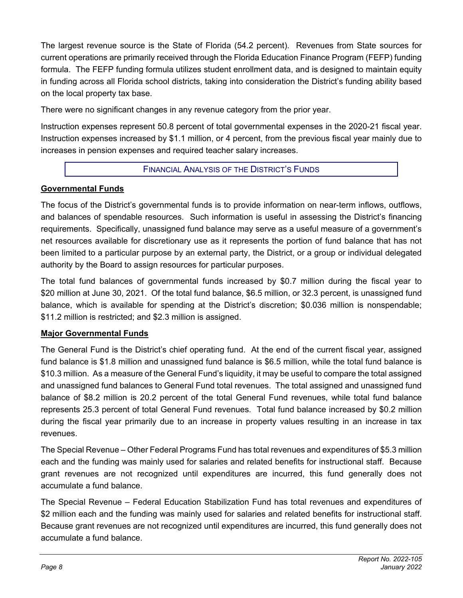The largest revenue source is the State of Florida (54.2 percent). Revenues from State sources for current operations are primarily received through the Florida Education Finance Program (FEFP) funding formula. The FEFP funding formula utilizes student enrollment data, and is designed to maintain equity in funding across all Florida school districts, taking into consideration the District's funding ability based on the local property tax base.

There were no significant changes in any revenue category from the prior year.

Instruction expenses represent 50.8 percent of total governmental expenses in the 2020-21 fiscal year. Instruction expenses increased by \$1.1 million, or 4 percent, from the previous fiscal year mainly due to increases in pension expenses and required teacher salary increases.

#### FINANCIAL ANALYSIS OF THE DISTRICT'S FUNDS

#### **Governmental Funds**

The focus of the District's governmental funds is to provide information on near-term inflows, outflows, and balances of spendable resources. Such information is useful in assessing the District's financing requirements. Specifically, unassigned fund balance may serve as a useful measure of a government's net resources available for discretionary use as it represents the portion of fund balance that has not been limited to a particular purpose by an external party, the District, or a group or individual delegated authority by the Board to assign resources for particular purposes.

The total fund balances of governmental funds increased by \$0.7 million during the fiscal year to \$20 million at June 30, 2021. Of the total fund balance, \$6.5 million, or 32.3 percent, is unassigned fund balance, which is available for spending at the District's discretion; \$0.036 million is nonspendable; \$11.2 million is restricted; and \$2.3 million is assigned.

#### **Major Governmental Funds**

The General Fund is the District's chief operating fund. At the end of the current fiscal year, assigned fund balance is \$1.8 million and unassigned fund balance is \$6.5 million, while the total fund balance is \$10.3 million. As a measure of the General Fund's liquidity, it may be useful to compare the total assigned and unassigned fund balances to General Fund total revenues. The total assigned and unassigned fund balance of \$8.2 million is 20.2 percent of the total General Fund revenues, while total fund balance represents 25.3 percent of total General Fund revenues. Total fund balance increased by \$0.2 million during the fiscal year primarily due to an increase in property values resulting in an increase in tax revenues.

The Special Revenue – Other Federal Programs Fund has total revenues and expenditures of \$5.3 million each and the funding was mainly used for salaries and related benefits for instructional staff. Because grant revenues are not recognized until expenditures are incurred, this fund generally does not accumulate a fund balance.

The Special Revenue – Federal Education Stabilization Fund has total revenues and expenditures of \$2 million each and the funding was mainly used for salaries and related benefits for instructional staff. Because grant revenues are not recognized until expenditures are incurred, this fund generally does not accumulate a fund balance.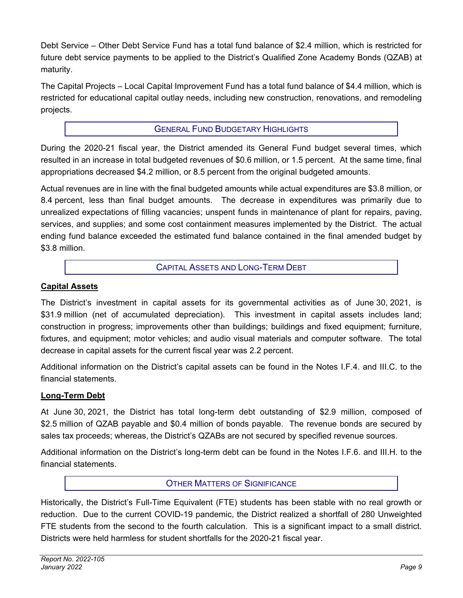Debt Service – Other Debt Service Fund has a total fund balance of \$2.4 million, which is restricted for future debt service payments to be applied to the District's Qualified Zone Academy Bonds (QZAB) at maturity.

The Capital Projects – Local Capital Improvement Fund has a total fund balance of \$4.4 million, which is restricted for educational capital outlay needs, including new construction, renovations, and remodeling projects.

#### GENERAL FUND BUDGETARY HIGHLIGHTS

During the 2020-21 fiscal year, the District amended its General Fund budget several times, which resulted in an increase in total budgeted revenues of \$0.6 million, or 1.5 percent. At the same time, final appropriations decreased \$4.2 million, or 8.5 percent from the original budgeted amounts.

Actual revenues are in line with the final budgeted amounts while actual expenditures are \$3.8 million, or 8.4 percent, less than final budget amounts. The decrease in expenditures was primarily due to unrealized expectations of filling vacancies; unspent funds in maintenance of plant for repairs, paving, services, and supplies; and some cost containment measures implemented by the District. The actual ending fund balance exceeded the estimated fund balance contained in the final amended budget by \$3.8 million.

#### CAPITAL ASSETS AND LONG-TERM DEBT

#### **Capital Assets**

The District's investment in capital assets for its governmental activities as of June 30, 2021, is \$31.9 million (net of accumulated depreciation). This investment in capital assets includes land; construction in progress; improvements other than buildings; buildings and fixed equipment; furniture, fixtures, and equipment; motor vehicles; and audio visual materials and computer software. The total decrease in capital assets for the current fiscal year was 2.2 percent.

Additional information on the District's capital assets can be found in the Notes I.F.4. and III.C. to the financial statements.

#### **Long-Term Debt**

At June 30, 2021, the District has total long-term debt outstanding of \$2.9 million, composed of \$2.5 million of QZAB payable and \$0.4 million of bonds payable. The revenue bonds are secured by sales tax proceeds; whereas, the District's QZABs are not secured by specified revenue sources.

Additional information on the District's long-term debt can be found in the Notes I.F.6. and III.H. to the financial statements.

#### OTHER MATTERS OF SIGNIFICANCE

Historically, the District's Full-Time Equivalent (FTE) students has been stable with no real growth or reduction. Due to the current COVID-19 pandemic, the District realized a shortfall of 280 Unweighted FTE students from the second to the fourth calculation. This is a significant impact to a small district. Districts were held harmless for student shortfalls for the 2020-21 fiscal year.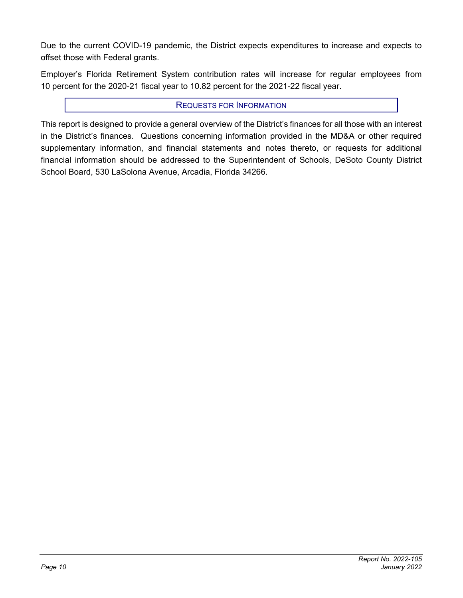Due to the current COVID-19 pandemic, the District expects expenditures to increase and expects to offset those with Federal grants.

Employer's Florida Retirement System contribution rates will increase for regular employees from 10 percent for the 2020-21 fiscal year to 10.82 percent for the 2021-22 fiscal year.

#### REQUESTS FOR INFORMATION

This report is designed to provide a general overview of the District's finances for all those with an interest in the District's finances. Questions concerning information provided in the MD&A or other required supplementary information, and financial statements and notes thereto, or requests for additional financial information should be addressed to the Superintendent of Schools, DeSoto County District School Board, 530 LaSolona Avenue, Arcadia, Florida 34266.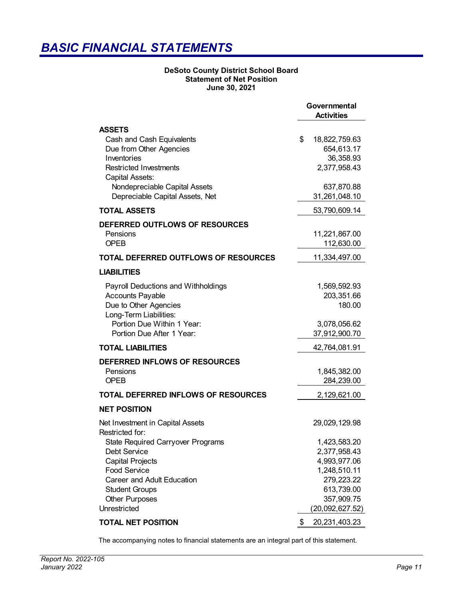# <span id="page-16-0"></span>*BASIC FINANCIAL STATEMENTS*

#### **DeSoto County District School Board Statement of Net Position June 30, 2021**

|                                                                                                                                                                                                              | Governmental<br><b>Activities</b>                                                             |
|--------------------------------------------------------------------------------------------------------------------------------------------------------------------------------------------------------------|-----------------------------------------------------------------------------------------------|
| <b>ASSETS</b><br>Cash and Cash Equivalents<br>Due from Other Agencies<br>Inventories<br><b>Restricted Investments</b><br>Capital Assets:<br>Nondepreciable Capital Assets<br>Depreciable Capital Assets, Net | \$<br>18,822,759.63<br>654,613.17<br>36,358.93<br>2,377,958.43<br>637,870.88<br>31,261,048.10 |
| <b>TOTAL ASSETS</b>                                                                                                                                                                                          | 53,790,609.14                                                                                 |
| DEFERRED OUTFLOWS OF RESOURCES<br>Pensions<br><b>OPEB</b>                                                                                                                                                    | 11,221,867.00<br>112,630.00                                                                   |
| <b>TOTAL DEFERRED OUTFLOWS OF RESOURCES</b>                                                                                                                                                                  | 11,334,497.00                                                                                 |
| <b>LIABILITIES</b>                                                                                                                                                                                           |                                                                                               |
| Payroll Deductions and Withholdings<br><b>Accounts Payable</b><br>Due to Other Agencies<br>Long-Term Liabilities:                                                                                            | 1,569,592.93<br>203,351.66<br>180.00                                                          |
| Portion Due Within 1 Year:<br>Portion Due After 1 Year:                                                                                                                                                      | 3,078,056.62<br>37,912,900.70                                                                 |
| <b>TOTAL LIABILITIES</b>                                                                                                                                                                                     | 42,764,081.91                                                                                 |
| DEFERRED INFLOWS OF RESOURCES<br>Pensions<br><b>OPEB</b>                                                                                                                                                     | 1,845,382.00<br>284,239.00                                                                    |
| <b>TOTAL DEFERRED INFLOWS OF RESOURCES</b>                                                                                                                                                                   | 2,129,621.00                                                                                  |
| <b>NET POSITION</b>                                                                                                                                                                                          |                                                                                               |
| Net Investment in Capital Assets<br>Restricted for:                                                                                                                                                          | 29,029,129.98                                                                                 |
| <b>State Required Carryover Programs</b>                                                                                                                                                                     | 1,423,583.20                                                                                  |
| Debt Service<br><b>Capital Projects</b>                                                                                                                                                                      | 2,377,958.43<br>4,993,977.06                                                                  |
| Food Service                                                                                                                                                                                                 | 1,248,510.11                                                                                  |
| Career and Adult Education                                                                                                                                                                                   | 279,223.22                                                                                    |
| <b>Student Groups</b>                                                                                                                                                                                        | 613,739.00                                                                                    |
| <b>Other Purposes</b>                                                                                                                                                                                        | 357,909.75                                                                                    |
| Unrestricted                                                                                                                                                                                                 | (20,092,627.52)                                                                               |
| <b>TOTAL NET POSITION</b>                                                                                                                                                                                    | \$<br>20,231,403.23                                                                           |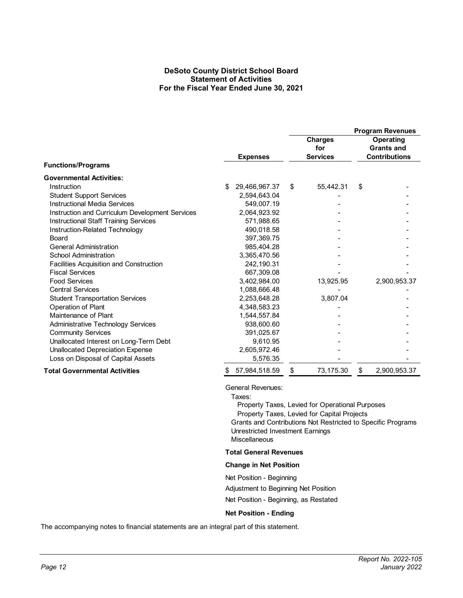#### **DeSoto County District School Board Statement of Activities For the Fiscal Year Ended June 30, 2021**

<span id="page-17-0"></span>

|                                                 |                     | <b>Program Revenues</b> |                 |                      |                   |  |
|-------------------------------------------------|---------------------|-------------------------|-----------------|----------------------|-------------------|--|
|                                                 |                     |                         | <b>Charges</b>  |                      | <b>Operating</b>  |  |
|                                                 |                     |                         | for             |                      | <b>Grants and</b> |  |
|                                                 | <b>Expenses</b>     |                         | <b>Services</b> | <b>Contributions</b> |                   |  |
| <b>Functions/Programs</b>                       |                     |                         |                 |                      |                   |  |
| <b>Governmental Activities:</b>                 |                     |                         |                 |                      |                   |  |
| Instruction                                     | \$<br>29,466,967.37 | \$                      | 55,442.31       | \$                   |                   |  |
| <b>Student Support Services</b>                 | 2,594,643.04        |                         |                 |                      |                   |  |
| <b>Instructional Media Services</b>             | 549,007.19          |                         |                 |                      |                   |  |
| Instruction and Curriculum Development Services | 2,064,923.92        |                         |                 |                      |                   |  |
| <b>Instructional Staff Training Services</b>    | 571,988.65          |                         |                 |                      |                   |  |
| Instruction-Related Technology                  | 490.018.58          |                         |                 |                      |                   |  |
| Board                                           | 397,369.75          |                         |                 |                      |                   |  |
| <b>General Administration</b>                   | 985,404.28          |                         |                 |                      |                   |  |
| <b>School Administration</b>                    | 3,365,470.56        |                         |                 |                      |                   |  |
| Facilities Acquisition and Construction         | 242,190.31          |                         |                 |                      |                   |  |
| <b>Fiscal Services</b>                          | 667,309.08          |                         |                 |                      |                   |  |
| <b>Food Services</b>                            | 3,402,984.00        |                         | 13,925.95       |                      | 2,900,953.37      |  |
| <b>Central Services</b>                         | 1,088,666.48        |                         |                 |                      |                   |  |
| <b>Student Transportation Services</b>          | 2,253,648.28        |                         | 3,807.04        |                      |                   |  |
| Operation of Plant                              | 4,348,583.23        |                         |                 |                      |                   |  |
| Maintenance of Plant                            | 1,544,557.84        |                         |                 |                      |                   |  |
| Administrative Technology Services              | 938,600.60          |                         |                 |                      |                   |  |
| <b>Community Services</b>                       | 391,025.67          |                         |                 |                      |                   |  |
| Unallocated Interest on Long-Term Debt          | 9,610.95            |                         |                 |                      |                   |  |
| <b>Unallocated Depreciation Expense</b>         | 2,605,972.46        |                         |                 |                      |                   |  |
| Loss on Disposal of Capital Assets              | 5,576.35            |                         |                 |                      |                   |  |
| <b>Total Governmental Activities</b>            | \$<br>57,984,518.59 | \$                      | 73,175.30       | \$                   | 2,900,953.37      |  |

General Revenues:

Taxes:

 Property Taxes, Levied for Operational Purposes Property Taxes, Levied for Capital Projects Grants and Contributions Not Restricted to Specific Programs Unrestricted Investment Earnings Miscellaneous

#### **Total General Revenues**

#### **Change in Net Position**

Net Position - Beginning

Adjustment to Beginning Net Position

Net Position - Beginning, as Restated

#### **Net Position - Ending**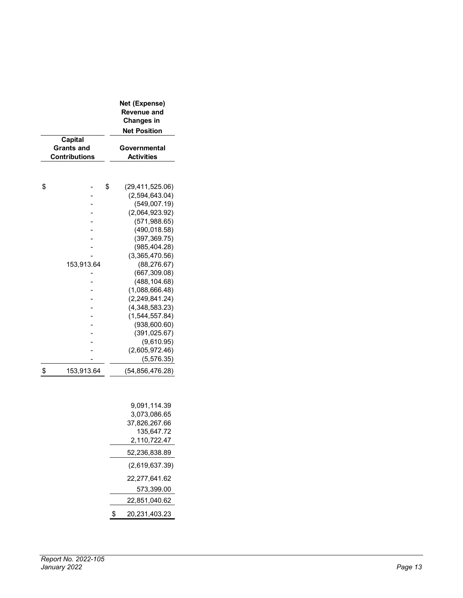|                                                      | Net (Expense)<br><b>Revenue and</b><br><b>Changes in</b><br><b>Net Position</b> |
|------------------------------------------------------|---------------------------------------------------------------------------------|
| <b>Capital</b><br>Grants and<br><b>Contributions</b> | Governmental<br><b>Activities</b>                                               |
|                                                      |                                                                                 |
| \$                                                   | \$<br>(29, 411, 525.06)                                                         |
|                                                      | (2,594,643.04)                                                                  |
|                                                      | (549,007.19)                                                                    |
|                                                      | (2,064,923.92)                                                                  |
|                                                      | (571, 988.65)                                                                   |
|                                                      | (490, 018.58)                                                                   |
|                                                      | (397, 369.75)                                                                   |
|                                                      | (985, 404.28)                                                                   |
|                                                      | (3,365,470.56)                                                                  |
| 153,913.64                                           | (88, 276.67)                                                                    |
|                                                      | (667, 309.08)                                                                   |
|                                                      | (488, 104.68)                                                                   |
|                                                      | (1,088,666.48)                                                                  |
|                                                      | (2, 249, 841.24)                                                                |
|                                                      | (4,348,583.23)                                                                  |
|                                                      | (1, 544, 557.84)                                                                |
|                                                      | (938,600.60)                                                                    |
|                                                      | (391, 025.67)                                                                   |
|                                                      | (9,610.95)                                                                      |
|                                                      | (2,605,972.46)                                                                  |
|                                                      | (5, 576.35)                                                                     |
| \$<br>153,913.64                                     | (54, 856, 476.28)                                                               |
|                                                      |                                                                                 |
|                                                      | 9,091,114.39<br>3,073,086.65                                                    |
|                                                      | 37,826,267.66                                                                   |
|                                                      | 135,647.72                                                                      |
|                                                      | 2,110,722.47                                                                    |
|                                                      |                                                                                 |
|                                                      | 52,236,838.89<br>(2,619,637.39)                                                 |
|                                                      |                                                                                 |
|                                                      | 22,277,641.62                                                                   |
|                                                      | 573,399.00                                                                      |
|                                                      | 22,851,040.62                                                                   |
|                                                      | \$<br>20,231,403.23                                                             |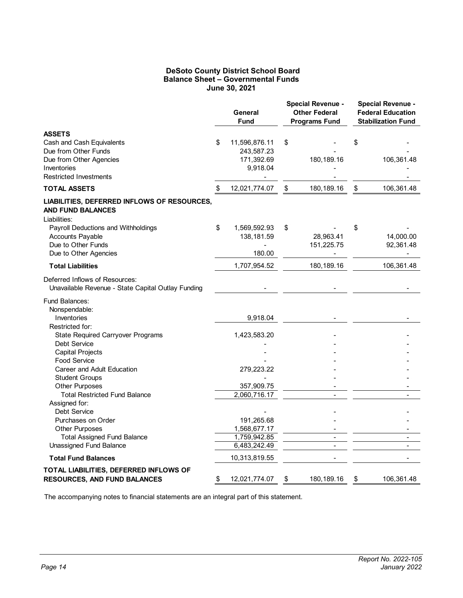#### **DeSoto County District School Board Balance Sheet – Governmental Funds June 30, 2021**

<span id="page-19-0"></span>

|                                                                                                                                                                                                          | General<br><b>Fund</b>                                      | <b>Special Revenue -</b><br><b>Other Federal</b><br><b>Programs Fund</b> |                                  | <b>Special Revenue -</b><br><b>Federal Education</b><br><b>Stabilization Fund</b> |                                  |
|----------------------------------------------------------------------------------------------------------------------------------------------------------------------------------------------------------|-------------------------------------------------------------|--------------------------------------------------------------------------|----------------------------------|-----------------------------------------------------------------------------------|----------------------------------|
| <b>ASSETS</b><br>Cash and Cash Equivalents<br>Due from Other Funds<br>Due from Other Agencies<br>Inventories<br><b>Restricted Investments</b>                                                            | \$<br>11,596,876.11<br>243,587.23<br>171,392.69<br>9,918.04 | \$                                                                       | 180,189.16                       | \$                                                                                | 106,361.48                       |
| <b>TOTAL ASSETS</b>                                                                                                                                                                                      | \$<br>12,021,774.07                                         | \$                                                                       | 180,189.16                       | \$                                                                                | 106,361.48                       |
| LIABILITIES, DEFERRED INFLOWS OF RESOURCES,<br><b>AND FUND BALANCES</b><br>Liabilities:<br>Payroll Deductions and Withholdings<br><b>Accounts Payable</b><br>Due to Other Funds<br>Due to Other Agencies | \$<br>1,569,592.93<br>138,181.59<br>180.00                  | \$                                                                       | 28,963.41<br>151,225.75          | \$                                                                                | 14,000.00<br>92,361.48           |
| <b>Total Liabilities</b>                                                                                                                                                                                 | 1,707,954.52                                                |                                                                          | 180,189.16                       |                                                                                   | 106,361.48                       |
| Deferred Inflows of Resources:<br>Unavailable Revenue - State Capital Outlay Funding                                                                                                                     |                                                             |                                                                          |                                  |                                                                                   |                                  |
| Fund Balances:<br>Nonspendable:<br>Inventories<br>Restricted for:                                                                                                                                        | 9,918.04                                                    |                                                                          |                                  |                                                                                   |                                  |
| <b>State Required Carryover Programs</b><br><b>Debt Service</b><br><b>Capital Projects</b><br><b>Food Service</b>                                                                                        | 1,423,583.20                                                |                                                                          |                                  |                                                                                   |                                  |
| Career and Adult Education<br><b>Student Groups</b><br><b>Other Purposes</b><br><b>Total Restricted Fund Balance</b>                                                                                     | 279,223.22<br>357,909.75<br>2,060,716.17                    |                                                                          |                                  |                                                                                   |                                  |
| Assigned for:<br>Debt Service<br>Purchases on Order                                                                                                                                                      | 191,265.68                                                  |                                                                          |                                  |                                                                                   |                                  |
| <b>Other Purposes</b><br><b>Total Assigned Fund Balance</b><br>Unassigned Fund Balance                                                                                                                   | 1,568,677.17<br>1,759,942.85<br>6,483,242.49                |                                                                          | $\blacksquare$<br>$\blacksquare$ |                                                                                   | $\overline{a}$<br>$\blacksquare$ |
| <b>Total Fund Balances</b>                                                                                                                                                                               | 10,313,819.55                                               |                                                                          |                                  |                                                                                   |                                  |
| TOTAL LIABILITIES, DEFERRED INFLOWS OF<br><b>RESOURCES, AND FUND BALANCES</b>                                                                                                                            | \$<br>12,021,774.07                                         | \$                                                                       | 180,189.16                       | \$                                                                                | 106,361.48                       |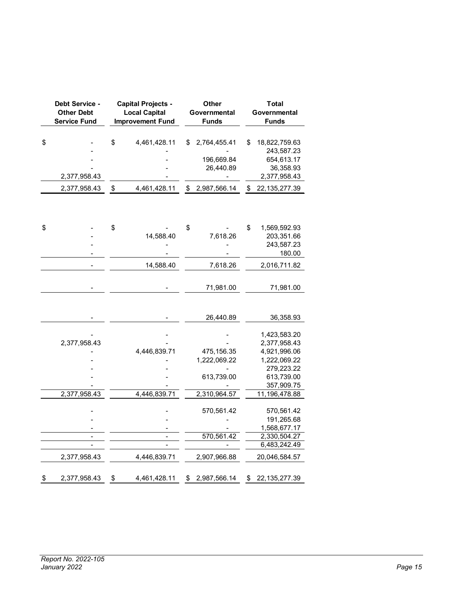| Debt Service -<br><b>Other Debt</b><br><b>Service Fund</b> | <b>Capital Projects -</b><br><b>Local Capital</b><br><b>Improvement Fund</b> | Other<br>Governmental<br><b>Funds</b> |                                                                                       |    | <b>Total</b><br>Governmental<br><b>Funds</b>                                                                                                                                        |
|------------------------------------------------------------|------------------------------------------------------------------------------|---------------------------------------|---------------------------------------------------------------------------------------|----|-------------------------------------------------------------------------------------------------------------------------------------------------------------------------------------|
| \$<br>2,377,958.43                                         | \$<br>4,461,428.11                                                           | \$                                    | 2,764,455.41<br>196,669.84<br>26,440.89                                               | \$ | 18,822,759.63<br>243,587.23<br>654,613.17<br>36,358.93<br>2,377,958.43                                                                                                              |
| 2,377,958.43                                               | \$<br>4,461,428.11                                                           | \$                                    | 2,987,566.14                                                                          | \$ | 22, 135, 277.39                                                                                                                                                                     |
| \$                                                         | \$<br>14,588.40                                                              | \$                                    | 7,618.26                                                                              | \$ | 1,569,592.93<br>203,351.66<br>243,587.23<br>180.00                                                                                                                                  |
|                                                            | 14,588.40                                                                    |                                       | 7,618.26                                                                              |    | 2,016,711.82                                                                                                                                                                        |
|                                                            |                                                                              |                                       | 71,981.00                                                                             |    | 71,981.00                                                                                                                                                                           |
|                                                            |                                                                              |                                       | 26,440.89                                                                             |    | 36,358.93                                                                                                                                                                           |
| 2,377,958.43<br>2,377,958.43                               | 4,446,839.71<br>4,446,839.71                                                 |                                       | 475, 156.35<br>1,222,069.22<br>613,739.00<br>2,310,964.57<br>570,561.42<br>570,561.42 |    | 1,423,583.20<br>2,377,958.43<br>4,921,996.06<br>1,222,069.22<br>279,223.22<br>613,739.00<br>357,909.75<br>11,196,478.88<br>570,561.42<br>191,265.68<br>1,568,677.17<br>2,330,504.27 |
|                                                            |                                                                              |                                       |                                                                                       |    | 6,483,242.49                                                                                                                                                                        |
| 2,377,958.43                                               | 4,446,839.71                                                                 |                                       | 2,907,966.88                                                                          |    | 20,046,584.57                                                                                                                                                                       |
| \$<br>2,377,958.43                                         | \$<br>4,461,428.11                                                           | \$                                    | 2,987,566.14                                                                          | \$ | 22, 135, 277.39                                                                                                                                                                     |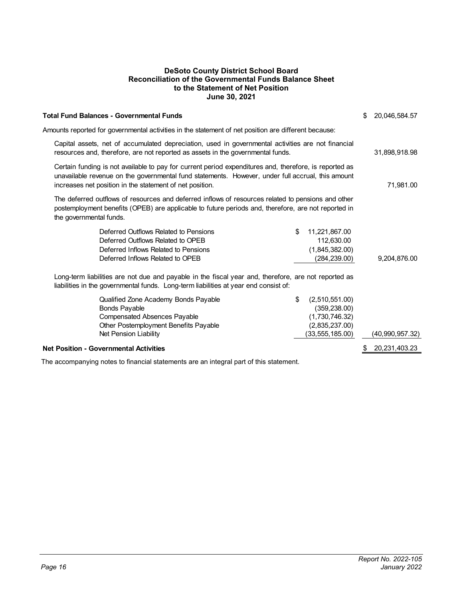#### **DeSoto County District School Board Reconciliation of the Governmental Funds Balance Sheet to the Statement of Net Position June 30, 2021**

<span id="page-21-0"></span>

| Total Fund Balances - Governmental Funds                                                                                                                                                                                                                                |                                                                                                | \$<br>20,046,584.57 |
|-------------------------------------------------------------------------------------------------------------------------------------------------------------------------------------------------------------------------------------------------------------------------|------------------------------------------------------------------------------------------------|---------------------|
| Amounts reported for governmental activities in the statement of net position are different because:                                                                                                                                                                    |                                                                                                |                     |
| Capital assets, net of accumulated depreciation, used in governmental activities are not financial<br>resources and, therefore, are not reported as assets in the governmental funds.                                                                                   |                                                                                                | 31,898,918.98       |
| Certain funding is not available to pay for current period expenditures and, therefore, is reported as<br>unavailable revenue on the governmental fund statements. However, under full accrual, this amount<br>increases net position in the statement of net position. |                                                                                                | 71,981.00           |
| The deferred outflows of resources and deferred inflows of resources related to pensions and other<br>postemployment benefits (OPEB) are applicable to future periods and, therefore, are not reported in<br>the governmental funds.                                    |                                                                                                |                     |
| Deferred Outflows Related to Pensions<br>Deferred Outflows Related to OPEB<br>Deferred Inflows Related to Pensions<br>Deferred Inflows Related to OPEB                                                                                                                  | \$<br>11,221,867.00<br>112,630.00<br>(1,845,382.00)<br>(284,239.00)                            | 9,204,876.00        |
| Long-term liabilities are not due and payable in the fiscal year and, therefore, are not reported as<br>liabilities in the governmental funds. Long-term liabilities at year end consist of:                                                                            |                                                                                                |                     |
| Qualified Zone Academy Bonds Payable<br><b>Bonds Payable</b><br><b>Compensated Absences Payable</b><br>Other Postemployment Benefits Payable<br>Net Pension Liability                                                                                                   | \$<br>(2,510,551.00)<br>(359, 238.00)<br>(1,730,746.32)<br>(2,835,237.00)<br>(33, 555, 185.00) | (40,990,957.32)     |
| <b>Net Position - Governmental Activities</b>                                                                                                                                                                                                                           |                                                                                                | 20,231,403.23       |
|                                                                                                                                                                                                                                                                         |                                                                                                |                     |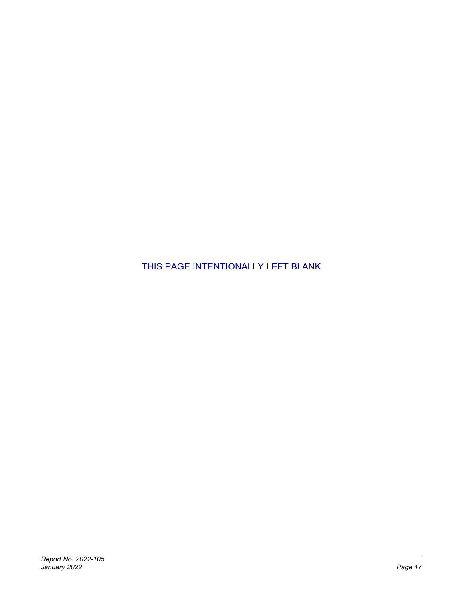THIS PAGE INTENTIONALLY LEFT BLANK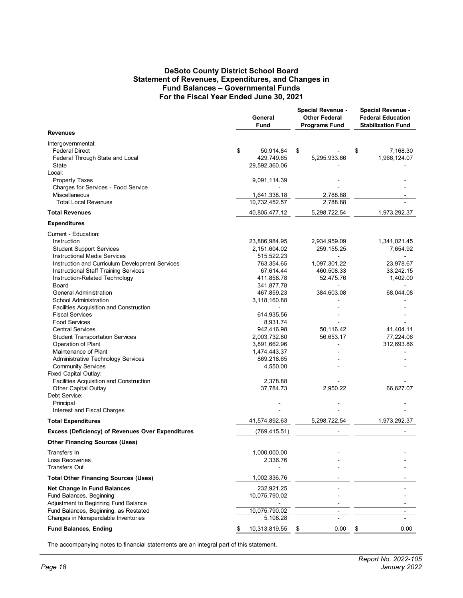#### **DeSoto County District School Board Statement of Revenues, Expenditures, and Changes in Fund Balances – Governmental Funds For the Fiscal Year Ended June 30, 2021**

<span id="page-23-0"></span>

|                                                                         | General<br>Fund          | <b>Special Revenue -</b><br><b>Other Federal</b><br><b>Programs Fund</b> | <b>Special Revenue -</b><br><b>Federal Education</b><br><b>Stabilization Fund</b> |
|-------------------------------------------------------------------------|--------------------------|--------------------------------------------------------------------------|-----------------------------------------------------------------------------------|
| <b>Revenues</b>                                                         |                          |                                                                          |                                                                                   |
| Intergovernmental:                                                      |                          |                                                                          |                                                                                   |
| <b>Federal Direct</b>                                                   | \$<br>50,914.84          | \$                                                                       | 7,168.30<br>\$                                                                    |
| Federal Through State and Local                                         | 429,749.65               | 5,295,933.66                                                             | 1,966,124.07                                                                      |
| State<br>Local:                                                         | 29,592,360.06            |                                                                          |                                                                                   |
| <b>Property Taxes</b>                                                   | 9,091,114.39             |                                                                          |                                                                                   |
| Charges for Services - Food Service                                     |                          |                                                                          |                                                                                   |
| Miscellaneous                                                           | 1,641,338.18             | 2,788.88                                                                 |                                                                                   |
| <b>Total Local Revenues</b>                                             | 10,732,452.57            | 2,788.88                                                                 |                                                                                   |
| <b>Total Revenues</b>                                                   | 40,805,477.12            | 5,298,722.54                                                             | 1,973,292.37                                                                      |
| <b>Expenditures</b>                                                     |                          |                                                                          |                                                                                   |
|                                                                         |                          |                                                                          |                                                                                   |
| Current - Education:                                                    |                          |                                                                          |                                                                                   |
| Instruction                                                             | 23,886,984.95            | 2,934,959.09                                                             | 1,341,021.45                                                                      |
| <b>Student Support Services</b>                                         | 2,151,604.02             | 259, 155. 25                                                             | 7,654.92                                                                          |
| <b>Instructional Media Services</b>                                     | 515,522.23               |                                                                          |                                                                                   |
| Instruction and Curriculum Development Services                         | 763,354.65               | 1,097,301.22                                                             | 23,978.67                                                                         |
| <b>Instructional Staff Training Services</b>                            | 67,614.44                | 460,508.33                                                               | 33,242.15                                                                         |
| Instruction-Related Technology                                          | 411,858.78               | 52,475.76                                                                | 1,402.00                                                                          |
| Board                                                                   | 341,877.78               |                                                                          |                                                                                   |
| <b>General Administration</b>                                           | 467,859.23               | 384,603.08                                                               | 68,044.08                                                                         |
| <b>School Administration</b><br>Facilities Acquisition and Construction | 3,118,160.88             |                                                                          |                                                                                   |
| <b>Fiscal Services</b>                                                  | 614,935.56               |                                                                          |                                                                                   |
| <b>Food Services</b>                                                    | 8,931.74                 |                                                                          |                                                                                   |
| <b>Central Services</b>                                                 | 942,416.98               | 50,116.42                                                                | 41,404.11                                                                         |
| <b>Student Transportation Services</b>                                  | 2,003,732.80             | 56,653.17                                                                | 77,224.06                                                                         |
| Operation of Plant                                                      | 3,891,662.96             |                                                                          | 312,693.86                                                                        |
| Maintenance of Plant                                                    | 1,474,443.37             |                                                                          |                                                                                   |
| <b>Administrative Technology Services</b>                               | 869,218.65               |                                                                          |                                                                                   |
| <b>Community Services</b>                                               | 4,550.00                 |                                                                          |                                                                                   |
| Fixed Capital Outlay:                                                   |                          |                                                                          |                                                                                   |
| <b>Facilities Acquisition and Construction</b>                          | 2,378.88                 |                                                                          |                                                                                   |
| Other Capital Outlay                                                    | 37,784.73                | 2,950.22                                                                 | 66,627.07                                                                         |
| Debt Service:                                                           |                          |                                                                          |                                                                                   |
| Principal                                                               |                          |                                                                          |                                                                                   |
| Interest and Fiscal Charges                                             |                          |                                                                          |                                                                                   |
| <b>Total Expenditures</b>                                               | 41,574,892.63            | 5,298,722.54                                                             | 1,973,292.37                                                                      |
| <b>Excess (Deficiency) of Revenues Over Expenditures</b>                | (769, 415.51)            |                                                                          |                                                                                   |
| <b>Other Financing Sources (Uses)</b>                                   |                          |                                                                          |                                                                                   |
| Transfers In                                                            | 1,000,000.00             |                                                                          |                                                                                   |
| <b>Loss Recoveries</b>                                                  | 2,336.76                 |                                                                          |                                                                                   |
| <b>Transfers Out</b>                                                    |                          |                                                                          |                                                                                   |
| <b>Total Other Financing Sources (Uses)</b>                             | 1,002,336.76             |                                                                          |                                                                                   |
| <b>Net Change in Fund Balances</b>                                      | 232,921.25               |                                                                          |                                                                                   |
| Fund Balances, Beginning                                                | 10,075,790.02            |                                                                          |                                                                                   |
| Adjustment to Beginning Fund Balance                                    | $\overline{\phantom{a}}$ |                                                                          |                                                                                   |
| Fund Balances, Beginning, as Restated                                   | 10,075,790.02            |                                                                          |                                                                                   |
| Changes in Nonspendable Inventories                                     | 5,108.28                 | $\overline{\phantom{a}}$                                                 | $\overline{\phantom{0}}$                                                          |
| <b>Fund Balances, Ending</b>                                            | \$<br>10,313,819.55      | 0.00<br>\$                                                               | \$<br>0.00                                                                        |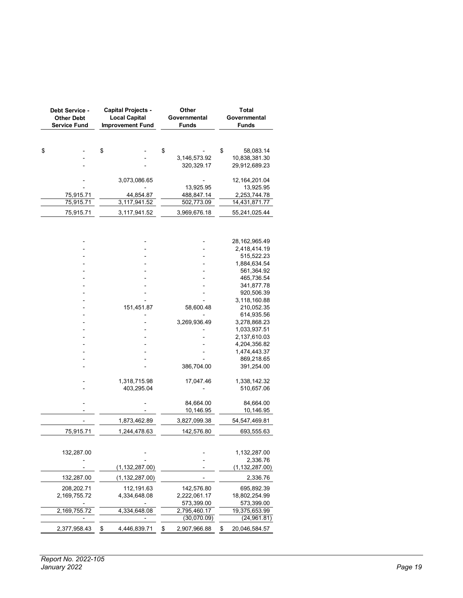| Debt Service -<br><b>Other Debt</b><br><b>Service Fund</b> | <b>Capital Projects -</b><br><b>Local Capital</b><br><b>Improvement Fund</b> | Other<br>Governmental<br><b>Funds</b> | <b>Total</b><br>Governmental<br><b>Funds</b> |
|------------------------------------------------------------|------------------------------------------------------------------------------|---------------------------------------|----------------------------------------------|
|                                                            |                                                                              |                                       |                                              |
| \$                                                         | \$                                                                           | \$                                    | \$<br>58,083.14                              |
|                                                            |                                                                              | 3,146,573.92                          | 10,838,381.30                                |
|                                                            |                                                                              | 320,329.17                            | 29,912,689.23                                |
|                                                            | 3,073,086.65                                                                 |                                       | 12, 164, 201.04                              |
|                                                            |                                                                              | 13,925.95                             | 13,925.95                                    |
| 75,915.71                                                  | 44,854.87                                                                    | 488,847.14                            | 2,253,744.78                                 |
| 75,915.71                                                  | 3,117,941.52                                                                 | 502,773.09                            | 14,431,871.77                                |
| 75,915.71                                                  | 3,117,941.52                                                                 | 3,969,676.18                          | 55,241,025.44                                |
|                                                            |                                                                              |                                       |                                              |
|                                                            |                                                                              |                                       | 28,162,965.49                                |
|                                                            |                                                                              |                                       | 2,418,414.19                                 |
|                                                            |                                                                              |                                       | 515,522.23                                   |
|                                                            |                                                                              |                                       | 1,884,634.54                                 |
|                                                            |                                                                              |                                       | 561,364.92                                   |
|                                                            |                                                                              |                                       | 465,736.54<br>341,877.78                     |
|                                                            |                                                                              |                                       | 920,506.39                                   |
|                                                            |                                                                              |                                       | 3,118,160.88                                 |
|                                                            | 151,451.87                                                                   | 58,600.48                             | 210,052.35                                   |
|                                                            |                                                                              |                                       | 614,935.56                                   |
|                                                            |                                                                              | 3,269,936.49                          | 3,278,868.23                                 |
|                                                            |                                                                              |                                       | 1,033,937.51                                 |
|                                                            |                                                                              |                                       | 2,137,610.03                                 |
|                                                            |                                                                              |                                       | 4,204,356.82<br>1,474,443.37                 |
|                                                            |                                                                              |                                       | 869,218.65                                   |
|                                                            |                                                                              | 386,704.00                            | 391,254.00                                   |
|                                                            |                                                                              |                                       |                                              |
|                                                            | 1,318,715.98                                                                 | 17,047.46                             | 1,338,142.32                                 |
|                                                            | 403,295.04                                                                   |                                       | 510,657.06                                   |
|                                                            |                                                                              | 84,664.00                             | 84,664.00                                    |
|                                                            |                                                                              | 10,146.95                             | 10,146.95                                    |
|                                                            | 1,873,462.89                                                                 | 3,827,099.38                          | 54,547,469.81                                |
| 75,915.71                                                  | 1,244,478.63                                                                 | 142,576.80                            | 693,555.63                                   |
|                                                            |                                                                              |                                       |                                              |
| 132,287.00                                                 |                                                                              |                                       | 1,132,287.00                                 |
|                                                            |                                                                              |                                       | 2,336.76                                     |
|                                                            | (1,132,287.00)                                                               |                                       | (1, 132, 287.00)                             |
| 132,287.00                                                 | (1, 132, 287.00)                                                             |                                       | 2,336.76                                     |
| 208,202.71                                                 | 112,191.63                                                                   | 142,576.80                            | 695,892.39                                   |
| 2, 169, 755. 72                                            | 4,334,648.08                                                                 | 2,222,061.17                          | 18,802,254.99                                |
|                                                            |                                                                              | 573,399.00                            | 573,399.00                                   |
| 2, 169, 755. 72                                            | 4,334,648.08                                                                 | 2,795,460.17                          | 19,375,653.99                                |
|                                                            |                                                                              | (30,070.09)                           | (24,961.81)                                  |
| 2,377,958.43                                               | \$<br>4,446,839.71                                                           | \$<br>2,907,966.88                    | \$<br>20,046,584.57                          |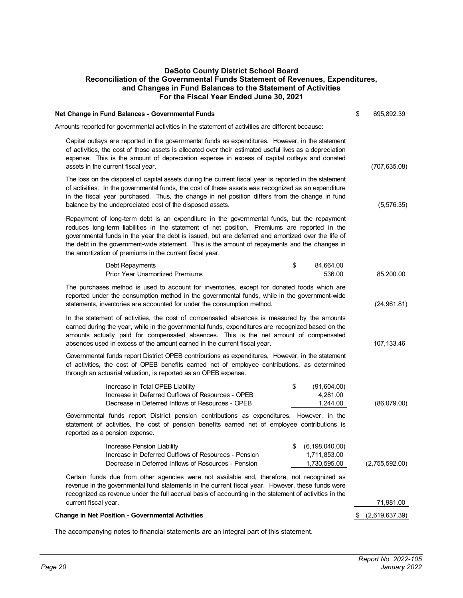#### <span id="page-25-0"></span>**DeSoto County District School Board Reconciliation of the Governmental Funds Statement of Revenues, Expenditures, and Changes in Fund Balances to the Statement of Activities For the Fiscal Year Ended June 30, 2021**

| Net Change in Fund Balances - Governmental Funds                                                                                                                                                                                                                                                                                                                                                                                                               | \$<br>695,892.39 |
|----------------------------------------------------------------------------------------------------------------------------------------------------------------------------------------------------------------------------------------------------------------------------------------------------------------------------------------------------------------------------------------------------------------------------------------------------------------|------------------|
| Amounts reported for governmental activities in the statement of activities are different because:                                                                                                                                                                                                                                                                                                                                                             |                  |
| Capital outlays are reported in the governmental funds as expenditures. However, in the statement<br>of activities, the cost of those assets is allocated over their estimated useful lives as a depreciation<br>expense. This is the amount of depreciation expense in excess of capital outlays and donated<br>assets in the current fiscal year.                                                                                                            | (707, 635.08)    |
| The loss on the disposal of capital assets during the current fiscal year is reported in the statement<br>of activities. In the governmental funds, the cost of these assets was recognized as an expenditure<br>in the fiscal year purchased. Thus, the change in net position differs from the change in fund<br>balance by the undepreciated cost of the disposed assets.                                                                                   | (5, 576.35)      |
| Repayment of long-term debt is an expenditure in the governmental funds, but the repayment<br>reduces long-term liabilities in the statement of net position. Premiums are reported in the<br>governmental funds in the year the debt is issued, but are deferred and amortized over the life of<br>the debt in the government-wide statement. This is the amount of repayments and the changes in<br>the amortization of premiums in the current fiscal year. |                  |
| \$<br>84,664.00<br>Debt Repayments<br><b>Prior Year Unamortized Premiums</b><br>536.00                                                                                                                                                                                                                                                                                                                                                                         | 85,200.00        |
| The purchases method is used to account for inventories, except for donated foods which are<br>reported under the consumption method in the governmental funds, while in the government-wide<br>statements, inventories are accounted for under the consumption method.                                                                                                                                                                                        | (24, 961.81)     |
| In the statement of activities, the cost of compensated absences is measured by the amounts<br>earned during the year, while in the governmental funds, expenditures are recognized based on the<br>amounts actually paid for compensated absences. This is the net amount of compensated<br>absences used in excess of the amount earned in the current fiscal year.                                                                                          | 107, 133.46      |
| Governmental funds report District OPEB contributions as expenditures. However, in the statement<br>of activities, the cost of OPEB benefits earned net of employee contributions, as determined<br>through an actuarial valuation, is reported as an OPEB expense.                                                                                                                                                                                            |                  |
| Increase in Total OPEB Liability<br>\$<br>(91,604.00)<br>Increase in Deferred Outflows of Resources - OPEB<br>4,281.00<br>Decrease in Deferred Inflows of Resources - OPEB<br>1,244.00                                                                                                                                                                                                                                                                         | (86,079.00)      |
| Governmental funds report District pension contributions as expenditures. However, in the<br>statement of activities, the cost of pension benefits earned net of employee contributions is<br>reported as a pension expense.                                                                                                                                                                                                                                   |                  |
| \$ (6, 198, 040.00)<br>Increase Pension Liability<br>Increase in Deferred Outflows of Resources - Pension<br>1,711,853.00<br>Decrease in Deferred Inflows of Resources - Pension<br>1,730,595.00                                                                                                                                                                                                                                                               | (2,755,592.00)   |
| Certain funds due from other agencies were not available and, therefore, not recognized as<br>revenue in the governmental fund statements in the current fiscal year. However, these funds were<br>recognized as revenue under the full accrual basis of accounting in the statement of activities in the<br>current fiscal year.                                                                                                                              | 71,981.00        |
|                                                                                                                                                                                                                                                                                                                                                                                                                                                                |                  |
| <b>Change in Net Position - Governmental Activities</b>                                                                                                                                                                                                                                                                                                                                                                                                        | (2,619,637.39)   |
|                                                                                                                                                                                                                                                                                                                                                                                                                                                                |                  |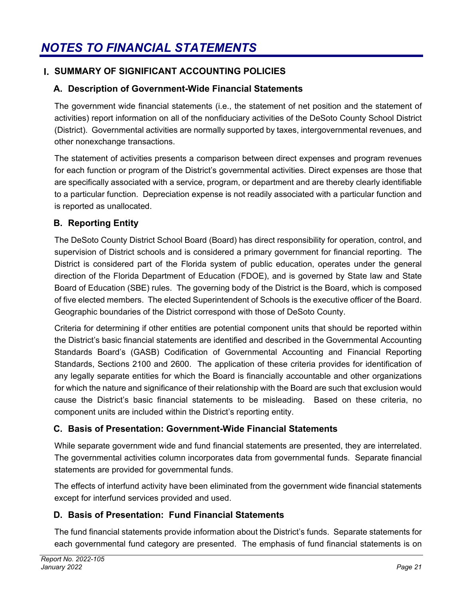#### <span id="page-26-0"></span> **SUMMARY OF SIGNIFICANT ACCOUNTING POLICIES**

#### **A. Description of Government-Wide Financial Statements**

The government wide financial statements (i.e., the statement of net position and the statement of activities) report information on all of the nonfiduciary activities of the DeSoto County School District (District). Governmental activities are normally supported by taxes, intergovernmental revenues, and other nonexchange transactions.

The statement of activities presents a comparison between direct expenses and program revenues for each function or program of the District's governmental activities. Direct expenses are those that are specifically associated with a service, program, or department and are thereby clearly identifiable to a particular function. Depreciation expense is not readily associated with a particular function and is reported as unallocated.

#### **B. Reporting Entity**

The DeSoto County District School Board (Board) has direct responsibility for operation, control, and supervision of District schools and is considered a primary government for financial reporting. The District is considered part of the Florida system of public education, operates under the general direction of the Florida Department of Education (FDOE), and is governed by State law and State Board of Education (SBE) rules. The governing body of the District is the Board, which is composed of five elected members. The elected Superintendent of Schools is the executive officer of the Board. Geographic boundaries of the District correspond with those of DeSoto County.

Criteria for determining if other entities are potential component units that should be reported within the District's basic financial statements are identified and described in the Governmental Accounting Standards Board's (GASB) Codification of Governmental Accounting and Financial Reporting Standards, Sections 2100 and 2600. The application of these criteria provides for identification of any legally separate entities for which the Board is financially accountable and other organizations for which the nature and significance of their relationship with the Board are such that exclusion would cause the District's basic financial statements to be misleading. Based on these criteria, no component units are included within the District's reporting entity.

#### **C. Basis of Presentation: Government-Wide Financial Statements**

While separate government wide and fund financial statements are presented, they are interrelated. The governmental activities column incorporates data from governmental funds. Separate financial statements are provided for governmental funds.

The effects of interfund activity have been eliminated from the government wide financial statements except for interfund services provided and used.

#### **D. Basis of Presentation: Fund Financial Statements**

The fund financial statements provide information about the District's funds. Separate statements for each governmental fund category are presented. The emphasis of fund financial statements is on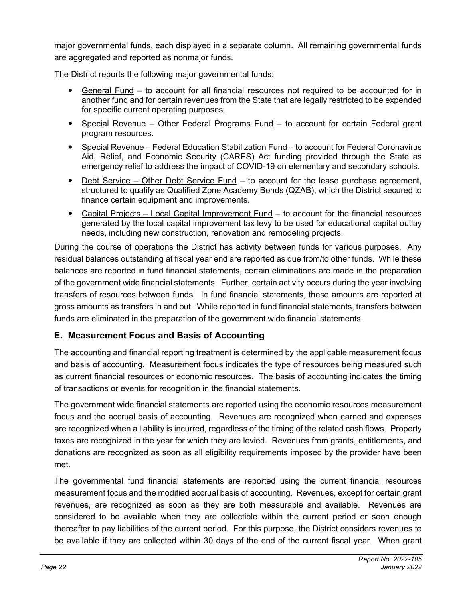major governmental funds, each displayed in a separate column. All remaining governmental funds are aggregated and reported as nonmajor funds.

The District reports the following major governmental funds:

- General Fund to account for all financial resources not required to be accounted for in another fund and for certain revenues from the State that are legally restricted to be expended for specific current operating purposes.
- Special Revenue Other Federal Programs Fund to account for certain Federal grant program resources.
- Special Revenue Federal Education Stabilization Fund to account for Federal Coronavirus Aid, Relief, and Economic Security (CARES) Act funding provided through the State as emergency relief to address the impact of COVID-19 on elementary and secondary schools.
- Debt Service Other Debt Service Fund to account for the lease purchase agreement, structured to qualify as Qualified Zone Academy Bonds (QZAB), which the District secured to finance certain equipment and improvements.
- Capital Projects Local Capital Improvement Fund to account for the financial resources generated by the local capital improvement tax levy to be used for educational capital outlay needs, including new construction, renovation and remodeling projects.

During the course of operations the District has activity between funds for various purposes. Any residual balances outstanding at fiscal year end are reported as due from/to other funds. While these balances are reported in fund financial statements, certain eliminations are made in the preparation of the government wide financial statements. Further, certain activity occurs during the year involving transfers of resources between funds. In fund financial statements, these amounts are reported at gross amounts as transfers in and out. While reported in fund financial statements, transfers between funds are eliminated in the preparation of the government wide financial statements.

#### **E. Measurement Focus and Basis of Accounting**

The accounting and financial reporting treatment is determined by the applicable measurement focus and basis of accounting. Measurement focus indicates the type of resources being measured such as current financial resources or economic resources. The basis of accounting indicates the timing of transactions or events for recognition in the financial statements.

The government wide financial statements are reported using the economic resources measurement focus and the accrual basis of accounting. Revenues are recognized when earned and expenses are recognized when a liability is incurred, regardless of the timing of the related cash flows. Property taxes are recognized in the year for which they are levied. Revenues from grants, entitlements, and donations are recognized as soon as all eligibility requirements imposed by the provider have been met.

The governmental fund financial statements are reported using the current financial resources measurement focus and the modified accrual basis of accounting. Revenues, except for certain grant revenues, are recognized as soon as they are both measurable and available. Revenues are considered to be available when they are collectible within the current period or soon enough thereafter to pay liabilities of the current period. For this purpose, the District considers revenues to be available if they are collected within 30 days of the end of the current fiscal year. When grant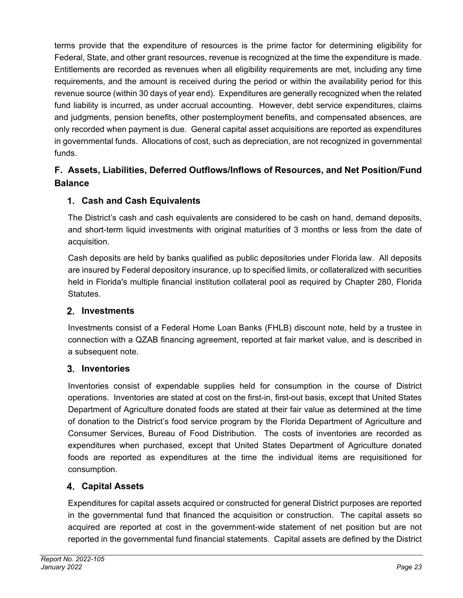terms provide that the expenditure of resources is the prime factor for determining eligibility for Federal, State, and other grant resources, revenue is recognized at the time the expenditure is made. Entitlements are recorded as revenues when all eligibility requirements are met, including any time requirements, and the amount is received during the period or within the availability period for this revenue source (within 30 days of year end). Expenditures are generally recognized when the related fund liability is incurred, as under accrual accounting. However, debt service expenditures, claims and judgments, pension benefits, other postemployment benefits, and compensated absences, are only recorded when payment is due. General capital asset acquisitions are reported as expenditures in governmental funds. Allocations of cost, such as depreciation, are not recognized in governmental funds.

#### **F. Assets, Liabilities, Deferred Outflows/Inflows of Resources, and Net Position/Fund Balance**

#### **Cash and Cash Equivalents**

The District's cash and cash equivalents are considered to be cash on hand, demand deposits, and short-term liquid investments with original maturities of 3 months or less from the date of acquisition.

Cash deposits are held by banks qualified as public depositories under Florida law. All deposits are insured by Federal depository insurance, up to specified limits, or collateralized with securities held in Florida's multiple financial institution collateral pool as required by Chapter 280, Florida Statutes.

#### **Investments**

Investments consist of a Federal Home Loan Banks (FHLB) discount note, held by a trustee in connection with a QZAB financing agreement, reported at fair market value, and is described in a subsequent note.

#### **Inventories**

Inventories consist of expendable supplies held for consumption in the course of District operations. Inventories are stated at cost on the first-in, first-out basis, except that United States Department of Agriculture donated foods are stated at their fair value as determined at the time of donation to the District's food service program by the Florida Department of Agriculture and Consumer Services, Bureau of Food Distribution. The costs of inventories are recorded as expenditures when purchased, except that United States Department of Agriculture donated foods are reported as expenditures at the time the individual items are requisitioned for consumption.

#### **Capital Assets**

Expenditures for capital assets acquired or constructed for general District purposes are reported in the governmental fund that financed the acquisition or construction. The capital assets so acquired are reported at cost in the government-wide statement of net position but are not reported in the governmental fund financial statements. Capital assets are defined by the District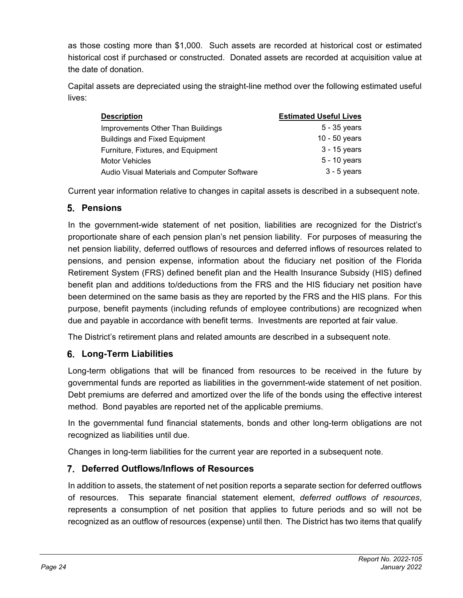as those costing more than \$1,000. Such assets are recorded at historical cost or estimated historical cost if purchased or constructed. Donated assets are recorded at acquisition value at the date of donation.

Capital assets are depreciated using the straight-line method over the following estimated useful lives:

| <b>Description</b>                           | <b>Estimated Useful Lives</b> |
|----------------------------------------------|-------------------------------|
| Improvements Other Than Buildings            | $5 - 35$ years                |
| <b>Buildings and Fixed Equipment</b>         | 10 - 50 years                 |
| Furniture, Fixtures, and Equipment           | 3 - 15 years                  |
| <b>Motor Vehicles</b>                        | $5 - 10$ years                |
| Audio Visual Materials and Computer Software | $3 - 5$ years                 |

Current year information relative to changes in capital assets is described in a subsequent note.

#### **Pensions**

In the government-wide statement of net position, liabilities are recognized for the District's proportionate share of each pension plan's net pension liability. For purposes of measuring the net pension liability, deferred outflows of resources and deferred inflows of resources related to pensions, and pension expense, information about the fiduciary net position of the Florida Retirement System (FRS) defined benefit plan and the Health Insurance Subsidy (HIS) defined benefit plan and additions to/deductions from the FRS and the HIS fiduciary net position have been determined on the same basis as they are reported by the FRS and the HIS plans. For this purpose, benefit payments (including refunds of employee contributions) are recognized when due and payable in accordance with benefit terms. Investments are reported at fair value.

The District's retirement plans and related amounts are described in a subsequent note.

#### **Long-Term Liabilities**

Long-term obligations that will be financed from resources to be received in the future by governmental funds are reported as liabilities in the government-wide statement of net position. Debt premiums are deferred and amortized over the life of the bonds using the effective interest method. Bond payables are reported net of the applicable premiums.

In the governmental fund financial statements, bonds and other long-term obligations are not recognized as liabilities until due.

Changes in long-term liabilities for the current year are reported in a subsequent note.

#### **Deferred Outflows/Inflows of Resources**

In addition to assets, the statement of net position reports a separate section for deferred outflows of resources. This separate financial statement element, *deferred outflows of resources*, represents a consumption of net position that applies to future periods and so will not be recognized as an outflow of resources (expense) until then. The District has two items that qualify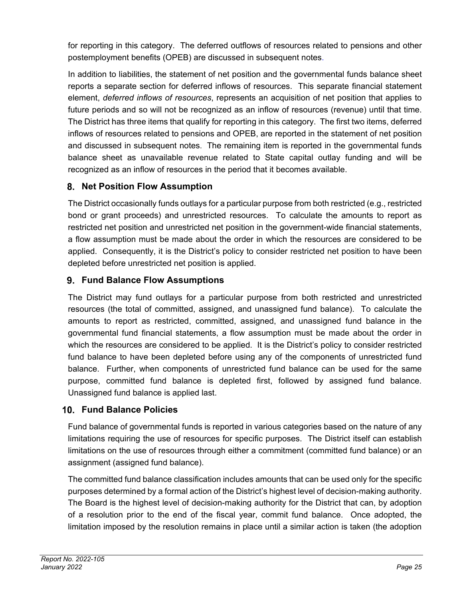for reporting in this category. The deferred outflows of resources related to pensions and other postemployment benefits (OPEB) are discussed in subsequent notes.

In addition to liabilities, the statement of net position and the governmental funds balance sheet reports a separate section for deferred inflows of resources. This separate financial statement element, *deferred inflows of resources*, represents an acquisition of net position that applies to future periods and so will not be recognized as an inflow of resources (revenue) until that time. The District has three items that qualify for reporting in this category. The first two items, deferred inflows of resources related to pensions and OPEB, are reported in the statement of net position and discussed in subsequent notes. The remaining item is reported in the governmental funds balance sheet as unavailable revenue related to State capital outlay funding and will be recognized as an inflow of resources in the period that it becomes available.

#### **Net Position Flow Assumption**

The District occasionally funds outlays for a particular purpose from both restricted (e.g., restricted bond or grant proceeds) and unrestricted resources. To calculate the amounts to report as restricted net position and unrestricted net position in the government-wide financial statements, a flow assumption must be made about the order in which the resources are considered to be applied. Consequently, it is the District's policy to consider restricted net position to have been depleted before unrestricted net position is applied.

#### **Fund Balance Flow Assumptions**

The District may fund outlays for a particular purpose from both restricted and unrestricted resources (the total of committed, assigned, and unassigned fund balance). To calculate the amounts to report as restricted, committed, assigned, and unassigned fund balance in the governmental fund financial statements, a flow assumption must be made about the order in which the resources are considered to be applied. It is the District's policy to consider restricted fund balance to have been depleted before using any of the components of unrestricted fund balance. Further, when components of unrestricted fund balance can be used for the same purpose, committed fund balance is depleted first, followed by assigned fund balance. Unassigned fund balance is applied last.

#### **Fund Balance Policies**

Fund balance of governmental funds is reported in various categories based on the nature of any limitations requiring the use of resources for specific purposes. The District itself can establish limitations on the use of resources through either a commitment (committed fund balance) or an assignment (assigned fund balance).

The committed fund balance classification includes amounts that can be used only for the specific purposes determined by a formal action of the District's highest level of decision-making authority. The Board is the highest level of decision-making authority for the District that can, by adoption of a resolution prior to the end of the fiscal year, commit fund balance. Once adopted, the limitation imposed by the resolution remains in place until a similar action is taken (the adoption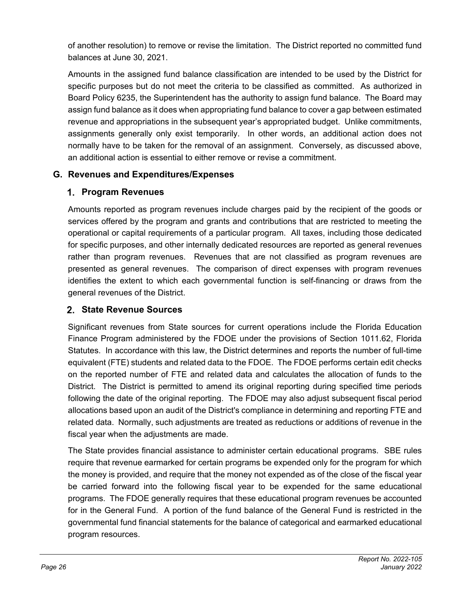of another resolution) to remove or revise the limitation. The District reported no committed fund balances at June 30, 2021.

Amounts in the assigned fund balance classification are intended to be used by the District for specific purposes but do not meet the criteria to be classified as committed. As authorized in Board Policy 6235, the Superintendent has the authority to assign fund balance. The Board may assign fund balance as it does when appropriating fund balance to cover a gap between estimated revenue and appropriations in the subsequent year's appropriated budget. Unlike commitments, assignments generally only exist temporarily. In other words, an additional action does not normally have to be taken for the removal of an assignment. Conversely, as discussed above, an additional action is essential to either remove or revise a commitment.

#### **G. Revenues and Expenditures/Expenses**

#### **Program Revenues**

Amounts reported as program revenues include charges paid by the recipient of the goods or services offered by the program and grants and contributions that are restricted to meeting the operational or capital requirements of a particular program. All taxes, including those dedicated for specific purposes, and other internally dedicated resources are reported as general revenues rather than program revenues. Revenues that are not classified as program revenues are presented as general revenues. The comparison of direct expenses with program revenues identifies the extent to which each governmental function is self-financing or draws from the general revenues of the District.

#### **State Revenue Sources**

Significant revenues from State sources for current operations include the Florida Education Finance Program administered by the FDOE under the provisions of Section 1011.62, Florida Statutes. In accordance with this law, the District determines and reports the number of full-time equivalent (FTE) students and related data to the FDOE. The FDOE performs certain edit checks on the reported number of FTE and related data and calculates the allocation of funds to the District. The District is permitted to amend its original reporting during specified time periods following the date of the original reporting. The FDOE may also adjust subsequent fiscal period allocations based upon an audit of the District's compliance in determining and reporting FTE and related data. Normally, such adjustments are treated as reductions or additions of revenue in the fiscal year when the adjustments are made.

The State provides financial assistance to administer certain educational programs. SBE rules require that revenue earmarked for certain programs be expended only for the program for which the money is provided, and require that the money not expended as of the close of the fiscal year be carried forward into the following fiscal year to be expended for the same educational programs. The FDOE generally requires that these educational program revenues be accounted for in the General Fund. A portion of the fund balance of the General Fund is restricted in the governmental fund financial statements for the balance of categorical and earmarked educational program resources.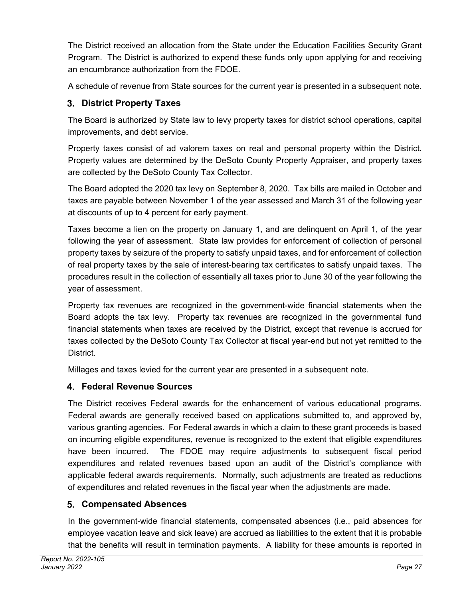The District received an allocation from the State under the Education Facilities Security Grant Program. The District is authorized to expend these funds only upon applying for and receiving an encumbrance authorization from the FDOE.

A schedule of revenue from State sources for the current year is presented in a subsequent note.

#### **District Property Taxes**

The Board is authorized by State law to levy property taxes for district school operations, capital improvements, and debt service.

Property taxes consist of ad valorem taxes on real and personal property within the District. Property values are determined by the DeSoto County Property Appraiser, and property taxes are collected by the DeSoto County Tax Collector.

The Board adopted the 2020 tax levy on September 8, 2020. Tax bills are mailed in October and taxes are payable between November 1 of the year assessed and March 31 of the following year at discounts of up to 4 percent for early payment.

Taxes become a lien on the property on January 1, and are delinquent on April 1, of the year following the year of assessment. State law provides for enforcement of collection of personal property taxes by seizure of the property to satisfy unpaid taxes, and for enforcement of collection of real property taxes by the sale of interest-bearing tax certificates to satisfy unpaid taxes. The procedures result in the collection of essentially all taxes prior to June 30 of the year following the year of assessment.

Property tax revenues are recognized in the government-wide financial statements when the Board adopts the tax levy. Property tax revenues are recognized in the governmental fund financial statements when taxes are received by the District, except that revenue is accrued for taxes collected by the DeSoto County Tax Collector at fiscal year-end but not yet remitted to the District.

Millages and taxes levied for the current year are presented in a subsequent note.

#### **Federal Revenue Sources**

The District receives Federal awards for the enhancement of various educational programs. Federal awards are generally received based on applications submitted to, and approved by, various granting agencies. For Federal awards in which a claim to these grant proceeds is based on incurring eligible expenditures, revenue is recognized to the extent that eligible expenditures have been incurred. The FDOE may require adjustments to subsequent fiscal period expenditures and related revenues based upon an audit of the District's compliance with applicable federal awards requirements. Normally, such adjustments are treated as reductions of expenditures and related revenues in the fiscal year when the adjustments are made.

#### **Compensated Absences**

In the government-wide financial statements, compensated absences (i.e., paid absences for employee vacation leave and sick leave) are accrued as liabilities to the extent that it is probable that the benefits will result in termination payments. A liability for these amounts is reported in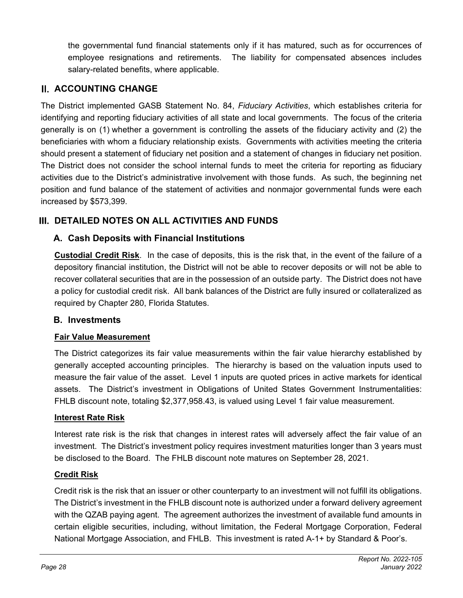the governmental fund financial statements only if it has matured, such as for occurrences of employee resignations and retirements. The liability for compensated absences includes salary-related benefits, where applicable.

#### **II. ACCOUNTING CHANGE**

The District implemented GASB Statement No. 84, *Fiduciary Activities*, which establishes criteria for identifying and reporting fiduciary activities of all state and local governments. The focus of the criteria generally is on (1) whether a government is controlling the assets of the fiduciary activity and (2) the beneficiaries with whom a fiduciary relationship exists. Governments with activities meeting the criteria should present a statement of fiduciary net position and a statement of changes in fiduciary net position. The District does not consider the school internal funds to meet the criteria for reporting as fiduciary activities due to the District's administrative involvement with those funds. As such, the beginning net position and fund balance of the statement of activities and nonmajor governmental funds were each increased by \$573,399.

#### **DETAILED NOTES ON ALL ACTIVITIES AND FUNDS**

#### **A. Cash Deposits with Financial Institutions**

**Custodial Credit Risk**. In the case of deposits, this is the risk that, in the event of the failure of a depository financial institution, the District will not be able to recover deposits or will not be able to recover collateral securities that are in the possession of an outside party. The District does not have a policy for custodial credit risk. All bank balances of the District are fully insured or collateralized as required by Chapter 280, Florida Statutes.

#### **B. Investments**

#### **Fair Value Measurement**

The District categorizes its fair value measurements within the fair value hierarchy established by generally accepted accounting principles. The hierarchy is based on the valuation inputs used to measure the fair value of the asset. Level 1 inputs are quoted prices in active markets for identical assets. The District's investment in Obligations of United States Government Instrumentalities: FHLB discount note, totaling \$2,377,958.43, is valued using Level 1 fair value measurement.

#### **Interest Rate Risk**

Interest rate risk is the risk that changes in interest rates will adversely affect the fair value of an investment. The District's investment policy requires investment maturities longer than 3 years must be disclosed to the Board. The FHLB discount note matures on September 28, 2021.

#### **Credit Risk**

Credit risk is the risk that an issuer or other counterparty to an investment will not fulfill its obligations. The District's investment in the FHLB discount note is authorized under a forward delivery agreement with the QZAB paying agent. The agreement authorizes the investment of available fund amounts in certain eligible securities, including, without limitation, the Federal Mortgage Corporation, Federal National Mortgage Association, and FHLB. This investment is rated A-1+ by Standard & Poor's.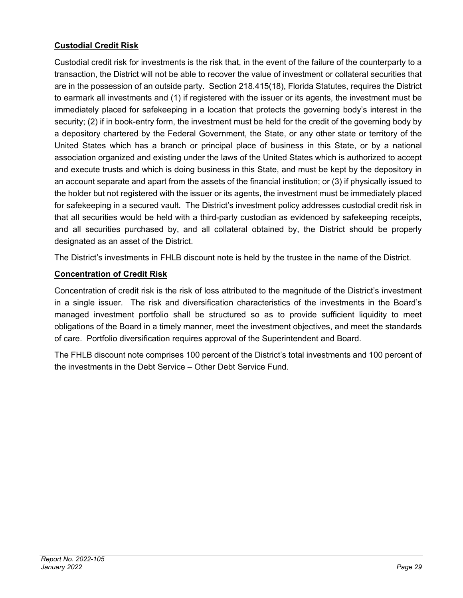#### **Custodial Credit Risk**

Custodial credit risk for investments is the risk that, in the event of the failure of the counterparty to a transaction, the District will not be able to recover the value of investment or collateral securities that are in the possession of an outside party. Section 218.415(18), Florida Statutes, requires the District to earmark all investments and (1) if registered with the issuer or its agents, the investment must be immediately placed for safekeeping in a location that protects the governing body's interest in the security; (2) if in book-entry form, the investment must be held for the credit of the governing body by a depository chartered by the Federal Government, the State, or any other state or territory of the United States which has a branch or principal place of business in this State, or by a national association organized and existing under the laws of the United States which is authorized to accept and execute trusts and which is doing business in this State, and must be kept by the depository in an account separate and apart from the assets of the financial institution; or (3) if physically issued to the holder but not registered with the issuer or its agents, the investment must be immediately placed for safekeeping in a secured vault. The District's investment policy addresses custodial credit risk in that all securities would be held with a third-party custodian as evidenced by safekeeping receipts, and all securities purchased by, and all collateral obtained by, the District should be properly designated as an asset of the District.

The District's investments in FHLB discount note is held by the trustee in the name of the District.

#### **Concentration of Credit Risk**

Concentration of credit risk is the risk of loss attributed to the magnitude of the District's investment in a single issuer. The risk and diversification characteristics of the investments in the Board's managed investment portfolio shall be structured so as to provide sufficient liquidity to meet obligations of the Board in a timely manner, meet the investment objectives, and meet the standards of care. Portfolio diversification requires approval of the Superintendent and Board.

The FHLB discount note comprises 100 percent of the District's total investments and 100 percent of the investments in the Debt Service – Other Debt Service Fund.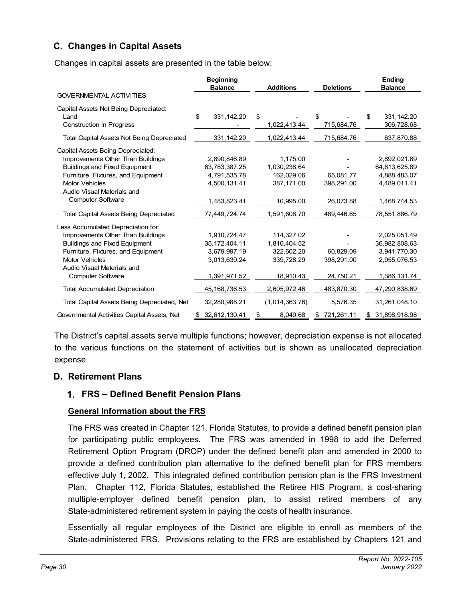#### **C. Changes in Capital Assets**

Changes in capital assets are presented in the table below:

|                                                                                                                                                                                                                                          | <b>Beginning</b><br><b>Balance</b>                                              | <b>Additions</b>                                                    | <b>Deletions</b>                     | <b>Ending</b><br><b>Balance</b>                                               |
|------------------------------------------------------------------------------------------------------------------------------------------------------------------------------------------------------------------------------------------|---------------------------------------------------------------------------------|---------------------------------------------------------------------|--------------------------------------|-------------------------------------------------------------------------------|
| <b>GOVERNMENTAL ACTIVITIES</b>                                                                                                                                                                                                           |                                                                                 |                                                                     |                                      |                                                                               |
| Capital Assets Not Being Depreciated:<br>Land<br><b>Construction in Progress</b>                                                                                                                                                         | \$<br>331,142.20                                                                | \$<br>1,022,413.44                                                  | \$<br>715,684.76                     | \$<br>331, 142. 20<br>306,728.68                                              |
| <b>Total Capital Assets Not Being Depreciated</b>                                                                                                                                                                                        | 331, 142. 20                                                                    | 1,022,413.44                                                        | 715,684.76                           | 637,870.88                                                                    |
| Capital Assets Being Depreciated:<br>Improvements Other Than Buildings<br><b>Buildings and Fixed Equipment</b><br>Furniture, Fixtures, and Equipment<br><b>Motor Vehicles</b><br>Audio Visual Materials and<br><b>Computer Software</b>  | 2,890,846.89<br>63,783,387.25<br>4,791,535.78<br>4,500,131.41<br>1,483,823.41   | 1,175.00<br>1,030,238.64<br>162,029.06<br>387,171.00<br>10,995.00   | 65,081.77<br>398,291.00<br>26,073.88 | 2,892,021.89<br>64,813,625.89<br>4,888,483.07<br>4,489,011.41<br>1,468,744.53 |
| <b>Total Capital Assets Being Depreciated</b>                                                                                                                                                                                            | 77,449,724.74                                                                   | 1,591,608.70                                                        | 489,446.65                           | 78,551,886.79                                                                 |
| Less Accumulated Depreciation for:<br>Improvements Other Than Buildings<br><b>Buildings and Fixed Equipment</b><br>Furniture, Fixtures, and Equipment<br><b>Motor Vehicles</b><br>Audio Visual Materials and<br><b>Computer Software</b> | 1,910,724.47<br>35, 172, 404.11<br>3,679,997.19<br>3,013,639.24<br>1,391,971.52 | 114,327.02<br>1,810,404.52<br>322,602.20<br>339,728.29<br>18,910.43 | 60.829.09<br>398,291.00<br>24,750.21 | 2,025,051.49<br>36,982,808.63<br>3,941,770.30<br>2,955,076.53<br>1,386,131.74 |
| <b>Total Accumulated Depreciation</b>                                                                                                                                                                                                    | 45, 168, 736.53                                                                 | 2,605,972.46                                                        | 483,870.30                           | 47,290,838.69                                                                 |
| Total Capital Assets Being Depreciated, Net                                                                                                                                                                                              | 32,280,988.21                                                                   | (1,014,363.76)                                                      | 5,576.35                             | 31,261,048.10                                                                 |
| Governmental Activities Capital Assets, Net                                                                                                                                                                                              | 32,612,130.41<br>\$                                                             | 8,049.68<br>\$                                                      | 721,261.11<br>\$                     | 31,898,918.98<br>\$                                                           |

The District's capital assets serve multiple functions; however, depreciation expense is not allocated to the various functions on the statement of activities but is shown as unallocated depreciation expense.

#### **D. Retirement Plans**

#### **FRS – Defined Benefit Pension Plans**

#### **General Information about the FRS**

The FRS was created in Chapter 121, Florida Statutes, to provide a defined benefit pension plan for participating public employees. The FRS was amended in 1998 to add the Deferred Retirement Option Program (DROP) under the defined benefit plan and amended in 2000 to provide a defined contribution plan alternative to the defined benefit plan for FRS members effective July 1, 2002. This integrated defined contribution pension plan is the FRS Investment Plan. Chapter 112, Florida Statutes, established the Retiree HIS Program, a cost-sharing multiple-employer defined benefit pension plan, to assist retired members of any State-administered retirement system in paying the costs of health insurance.

Essentially all regular employees of the District are eligible to enroll as members of the State-administered FRS. Provisions relating to the FRS are established by Chapters 121 and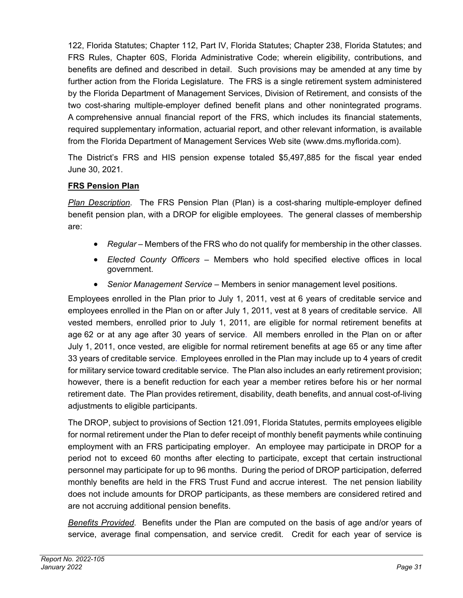122, Florida Statutes; Chapter 112, Part IV, Florida Statutes; Chapter 238, Florida Statutes; and FRS Rules, Chapter 60S, Florida Administrative Code; wherein eligibility, contributions, and benefits are defined and described in detail. Such provisions may be amended at any time by further action from the Florida Legislature. The FRS is a single retirement system administered by the Florida Department of Management Services, Division of Retirement, and consists of the two cost-sharing multiple-employer defined benefit plans and other nonintegrated programs. A comprehensive annual financial report of the FRS, which includes its financial statements, required supplementary information, actuarial report, and other relevant information, is available from the Florida Department of Management Services Web site (www.dms.myflorida.com).

The District's FRS and HIS pension expense totaled \$5,497,885 for the fiscal year ended June 30, 2021.

#### **FRS Pension Plan**

*Plan Description*. The FRS Pension Plan (Plan) is a cost-sharing multiple-employer defined benefit pension plan, with a DROP for eligible employees. The general classes of membership are:

- *Regular* Members of the FRS who do not qualify for membership in the other classes.
- *Elected County Officers* Members who hold specified elective offices in local government.
- *Senior Management Service*  Members in senior management level positions.

Employees enrolled in the Plan prior to July 1, 2011, vest at 6 years of creditable service and employees enrolled in the Plan on or after July 1, 2011, vest at 8 years of creditable service. All vested members, enrolled prior to July 1, 2011, are eligible for normal retirement benefits at age 62 or at any age after 30 years of service. All members enrolled in the Plan on or after July 1, 2011, once vested, are eligible for normal retirement benefits at age 65 or any time after 33 years of creditable service. Employees enrolled in the Plan may include up to 4 years of credit for military service toward creditable service. The Plan also includes an early retirement provision; however, there is a benefit reduction for each year a member retires before his or her normal retirement date. The Plan provides retirement, disability, death benefits, and annual cost-of-living adjustments to eligible participants.

The DROP, subject to provisions of Section 121.091, Florida Statutes, permits employees eligible for normal retirement under the Plan to defer receipt of monthly benefit payments while continuing employment with an FRS participating employer. An employee may participate in DROP for a period not to exceed 60 months after electing to participate, except that certain instructional personnel may participate for up to 96 months. During the period of DROP participation, deferred monthly benefits are held in the FRS Trust Fund and accrue interest. The net pension liability does not include amounts for DROP participants, as these members are considered retired and are not accruing additional pension benefits.

*Benefits Provided*. Benefits under the Plan are computed on the basis of age and/or years of service, average final compensation, and service credit. Credit for each year of service is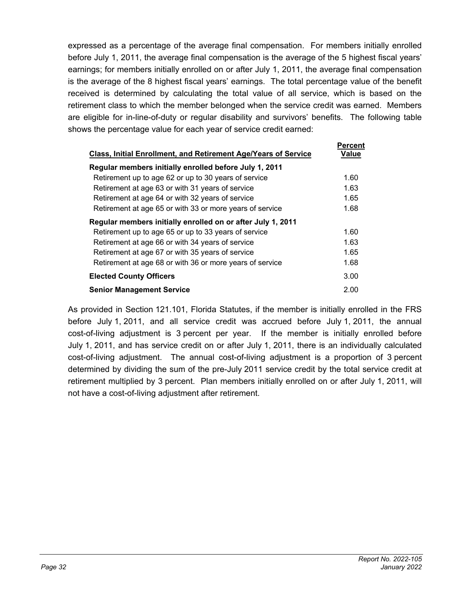expressed as a percentage of the average final compensation. For members initially enrolled before July 1, 2011, the average final compensation is the average of the 5 highest fiscal years' earnings; for members initially enrolled on or after July 1, 2011, the average final compensation is the average of the 8 highest fiscal years' earnings. The total percentage value of the benefit received is determined by calculating the total value of all service, which is based on the retirement class to which the member belonged when the service credit was earned. Members are eligible for in-line-of-duty or regular disability and survivors' benefits. The following table shows the percentage value for each year of service credit earned:

|                                                                | Percent |
|----------------------------------------------------------------|---------|
| Class, Initial Enrollment, and Retirement Age/Years of Service | Value   |
| Regular members initially enrolled before July 1, 2011         |         |
| Retirement up to age 62 or up to 30 years of service           | 1.60    |
| Retirement at age 63 or with 31 years of service               | 1.63    |
| Retirement at age 64 or with 32 years of service               | 1.65    |
| Retirement at age 65 or with 33 or more years of service       | 1.68    |
| Regular members initially enrolled on or after July 1, 2011    |         |
| Retirement up to age 65 or up to 33 years of service           | 1.60    |
| Retirement at age 66 or with 34 years of service               | 1.63    |
| Retirement at age 67 or with 35 years of service               | 1.65    |
| Retirement at age 68 or with 36 or more years of service       | 1.68    |
| <b>Elected County Officers</b>                                 | 3.00    |
| <b>Senior Management Service</b>                               | 2.00    |

As provided in Section 121.101, Florida Statutes, if the member is initially enrolled in the FRS before July 1, 2011, and all service credit was accrued before July 1, 2011, the annual cost-of-living adjustment is 3 percent per year. If the member is initially enrolled before July 1, 2011, and has service credit on or after July 1, 2011, there is an individually calculated cost-of-living adjustment. The annual cost-of-living adjustment is a proportion of 3 percent determined by dividing the sum of the pre-July 2011 service credit by the total service credit at retirement multiplied by 3 percent. Plan members initially enrolled on or after July 1, 2011, will not have a cost-of-living adjustment after retirement.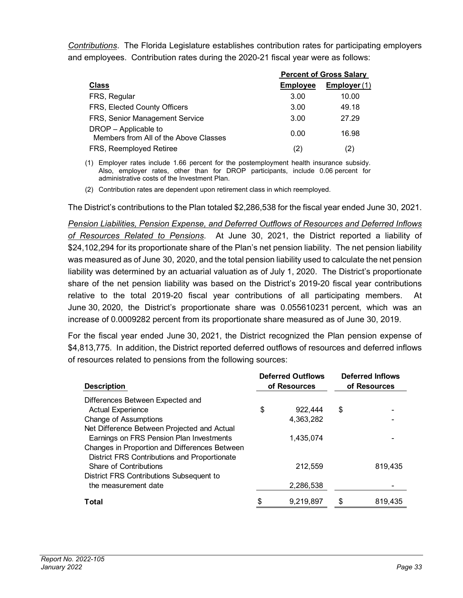*Contributions*. The Florida Legislature establishes contribution rates for participating employers and employees. Contribution rates during the 2020-21 fiscal year were as follows:

|                                                               | <b>Percent of Gross Salary</b> |                |  |
|---------------------------------------------------------------|--------------------------------|----------------|--|
| <b>Class</b>                                                  | <b>Employee</b>                | Employer $(1)$ |  |
| FRS, Regular                                                  | 3.00                           | 10.00          |  |
| FRS, Elected County Officers                                  | 3.00                           | 49.18          |  |
| FRS, Senior Management Service                                | 3.00                           | 27.29          |  |
| DROP - Applicable to<br>Members from All of the Above Classes | 0.00                           | 16.98          |  |
| FRS, Reemployed Retiree                                       | (2)                            | (2)            |  |

(1) Employer rates include 1.66 percent for the postemployment health insurance subsidy. Also, employer rates, other than for DROP participants, include 0.06 percent for administrative costs of the Investment Plan.

(2) Contribution rates are dependent upon retirement class in which reemployed.

The District's contributions to the Plan totaled \$2,286,538 for the fiscal year ended June 30, 2021.

*Pension Liabilities, Pension Expense, and Deferred Outflows of Resources and Deferred Inflows of Resources Related to Pensions*. At June 30, 2021, the District reported a liability of \$24,102,294 for its proportionate share of the Plan's net pension liability. The net pension liability was measured as of June 30, 2020, and the total pension liability used to calculate the net pension liability was determined by an actuarial valuation as of July 1, 2020. The District's proportionate share of the net pension liability was based on the District's 2019-20 fiscal year contributions relative to the total 2019-20 fiscal year contributions of all participating members. At June 30, 2020, the District's proportionate share was 0.055610231 percent, which was an increase of 0.0009282 percent from its proportionate share measured as of June 30, 2019.

For the fiscal year ended June 30, 2021, the District recognized the Plan pension expense of \$4,813,775. In addition, the District reported deferred outflows of resources and deferred inflows of resources related to pensions from the following sources:

| <b>Description</b>                            |    | <b>Deferred Outflows</b><br>of Resources |    | <b>Deferred Inflows</b><br>of Resources |  |
|-----------------------------------------------|----|------------------------------------------|----|-----------------------------------------|--|
| Differences Between Expected and              |    |                                          |    |                                         |  |
| <b>Actual Experience</b>                      | \$ | 922.444                                  | \$ |                                         |  |
| <b>Change of Assumptions</b>                  |    | 4,363,282                                |    |                                         |  |
| Net Difference Between Projected and Actual   |    |                                          |    |                                         |  |
| Earnings on FRS Pension Plan Investments      |    | 1.435.074                                |    |                                         |  |
| Changes in Proportion and Differences Between |    |                                          |    |                                         |  |
| District FRS Contributions and Proportionate  |    |                                          |    |                                         |  |
| <b>Share of Contributions</b>                 |    | 212,559                                  |    | 819,435                                 |  |
| District FRS Contributions Subsequent to      |    |                                          |    |                                         |  |
| the measurement date                          |    | 2,286,538                                |    |                                         |  |
| Total                                         | \$ | 9,219,897                                |    | 819,435                                 |  |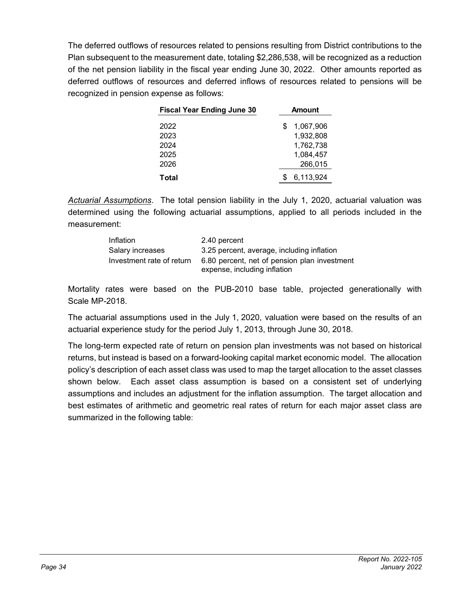The deferred outflows of resources related to pensions resulting from District contributions to the Plan subsequent to the measurement date, totaling \$2,286,538, will be recognized as a reduction of the net pension liability in the fiscal year ending June 30, 2022. Other amounts reported as deferred outflows of resources and deferred inflows of resources related to pensions will be recognized in pension expense as follows:

| <b>Fiscal Year Ending June 30</b> | Amount |           |  |
|-----------------------------------|--------|-----------|--|
| 2022                              | S      | 1,067,906 |  |
| 2023                              |        | 1,932,808 |  |
| 2024                              |        | 1,762,738 |  |
| 2025                              |        | 1,084,457 |  |
| 2026                              |        | 266,015   |  |
| Total                             |        | 6,113,924 |  |

*Actuarial Assumptions*. The total pension liability in the July 1, 2020, actuarial valuation was determined using the following actuarial assumptions, applied to all periods included in the measurement:

| Inflation                 | 2.40 percent                                                                 |
|---------------------------|------------------------------------------------------------------------------|
| Salary increases          | 3.25 percent, average, including inflation                                   |
| Investment rate of return | 6.80 percent, net of pension plan investment<br>expense, including inflation |

Mortality rates were based on the PUB-2010 base table, projected generationally with Scale MP-2018.

The actuarial assumptions used in the July 1, 2020, valuation were based on the results of an actuarial experience study for the period July 1, 2013, through June 30, 2018.

The long-term expected rate of return on pension plan investments was not based on historical returns, but instead is based on a forward-looking capital market economic model. The allocation policy's description of each asset class was used to map the target allocation to the asset classes shown below. Each asset class assumption is based on a consistent set of underlying assumptions and includes an adjustment for the inflation assumption. The target allocation and best estimates of arithmetic and geometric real rates of return for each major asset class are summarized in the following table: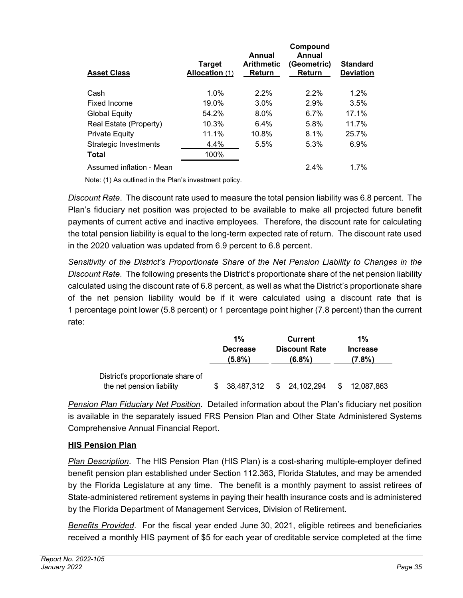| <b>Asset Class</b>           | <b>Target</b><br>Allocation (1) | Annual<br><b>Arithmetic</b><br>Return | Compound<br>Annual<br>(Geometric)<br>Return | <b>Standard</b><br><b>Deviation</b> |
|------------------------------|---------------------------------|---------------------------------------|---------------------------------------------|-------------------------------------|
| Cash                         | 1.0%                            | 2.2%                                  | 2.2%                                        | $1.2\%$                             |
| Fixed Income                 | 19.0%                           | 3.0%                                  | 2.9%                                        | 3.5%                                |
| <b>Global Equity</b>         | 54.2%                           | 8.0%                                  | 6.7%                                        | 17.1%                               |
| Real Estate (Property)       | 10.3%                           | 6.4%                                  | 5.8%                                        | 11.7%                               |
| <b>Private Equity</b>        | 11.1%                           | 10.8%                                 | 8.1%                                        | 25.7%                               |
| <b>Strategic Investments</b> | 4.4%                            | 5.5%                                  | 5.3%                                        | 6.9%                                |
| <b>Total</b>                 | 100%                            |                                       |                                             |                                     |
| Assumed inflation - Mean     |                                 |                                       | 2.4%                                        | 1.7%                                |

Note: (1) As outlined in the Plan's investment policy.

*Discount Rate*. The discount rate used to measure the total pension liability was 6.8 percent. The Plan's fiduciary net position was projected to be available to make all projected future benefit payments of current active and inactive employees. Therefore, the discount rate for calculating the total pension liability is equal to the long-term expected rate of return. The discount rate used in the 2020 valuation was updated from 6.9 percent to 6.8 percent.

*Sensitivity of the District's Proportionate Share of the Net Pension Liability to Changes in the Discount Rate*. The following presents the District's proportionate share of the net pension liability calculated using the discount rate of 6.8 percent, as well as what the District's proportionate share of the net pension liability would be if it were calculated using a discount rate that is 1 percentage point lower (5.8 percent) or 1 percentage point higher (7.8 percent) than the current rate:

|                                                                | 1%                        | <b>Current</b>                 | $1\%$                        |  |
|----------------------------------------------------------------|---------------------------|--------------------------------|------------------------------|--|
|                                                                | <b>Decrease</b><br>(5.8%) | <b>Discount Rate</b><br>(6.8%) | <b>Increase</b><br>$(7.8\%)$ |  |
| District's proportionate share of<br>the net pension liability | 38,487,312                | \$24,102,294                   | \$<br>12,087,863             |  |

*Pension Plan Fiduciary Net Position*. Detailed information about the Plan's fiduciary net position is available in the separately issued FRS Pension Plan and Other State Administered Systems Comprehensive Annual Financial Report.

#### **HIS Pension Plan**

*Plan Description*. The HIS Pension Plan (HIS Plan) is a cost-sharing multiple-employer defined benefit pension plan established under Section 112.363, Florida Statutes, and may be amended by the Florida Legislature at any time. The benefit is a monthly payment to assist retirees of State-administered retirement systems in paying their health insurance costs and is administered by the Florida Department of Management Services, Division of Retirement.

*Benefits Provided*. For the fiscal year ended June 30, 2021, eligible retirees and beneficiaries received a monthly HIS payment of \$5 for each year of creditable service completed at the time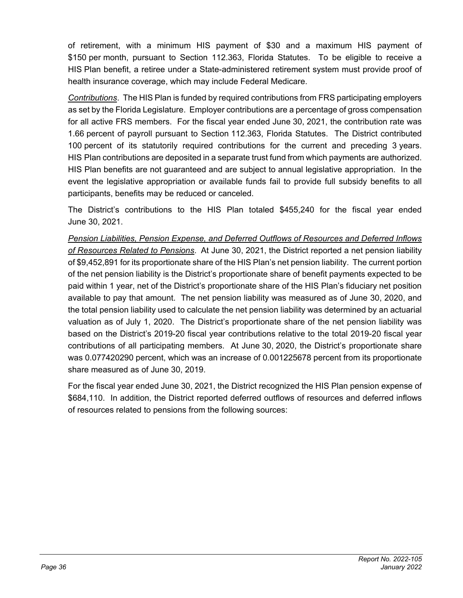of retirement, with a minimum HIS payment of \$30 and a maximum HIS payment of \$150 per month, pursuant to Section 112.363, Florida Statutes. To be eligible to receive a HIS Plan benefit, a retiree under a State-administered retirement system must provide proof of health insurance coverage, which may include Federal Medicare.

*Contributions*. The HIS Plan is funded by required contributions from FRS participating employers as set by the Florida Legislature. Employer contributions are a percentage of gross compensation for all active FRS members. For the fiscal year ended June 30, 2021, the contribution rate was 1.66 percent of payroll pursuant to Section 112.363, Florida Statutes. The District contributed 100 percent of its statutorily required contributions for the current and preceding 3 years. HIS Plan contributions are deposited in a separate trust fund from which payments are authorized. HIS Plan benefits are not guaranteed and are subject to annual legislative appropriation. In the event the legislative appropriation or available funds fail to provide full subsidy benefits to all participants, benefits may be reduced or canceled.

The District's contributions to the HIS Plan totaled \$455,240 for the fiscal year ended June 30, 2021.

*Pension Liabilities, Pension Expense, and Deferred Outflows of Resources and Deferred Inflows of Resources Related to Pensions*. At June 30, 2021, the District reported a net pension liability of \$9,452,891 for its proportionate share of the HIS Plan's net pension liability. The current portion of the net pension liability is the District's proportionate share of benefit payments expected to be paid within 1 year, net of the District's proportionate share of the HIS Plan's fiduciary net position available to pay that amount. The net pension liability was measured as of June 30, 2020, and the total pension liability used to calculate the net pension liability was determined by an actuarial valuation as of July 1, 2020. The District's proportionate share of the net pension liability was based on the District's 2019-20 fiscal year contributions relative to the total 2019-20 fiscal year contributions of all participating members. At June 30, 2020, the District's proportionate share was 0.077420290 percent, which was an increase of 0.001225678 percent from its proportionate share measured as of June 30, 2019.

For the fiscal year ended June 30, 2021, the District recognized the HIS Plan pension expense of \$684,110. In addition, the District reported deferred outflows of resources and deferred inflows of resources related to pensions from the following sources: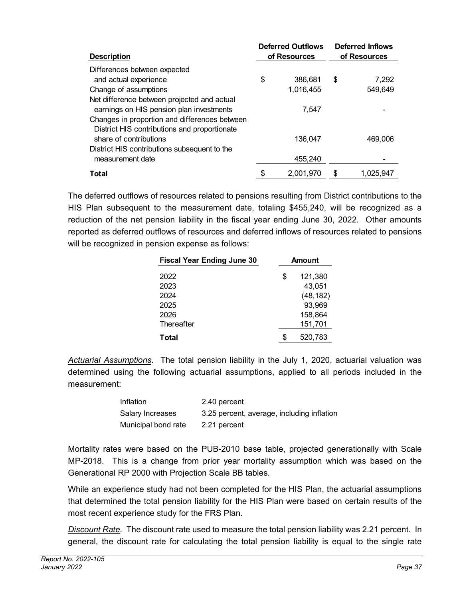| <b>Description</b>                                                                            |    | <b>Deferred Outflows</b><br>of Resources |    | <b>Deferred Inflows</b><br>of Resources |  |
|-----------------------------------------------------------------------------------------------|----|------------------------------------------|----|-----------------------------------------|--|
| Differences between expected                                                                  |    |                                          |    |                                         |  |
| and actual experience                                                                         | \$ | 386,681                                  | \$ | 7,292                                   |  |
| Change of assumptions                                                                         |    | 1,016,455                                |    | 549,649                                 |  |
| Net difference between projected and actual<br>earnings on HIS pension plan investments       |    | 7.547                                    |    |                                         |  |
| Changes in proportion and differences between<br>District HIS contributions and proportionate |    |                                          |    |                                         |  |
| share of contributions                                                                        |    | 136,047                                  |    | 469,006                                 |  |
| District HIS contributions subsequent to the                                                  |    |                                          |    |                                         |  |
| measurement date                                                                              |    | 455,240                                  |    |                                         |  |
| Total                                                                                         | \$ | 2,001,970                                |    | 1.025.947                               |  |

The deferred outflows of resources related to pensions resulting from District contributions to the HIS Plan subsequent to the measurement date, totaling \$455,240, will be recognized as a reduction of the net pension liability in the fiscal year ending June 30, 2022. Other amounts reported as deferred outflows of resources and deferred inflows of resources related to pensions will be recognized in pension expense as follows:

| <b>Fiscal Year Ending June 30</b> | Amount |                     |  |
|-----------------------------------|--------|---------------------|--|
| 2022                              | \$     | 121,380             |  |
| 2023                              |        | 43,051              |  |
| 2024<br>2025                      |        | (48, 182)<br>93,969 |  |
| 2026                              |        | 158,864             |  |
| Thereafter                        |        | 151,701             |  |
| Total                             | S      | 520,783             |  |

*Actuarial Assumptions*. The total pension liability in the July 1, 2020, actuarial valuation was determined using the following actuarial assumptions, applied to all periods included in the measurement:

| Inflation           | 2.40 percent                               |
|---------------------|--------------------------------------------|
| Salary Increases    | 3.25 percent, average, including inflation |
| Municipal bond rate | 2.21 percent                               |

Mortality rates were based on the PUB-2010 base table, projected generationally with Scale MP-2018. This is a change from prior year mortality assumption which was based on the Generational RP 2000 with Projection Scale BB tables.

While an experience study had not been completed for the HIS Plan, the actuarial assumptions that determined the total pension liability for the HIS Plan were based on certain results of the most recent experience study for the FRS Plan.

*Discount Rate*. The discount rate used to measure the total pension liability was 2.21 percent. In general, the discount rate for calculating the total pension liability is equal to the single rate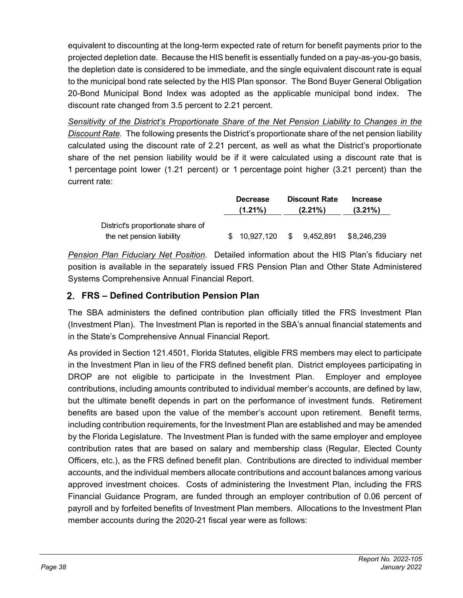equivalent to discounting at the long-term expected rate of return for benefit payments prior to the projected depletion date. Because the HIS benefit is essentially funded on a pay-as-you-go basis, the depletion date is considered to be immediate, and the single equivalent discount rate is equal to the municipal bond rate selected by the HIS Plan sponsor. The Bond Buyer General Obligation 20-Bond Municipal Bond Index was adopted as the applicable municipal bond index. The discount rate changed from 3.5 percent to 2.21 percent.

*Sensitivity of the District's Proportionate Share of the Net Pension Liability to Changes in the Discount Rate*. The following presents the District's proportionate share of the net pension liability calculated using the discount rate of 2.21 percent, as well as what the District's proportionate share of the net pension liability would be if it were calculated using a discount rate that is 1 percentage point lower (1.21 percent) or 1 percentage point higher (3.21 percent) than the current rate:

|                                   | <b>Decrease</b> |            | <b>Discount Rate</b> | <b>Increase</b> |  |
|-----------------------------------|-----------------|------------|----------------------|-----------------|--|
|                                   | $(1.21\%)$      | $(2.21\%)$ |                      | $(3.21\%)$      |  |
| District's proportionate share of |                 |            |                      |                 |  |
| the net pension liability         | 10.927.120      |            | \$ 9,452,891         | \$8,246,239     |  |

*Pension Plan Fiduciary Net Position*. Detailed information about the HIS Plan's fiduciary net position is available in the separately issued FRS Pension Plan and Other State Administered Systems Comprehensive Annual Financial Report.

#### **FRS – Defined Contribution Pension Plan**

The SBA administers the defined contribution plan officially titled the FRS Investment Plan (Investment Plan). The Investment Plan is reported in the SBA's annual financial statements and in the State's Comprehensive Annual Financial Report.

As provided in Section 121.4501, Florida Statutes, eligible FRS members may elect to participate in the Investment Plan in lieu of the FRS defined benefit plan. District employees participating in DROP are not eligible to participate in the Investment Plan. Employer and employee contributions, including amounts contributed to individual member's accounts, are defined by law, but the ultimate benefit depends in part on the performance of investment funds. Retirement benefits are based upon the value of the member's account upon retirement. Benefit terms, including contribution requirements, for the Investment Plan are established and may be amended by the Florida Legislature. The Investment Plan is funded with the same employer and employee contribution rates that are based on salary and membership class (Regular, Elected County Officers, etc.), as the FRS defined benefit plan. Contributions are directed to individual member accounts, and the individual members allocate contributions and account balances among various approved investment choices. Costs of administering the Investment Plan, including the FRS Financial Guidance Program, are funded through an employer contribution of 0.06 percent of payroll and by forfeited benefits of Investment Plan members. Allocations to the Investment Plan member accounts during the 2020-21 fiscal year were as follows: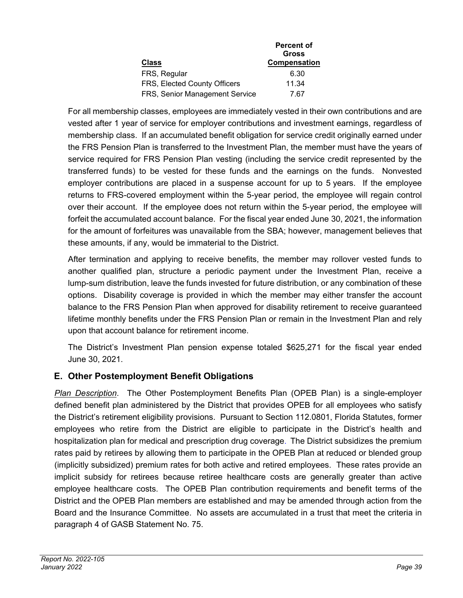|                                | <b>Percent of</b> |
|--------------------------------|-------------------|
|                                | Gross             |
| <b>Class</b>                   | Compensation      |
| FRS, Regular                   | 6.30              |
| FRS, Elected County Officers   | 11.34             |
| FRS, Senior Management Service | 7.67              |

For all membership classes, employees are immediately vested in their own contributions and are vested after 1 year of service for employer contributions and investment earnings, regardless of membership class. If an accumulated benefit obligation for service credit originally earned under the FRS Pension Plan is transferred to the Investment Plan, the member must have the years of service required for FRS Pension Plan vesting (including the service credit represented by the transferred funds) to be vested for these funds and the earnings on the funds. Nonvested employer contributions are placed in a suspense account for up to 5 years. If the employee returns to FRS-covered employment within the 5-year period, the employee will regain control over their account. If the employee does not return within the 5-year period, the employee will forfeit the accumulated account balance. For the fiscal year ended June 30, 2021, the information for the amount of forfeitures was unavailable from the SBA; however, management believes that these amounts, if any, would be immaterial to the District.

After termination and applying to receive benefits, the member may rollover vested funds to another qualified plan, structure a periodic payment under the Investment Plan, receive a lump-sum distribution, leave the funds invested for future distribution, or any combination of these options. Disability coverage is provided in which the member may either transfer the account balance to the FRS Pension Plan when approved for disability retirement to receive guaranteed lifetime monthly benefits under the FRS Pension Plan or remain in the Investment Plan and rely upon that account balance for retirement income.

The District's Investment Plan pension expense totaled \$625,271 for the fiscal year ended June 30, 2021.

#### **E. Other Postemployment Benefit Obligations**

*Plan Description*. The Other Postemployment Benefits Plan (OPEB Plan) is a single-employer defined benefit plan administered by the District that provides OPEB for all employees who satisfy the District's retirement eligibility provisions. Pursuant to Section 112.0801, Florida Statutes, former employees who retire from the District are eligible to participate in the District's health and hospitalization plan for medical and prescription drug coverage. The District subsidizes the premium rates paid by retirees by allowing them to participate in the OPEB Plan at reduced or blended group (implicitly subsidized) premium rates for both active and retired employees. These rates provide an implicit subsidy for retirees because retiree healthcare costs are generally greater than active employee healthcare costs. The OPEB Plan contribution requirements and benefit terms of the District and the OPEB Plan members are established and may be amended through action from the Board and the Insurance Committee. No assets are accumulated in a trust that meet the criteria in paragraph 4 of GASB Statement No. 75.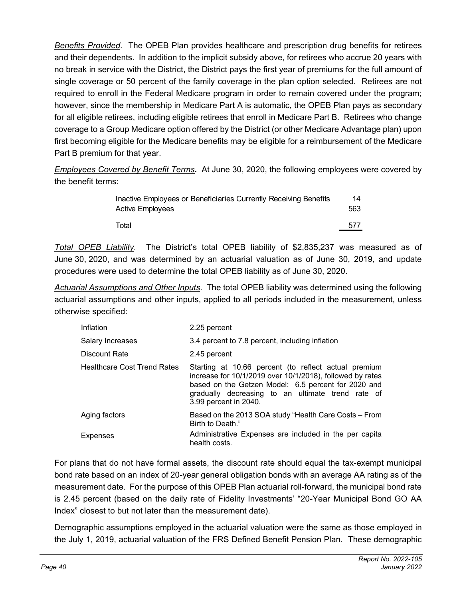*Benefits Provided.* The OPEB Plan provides healthcare and prescription drug benefits for retirees and their dependents. In addition to the implicit subsidy above, for retirees who accrue 20 years with no break in service with the District, the District pays the first year of premiums for the full amount of single coverage or 50 percent of the family coverage in the plan option selected. Retirees are not required to enroll in the Federal Medicare program in order to remain covered under the program; however, since the membership in Medicare Part A is automatic, the OPEB Plan pays as secondary for all eligible retirees, including eligible retirees that enroll in Medicare Part B. Retirees who change coverage to a Group Medicare option offered by the District (or other Medicare Advantage plan) upon first becoming eligible for the Medicare benefits may be eligible for a reimbursement of the Medicare Part B premium for that year.

*Employees Covered by Benefit Terms***.** At June 30, 2020, the following employees were covered by the benefit terms:

| Inactive Employees or Beneficiaries Currently Receiving Benefits | 14  |
|------------------------------------------------------------------|-----|
| <b>Active Employees</b>                                          | 563 |
| Total                                                            | 577 |

*Total OPEB Liability*. The District's total OPEB liability of \$2,835,237 was measured as of June 30, 2020, and was determined by an actuarial valuation as of June 30, 2019, and update procedures were used to determine the total OPEB liability as of June 30, 2020.

*Actuarial Assumptions and Other Inputs*. The total OPEB liability was determined using the following actuarial assumptions and other inputs, applied to all periods included in the measurement, unless otherwise specified:

| Inflation                          | 2.25 percent                                                                                                                                                                                                                                           |
|------------------------------------|--------------------------------------------------------------------------------------------------------------------------------------------------------------------------------------------------------------------------------------------------------|
| Salary Increases                   | 3.4 percent to 7.8 percent, including inflation                                                                                                                                                                                                        |
| Discount Rate                      | 2.45 percent                                                                                                                                                                                                                                           |
| <b>Healthcare Cost Trend Rates</b> | Starting at 10.66 percent (to reflect actual premium<br>increase for 10/1/2019 over 10/1/2018), followed by rates<br>based on the Getzen Model: 6.5 percent for 2020 and<br>gradually decreasing to an ultimate trend rate of<br>3.99 percent in 2040. |
| Aging factors                      | Based on the 2013 SOA study "Health Care Costs – From<br>Birth to Death."                                                                                                                                                                              |
| <b>Expenses</b>                    | Administrative Expenses are included in the per capita<br>health costs.                                                                                                                                                                                |

For plans that do not have formal assets, the discount rate should equal the tax-exempt municipal bond rate based on an index of 20-year general obligation bonds with an average AA rating as of the measurement date. For the purpose of this OPEB Plan actuarial roll-forward, the municipal bond rate is 2.45 percent (based on the daily rate of Fidelity Investments' "20-Year Municipal Bond GO AA Index" closest to but not later than the measurement date).

Demographic assumptions employed in the actuarial valuation were the same as those employed in the July 1, 2019, actuarial valuation of the FRS Defined Benefit Pension Plan. These demographic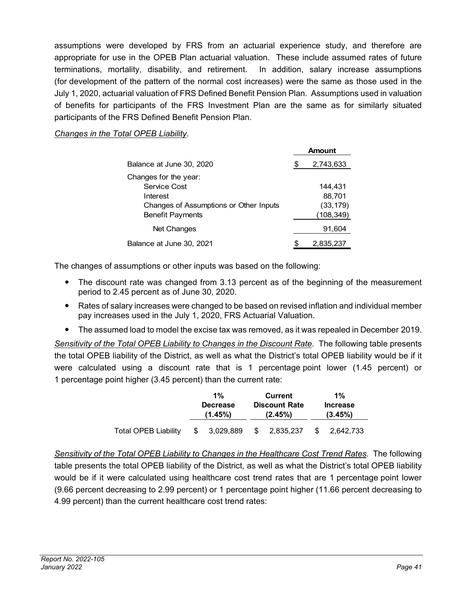assumptions were developed by FRS from an actuarial experience study, and therefore are appropriate for use in the OPEB Plan actuarial valuation. These include assumed rates of future terminations, mortality, disability, and retirement. In addition, salary increase assumptions (for development of the pattern of the normal cost increases) were the same as those used in the July 1, 2020, actuarial valuation of FRS Defined Benefit Pension Plan. Assumptions used in valuation of benefits for participants of the FRS Investment Plan are the same as for similarly situated participants of the FRS Defined Benefit Pension Plan.

#### *Changes in the Total OPEB Liability*.

|                                        | <b>Amount</b>   |
|----------------------------------------|-----------------|
| Balance at June 30, 2020               | \$<br>2,743,633 |
| Changes for the year:                  |                 |
| Service Cost                           | 144.431         |
| Interest                               | 88,701          |
| Changes of Assumptions or Other Inputs | (33, 179)       |
| <b>Benefit Payments</b>                | (108,349)       |
| Net Changes                            | 91,604          |
| Balance at June 30, 2021               | \$<br>2.835.237 |

The changes of assumptions or other inputs was based on the following:

- The discount rate was changed from 3.13 percent as of the beginning of the measurement period to 2.45 percent as of June 30, 2020.
- Rates of salary increases were changed to be based on revised inflation and individual member pay increases used in the July 1, 2020, FRS Actuarial Valuation.
- The assumed load to model the excise tax was removed, as it was repealed in December 2019.

*Sensitivity of the Total OPEB Liability to Changes in the Discount Rate*. The following table presents the total OPEB liability of the District, as well as what the District's total OPEB liability would be if it were calculated using a discount rate that is 1 percentage point lower (1.45 percent) or 1 percentage point higher (3.45 percent) than the current rate:

|                             |    | 1%<br><b>Decrease</b><br>$(1.45\%)$ | <b>Current</b><br><b>Discount Rate</b><br>(2.45%) |           |     | $1\%$<br><b>Increase</b><br>(3.45%) |
|-----------------------------|----|-------------------------------------|---------------------------------------------------|-----------|-----|-------------------------------------|
| <b>Total OPEB Liability</b> | S. | 3.029.889                           | \$                                                | 2,835,237 | -SG | 2.642.733                           |

*Sensitivity of the Total OPEB Liability to Changes in the Healthcare Cost Trend Rates*. The following table presents the total OPEB liability of the District, as well as what the District's total OPEB liability would be if it were calculated using healthcare cost trend rates that are 1 percentage point lower (9.66 percent decreasing to 2.99 percent) or 1 percentage point higher (11.66 percent decreasing to 4.99 percent) than the current healthcare cost trend rates: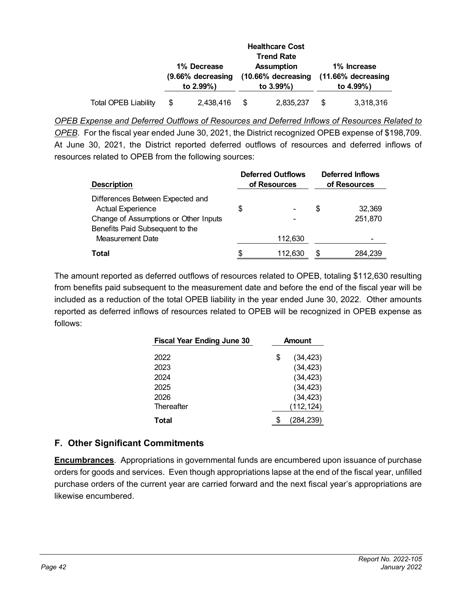|                             |   |                                                   | <b>Healthcare Cost</b><br><b>Trend Rate</b>              |                                                    |           |  |
|-----------------------------|---|---------------------------------------------------|----------------------------------------------------------|----------------------------------------------------|-----------|--|
|                             |   | 1% Decrease<br>(9.66% decreasing<br>to $2.99\%$ ) | <b>Assumption</b><br>(10.66% decreasing<br>to $3.99\%$ ) | 1% Increase<br>(11.66% decreasing<br>to $4.99\%$ ) |           |  |
| <b>Total OPEB Liability</b> | S | 2,438,416                                         | \$<br>2,835,237                                          | \$                                                 | 3,318,316 |  |

*OPEB Expense and Deferred Outflows of Resources and Deferred Inflows of Resources Related to OPEB*. For the fiscal year ended June 30, 2021, the District recognized OPEB expense of \$198,709. At June 30, 2021, the District reported deferred outflows of resources and deferred inflows of resources related to OPEB from the following sources:

| <b>Description</b>                                                                           | <b>Deferred Outflows</b><br>of Resources | <b>Deferred Inflows</b><br>of Resources |         |  |  |
|----------------------------------------------------------------------------------------------|------------------------------------------|-----------------------------------------|---------|--|--|
| Differences Between Expected and<br><b>Actual Experience</b>                                 | \$<br>$\overline{\phantom{0}}$           | \$                                      | 32,369  |  |  |
| Change of Assumptions or Other Inputs<br>Benefits Paid Subsequent to the<br>Measurement Date | $\overline{\phantom{0}}$<br>112,630      |                                         | 251,870 |  |  |
| Total                                                                                        | \$<br>112.630                            | S                                       | 284,239 |  |  |

The amount reported as deferred outflows of resources related to OPEB, totaling \$112,630 resulting from benefits paid subsequent to the measurement date and before the end of the fiscal year will be included as a reduction of the total OPEB liability in the year ended June 30, 2022. Other amounts reported as deferred inflows of resources related to OPEB will be recognized in OPEB expense as follows:

| <b>Fiscal Year Ending June 30</b> | <b>Amount</b> |            |  |
|-----------------------------------|---------------|------------|--|
| 2022                              | \$            | (34, 423)  |  |
| 2023                              |               | (34, 423)  |  |
| 2024                              |               | (34, 423)  |  |
| 2025                              |               | (34, 423)  |  |
| 2026                              |               | (34, 423)  |  |
| Thereafter                        |               | (112, 124) |  |
| Total                             |               | (284,239   |  |

#### **F. Other Significant Commitments**

**Encumbrances**. Appropriations in governmental funds are encumbered upon issuance of purchase orders for goods and services. Even though appropriations lapse at the end of the fiscal year, unfilled purchase orders of the current year are carried forward and the next fiscal year's appropriations are likewise encumbered.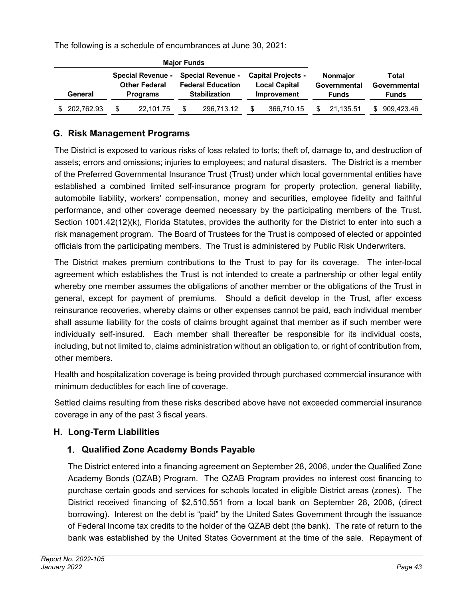The following is a schedule of encumbrances at June 30, 2021:

|                  |                                                                     |           | <b>Major Funds</b>                                                           |            |                                                                         |            |                                                 |           |                                       |            |
|------------------|---------------------------------------------------------------------|-----------|------------------------------------------------------------------------------|------------|-------------------------------------------------------------------------|------------|-------------------------------------------------|-----------|---------------------------------------|------------|
| General          | <b>Special Revenue -</b><br><b>Other Federal</b><br><b>Programs</b> |           | <b>Special Revenue -</b><br><b>Federal Education</b><br><b>Stabilization</b> |            | <b>Capital Projects -</b><br><b>Local Capital</b><br><b>Improvement</b> |            | <b>Nonmajor</b><br>Governmental<br><b>Funds</b> |           | Total<br>Governmental<br><b>Funds</b> |            |
| 202,762.93<br>S. |                                                                     | 22.101.75 | -S                                                                           | 296.713.12 | S                                                                       | 366.710.15 | \$.                                             | 21.135.51 | S.                                    | 909,423.46 |

#### **G. Risk Management Programs**

The District is exposed to various risks of loss related to torts; theft of, damage to, and destruction of assets; errors and omissions; injuries to employees; and natural disasters. The District is a member of the Preferred Governmental Insurance Trust (Trust) under which local governmental entities have established a combined limited self-insurance program for property protection, general liability, automobile liability, workers' compensation, money and securities, employee fidelity and faithful performance, and other coverage deemed necessary by the participating members of the Trust. Section 1001.42(12)(k), Florida Statutes, provides the authority for the District to enter into such a risk management program. The Board of Trustees for the Trust is composed of elected or appointed officials from the participating members. The Trust is administered by Public Risk Underwriters.

The District makes premium contributions to the Trust to pay for its coverage. The inter-local agreement which establishes the Trust is not intended to create a partnership or other legal entity whereby one member assumes the obligations of another member or the obligations of the Trust in general, except for payment of premiums. Should a deficit develop in the Trust, after excess reinsurance recoveries, whereby claims or other expenses cannot be paid, each individual member shall assume liability for the costs of claims brought against that member as if such member were individually self-insured. Each member shall thereafter be responsible for its individual costs, including, but not limited to, claims administration without an obligation to, or right of contribution from, other members.

Health and hospitalization coverage is being provided through purchased commercial insurance with minimum deductibles for each line of coverage.

Settled claims resulting from these risks described above have not exceeded commercial insurance coverage in any of the past 3 fiscal years.

#### **H. Long-Term Liabilities**

#### **Qualified Zone Academy Bonds Payable**

The District entered into a financing agreement on September 28, 2006, under the Qualified Zone Academy Bonds (QZAB) Program. The QZAB Program provides no interest cost financing to purchase certain goods and services for schools located in eligible District areas (zones). The District received financing of \$2,510,551 from a local bank on September 28, 2006, (direct borrowing). Interest on the debt is "paid" by the United Sates Government through the issuance of Federal Income tax credits to the holder of the QZAB debt (the bank). The rate of return to the bank was established by the United States Government at the time of the sale. Repayment of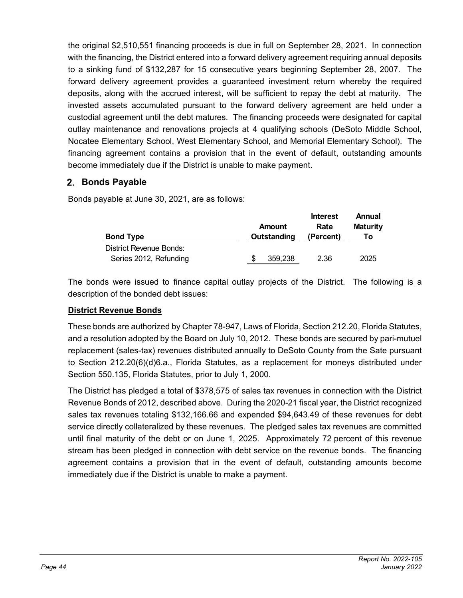the original \$2,510,551 financing proceeds is due in full on September 28, 2021. In connection with the financing, the District entered into a forward delivery agreement requiring annual deposits to a sinking fund of \$132,287 for 15 consecutive years beginning September 28, 2007. The forward delivery agreement provides a guaranteed investment return whereby the required deposits, along with the accrued interest, will be sufficient to repay the debt at maturity. The invested assets accumulated pursuant to the forward delivery agreement are held under a custodial agreement until the debt matures. The financing proceeds were designated for capital outlay maintenance and renovations projects at 4 qualifying schools (DeSoto Middle School, Nocatee Elementary School, West Elementary School, and Memorial Elementary School). The financing agreement contains a provision that in the event of default, outstanding amounts become immediately due if the District is unable to make payment.

#### **Bonds Payable**

Bonds payable at June 30, 2021, are as follows:

| <b>Bond Type</b>                                  |   | Amount<br>Outstanding | <b>Interest</b><br>Rate<br>(Percent) | Annual<br><b>Maturity</b><br>Τo |  |
|---------------------------------------------------|---|-----------------------|--------------------------------------|---------------------------------|--|
| District Revenue Bonds:<br>Series 2012, Refunding | S | 359,238               | 2.36                                 | 2025                            |  |

The bonds were issued to finance capital outlay projects of the District. The following is a description of the bonded debt issues:

#### **District Revenue Bonds**

These bonds are authorized by Chapter 78-947, Laws of Florida, Section 212.20, Florida Statutes, and a resolution adopted by the Board on July 10, 2012. These bonds are secured by pari-mutuel replacement (sales-tax) revenues distributed annually to DeSoto County from the Sate pursuant to Section 212.20(6)(d)6.a., Florida Statutes, as a replacement for moneys distributed under Section 550.135, Florida Statutes, prior to July 1, 2000.

The District has pledged a total of \$378,575 of sales tax revenues in connection with the District Revenue Bonds of 2012, described above. During the 2020-21 fiscal year, the District recognized sales tax revenues totaling \$132,166.66 and expended \$94,643.49 of these revenues for debt service directly collateralized by these revenues. The pledged sales tax revenues are committed until final maturity of the debt or on June 1, 2025. Approximately 72 percent of this revenue stream has been pledged in connection with debt service on the revenue bonds. The financing agreement contains a provision that in the event of default, outstanding amounts become immediately due if the District is unable to make a payment.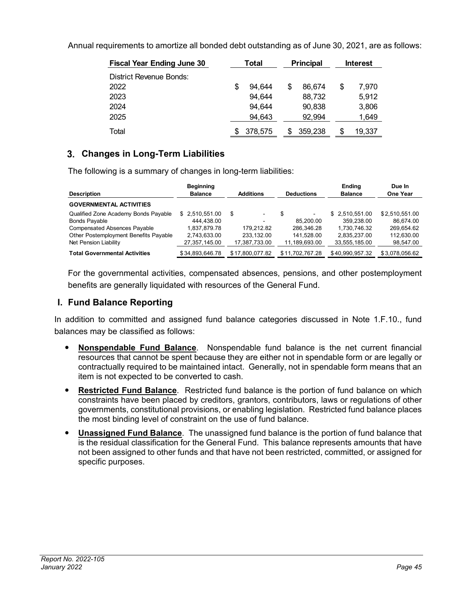| <b>Fiscal Year Ending June 30</b> | Total |         |    | <b>Principal</b> | <b>Interest</b> |        |
|-----------------------------------|-------|---------|----|------------------|-----------------|--------|
| District Revenue Bonds:           |       |         |    |                  |                 |        |
| 2022                              | S     | 94,644  | \$ | 86.674           | \$              | 7,970  |
| 2023                              |       | 94,644  |    | 88,732           |                 | 5,912  |
| 2024                              |       | 94,644  |    | 90,838           |                 | 3,806  |
| 2025                              |       | 94,643  |    | 92,994           |                 | 1,649  |
| Total                             |       | 378.575 |    | 359.238          | \$              | 19.337 |

Annual requirements to amortize all bonded debt outstanding as of June 30, 2021, are as follows:

#### **Changes in Long-Term Liabilities**

The following is a summary of changes in long-term liabilities:

| <b>Description</b>                    | <b>Beginning</b><br><b>Balance</b> | <b>Additions</b>         | <b>Deductions</b> | Ending<br><b>Balance</b> | Due In<br><b>One Year</b> |
|---------------------------------------|------------------------------------|--------------------------|-------------------|--------------------------|---------------------------|
| <b>GOVERNMENTAL ACTIVITIES</b>        |                                    |                          |                   |                          |                           |
| Qualified Zone Academy Bonds Payable  | \$ 2,510,551.00                    | \$.<br>$\blacksquare$    | S                 | \$2,510,551.00           | \$2,510,551.00            |
| <b>Bonds Payable</b>                  | 444.438.00                         | $\overline{\phantom{0}}$ | 85.200.00         | 359.238.00               | 86.674.00                 |
| <b>Compensated Absences Payable</b>   | 1.837.879.78                       | 179.212.82               | 286.346.28        | 1.730.746.32             | 269,654.62                |
| Other Postemployment Benefits Payable | 2.743.633.00                       | 233,132.00               | 141,528.00        | 2,835,237.00             | 112,630.00                |
| Net Pension Liability                 | 27,357,145.00                      | 17,387,733.00            | 11,189,693.00     | 33,555,185.00            | 98,547.00                 |
| <b>Total Governmental Activities</b>  | \$34.893.646.78                    | \$17,800,077.82          | \$11.702.767.28   | \$40.990.957.32          | \$3.078.056.62            |

For the governmental activities, compensated absences, pensions, and other postemployment benefits are generally liquidated with resources of the General Fund.

#### **I. Fund Balance Reporting**

In addition to committed and assigned fund balance categories discussed in Note 1.F.10., fund balances may be classified as follows:

- **Nonspendable Fund Balance**. Nonspendable fund balance is the net current financial resources that cannot be spent because they are either not in spendable form or are legally or contractually required to be maintained intact. Generally, not in spendable form means that an item is not expected to be converted to cash.
- **Restricted Fund Balance**. Restricted fund balance is the portion of fund balance on which constraints have been placed by creditors, grantors, contributors, laws or regulations of other governments, constitutional provisions, or enabling legislation. Restricted fund balance places the most binding level of constraint on the use of fund balance.
- **Unassigned Fund Balance**. The unassigned fund balance is the portion of fund balance that is the residual classification for the General Fund. This balance represents amounts that have not been assigned to other funds and that have not been restricted, committed, or assigned for specific purposes.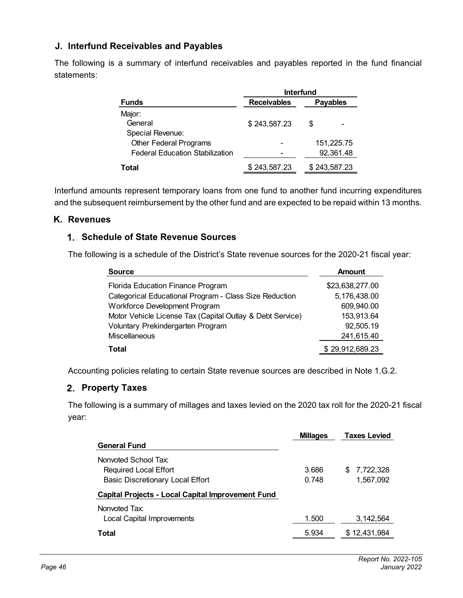#### **J. Interfund Receivables and Payables**

The following is a summary of interfund receivables and payables reported in the fund financial statements:

|                                        | <b>Interfund</b>   |                 |  |  |  |
|----------------------------------------|--------------------|-----------------|--|--|--|
| <b>Funds</b>                           | <b>Receivables</b> | <b>Payables</b> |  |  |  |
| Major:                                 |                    |                 |  |  |  |
| General                                | \$243,587.23       | S               |  |  |  |
| Special Revenue:                       |                    |                 |  |  |  |
| <b>Other Federal Programs</b>          |                    | 151,225.75      |  |  |  |
| <b>Federal Education Stabilization</b> |                    | 92,361.48       |  |  |  |
| Total                                  | \$243,587.23       | \$243,587.23    |  |  |  |

Interfund amounts represent temporary loans from one fund to another fund incurring expenditures and the subsequent reimbursement by the other fund and are expected to be repaid within 13 months.

#### **K. Revenues**

#### **Schedule of State Revenue Sources**

The following is a schedule of the District's State revenue sources for the 2020-21 fiscal year:

| <b>Source</b>                                             | <b>Amount</b>   |
|-----------------------------------------------------------|-----------------|
| Florida Education Finance Program                         | \$23,638,277.00 |
| Categorical Educational Program - Class Size Reduction    | 5,176,438.00    |
| Workforce Development Program                             | 609,940.00      |
| Motor Vehicle License Tax (Capital Outlay & Debt Service) | 153,913.64      |
| Voluntary Prekindergarten Program                         | 92,505.19       |
| <b>Miscellaneous</b>                                      | 241,615.40      |
| <b>Total</b>                                              | \$29,912,689.23 |

Accounting policies relating to certain State revenue sources are described in Note 1.G.2.

#### **Property Taxes**

The following is a summary of millages and taxes levied on the 2020 tax roll for the 2020-21 fiscal year:

| <b>Millages</b> | <b>Taxes Levied</b> |
|-----------------|---------------------|
|                 |                     |
|                 |                     |
| 3.686           | 7,722,328<br>S.     |
| 0.748           | 1,567,092           |
|                 |                     |
|                 |                     |
| 1.500           | 3, 142, 564         |
| 5.934           | \$12,431,984        |
|                 |                     |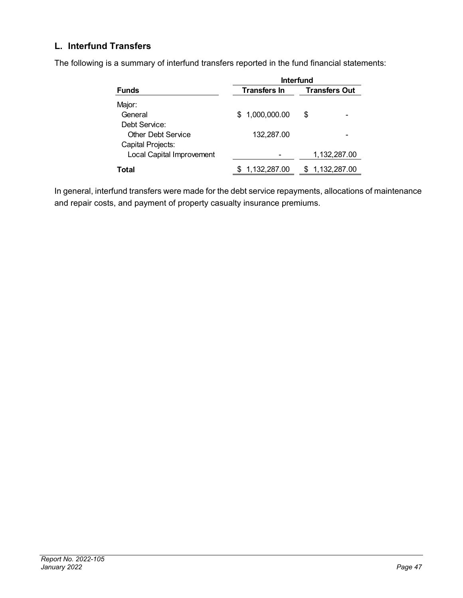#### **L. Interfund Transfers**

|                                  | <b>Interfund</b>    |                      |  |  |  |  |  |  |
|----------------------------------|---------------------|----------------------|--|--|--|--|--|--|
| <b>Funds</b>                     | <b>Transfers In</b> | <b>Transfers Out</b> |  |  |  |  |  |  |
| Major:                           |                     |                      |  |  |  |  |  |  |
| General                          | \$1,000,000.00      | S                    |  |  |  |  |  |  |
| Debt Service:                    |                     |                      |  |  |  |  |  |  |
| Other Debt Service               | 132,287.00          |                      |  |  |  |  |  |  |
| Capital Projects:                |                     |                      |  |  |  |  |  |  |
| <b>Local Capital Improvement</b> |                     | 1,132,287.00         |  |  |  |  |  |  |
| Total                            | 1,132,287.00        | 1,132,287.00         |  |  |  |  |  |  |

The following is a summary of interfund transfers reported in the fund financial statements:

In general, interfund transfers were made for the debt service repayments, allocations of maintenance and repair costs, and payment of property casualty insurance premiums.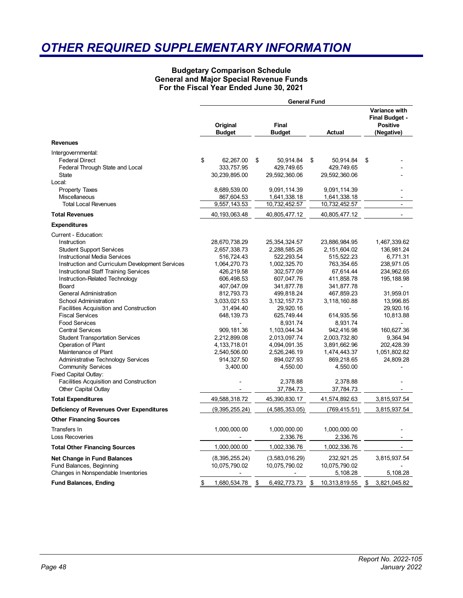## <span id="page-53-0"></span>*OTHER REQUIRED SUPPLEMENTARY INFORMATION*

#### **Budgetary Comparison Schedule General and Major Special Revenue Funds For the Fiscal Year Ended June 30, 2021**

|                                                                                                                                                                                                                                                                                                                                                                                                                                                                                                                                                                                                                                                                                                                             | <b>General Fund</b> |                                                                                                                                                                                                                                                          |    |                                                                                                                                                                                                                                                                                                   |    |                                                                                                                                                                                                                                                                             |    |                                                                                                                                                                                                            |
|-----------------------------------------------------------------------------------------------------------------------------------------------------------------------------------------------------------------------------------------------------------------------------------------------------------------------------------------------------------------------------------------------------------------------------------------------------------------------------------------------------------------------------------------------------------------------------------------------------------------------------------------------------------------------------------------------------------------------------|---------------------|----------------------------------------------------------------------------------------------------------------------------------------------------------------------------------------------------------------------------------------------------------|----|---------------------------------------------------------------------------------------------------------------------------------------------------------------------------------------------------------------------------------------------------------------------------------------------------|----|-----------------------------------------------------------------------------------------------------------------------------------------------------------------------------------------------------------------------------------------------------------------------------|----|------------------------------------------------------------------------------------------------------------------------------------------------------------------------------------------------------------|
|                                                                                                                                                                                                                                                                                                                                                                                                                                                                                                                                                                                                                                                                                                                             |                     | Original<br><b>Budget</b>                                                                                                                                                                                                                                |    | <b>Final</b><br><b>Budget</b>                                                                                                                                                                                                                                                                     |    | <b>Actual</b>                                                                                                                                                                                                                                                               |    | Variance with<br>Final Budget -<br><b>Positive</b><br>(Negative)                                                                                                                                           |
| <b>Revenues</b>                                                                                                                                                                                                                                                                                                                                                                                                                                                                                                                                                                                                                                                                                                             |                     |                                                                                                                                                                                                                                                          |    |                                                                                                                                                                                                                                                                                                   |    |                                                                                                                                                                                                                                                                             |    |                                                                                                                                                                                                            |
| Intergovernmental:<br><b>Federal Direct</b><br>Federal Through State and Local<br>State                                                                                                                                                                                                                                                                                                                                                                                                                                                                                                                                                                                                                                     | \$                  | 62,267.00<br>333,757.95<br>30,239,895.00                                                                                                                                                                                                                 | \$ | 50,914.84<br>429,749.65<br>29,592,360.06                                                                                                                                                                                                                                                          | \$ | 50,914.84<br>429,749.65<br>29,592,360.06                                                                                                                                                                                                                                    | \$ |                                                                                                                                                                                                            |
| Local:<br><b>Property Taxes</b><br>Miscellaneous<br><b>Total Local Revenues</b>                                                                                                                                                                                                                                                                                                                                                                                                                                                                                                                                                                                                                                             |                     | 8,689,539.00<br>867,604.53<br>9,557,143.53                                                                                                                                                                                                               |    | 9,091,114.39<br>1,641,338.18<br>10,732,452.57                                                                                                                                                                                                                                                     |    | 9,091,114.39<br>1,641,338.18<br>10,732,452.57                                                                                                                                                                                                                               |    | $\overline{\phantom{a}}$                                                                                                                                                                                   |
| <b>Total Revenues</b>                                                                                                                                                                                                                                                                                                                                                                                                                                                                                                                                                                                                                                                                                                       |                     | 40, 193, 063. 48                                                                                                                                                                                                                                         |    | 40,805,477.12                                                                                                                                                                                                                                                                                     |    | 40,805,477.12                                                                                                                                                                                                                                                               |    | $\overline{a}$                                                                                                                                                                                             |
| <b>Expenditures</b><br>Current - Education:<br>Instruction<br><b>Student Support Services</b><br>Instructional Media Services<br>Instruction and Curriculum Development Services<br><b>Instructional Staff Training Services</b><br>Instruction-Related Technology<br>Board<br><b>General Administration</b><br>School Administration<br><b>Facilities Acquisition and Construction</b><br><b>Fiscal Services</b><br><b>Food Services</b><br><b>Central Services</b><br><b>Student Transportation Services</b><br>Operation of Plant<br>Maintenance of Plant<br>Administrative Technology Services<br><b>Community Services</b><br>Fixed Capital Outlay:<br>Facilities Acquisition and Construction<br>Other Capital Outlay |                     | 28,670,738.29<br>2,657,338.73<br>516,724.43<br>1,064,270.73<br>426,219.58<br>606,498.53<br>407,047.09<br>812,793.73<br>3,033,021.53<br>31,494.40<br>648,139.73<br>909,181.36<br>2,212,899.08<br>4, 133, 718.01<br>2,540,506.00<br>914,327.50<br>3,400.00 |    | 25, 354, 324.57<br>2,288,585.26<br>522,293.54<br>1,002,325.70<br>302,577.09<br>607,047.76<br>341,877.78<br>499,818.24<br>3, 132, 157.73<br>29,920.16<br>625,749.44<br>8,931.74<br>1,103,044.34<br>2,013,097.74<br>4,094,091.35<br>2,526,246.19<br>894,027.93<br>4,550.00<br>2,378.88<br>37,784.73 |    | 23,886,984.95<br>2,151,604.02<br>515,522.23<br>763,354.65<br>67,614.44<br>411,858.78<br>341,877.78<br>467,859.23<br>3,118,160.88<br>614,935.56<br>8,931.74<br>942,416.98<br>2,003,732.80<br>3,891,662.96<br>1,474,443.37<br>869,218.65<br>4,550.00<br>2,378.88<br>37,784.73 |    | 1,467,339.62<br>136,981.24<br>6,771.31<br>238,971.05<br>234,962.65<br>195, 188.98<br>31,959.01<br>13,996.85<br>29,920.16<br>10,813.88<br>160,627.36<br>9,364.94<br>202,428.39<br>1,051,802.82<br>24,809.28 |
| <b>Total Expenditures</b>                                                                                                                                                                                                                                                                                                                                                                                                                                                                                                                                                                                                                                                                                                   |                     | 49,588,318.72                                                                                                                                                                                                                                            |    | 45,390,830.17                                                                                                                                                                                                                                                                                     |    | 41,574,892.63                                                                                                                                                                                                                                                               |    | 3,815,937.54                                                                                                                                                                                               |
| Deficiency of Revenues Over Expenditures                                                                                                                                                                                                                                                                                                                                                                                                                                                                                                                                                                                                                                                                                    |                     | (9,395,255.24)                                                                                                                                                                                                                                           |    | (4,585,353.05)                                                                                                                                                                                                                                                                                    |    | (769, 415.51)                                                                                                                                                                                                                                                               |    | 3,815,937.54                                                                                                                                                                                               |
| <b>Other Financing Sources</b>                                                                                                                                                                                                                                                                                                                                                                                                                                                                                                                                                                                                                                                                                              |                     |                                                                                                                                                                                                                                                          |    |                                                                                                                                                                                                                                                                                                   |    |                                                                                                                                                                                                                                                                             |    |                                                                                                                                                                                                            |
| Transfers In<br><b>Loss Recoveries</b>                                                                                                                                                                                                                                                                                                                                                                                                                                                                                                                                                                                                                                                                                      |                     | 1,000,000.00                                                                                                                                                                                                                                             |    | 1,000,000.00<br>2,336.76                                                                                                                                                                                                                                                                          |    | 1,000,000.00<br>2,336.76                                                                                                                                                                                                                                                    |    |                                                                                                                                                                                                            |
| <b>Total Other Financing Sources</b>                                                                                                                                                                                                                                                                                                                                                                                                                                                                                                                                                                                                                                                                                        |                     | 1,000,000.00                                                                                                                                                                                                                                             |    | 1,002,336.76                                                                                                                                                                                                                                                                                      |    | 1,002,336.76                                                                                                                                                                                                                                                                |    |                                                                                                                                                                                                            |
| <b>Net Change in Fund Balances</b><br>Fund Balances, Beginning<br>Changes in Nonspendable Inventories                                                                                                                                                                                                                                                                                                                                                                                                                                                                                                                                                                                                                       |                     | (8,395,255.24)<br>10,075,790.02                                                                                                                                                                                                                          |    | (3,583,016.29)<br>10,075,790.02                                                                                                                                                                                                                                                                   |    | 232,921.25<br>10,075,790.02<br>5,108.28                                                                                                                                                                                                                                     |    | 3,815,937.54<br>5,108.28                                                                                                                                                                                   |
| <b>Fund Balances, Ending</b>                                                                                                                                                                                                                                                                                                                                                                                                                                                                                                                                                                                                                                                                                                | \$                  | 1,680,534.78                                                                                                                                                                                                                                             | \$ | 6,492,773.73                                                                                                                                                                                                                                                                                      | \$ | 10,313,819.55                                                                                                                                                                                                                                                               | \$ | 3,821,045.82                                                                                                                                                                                               |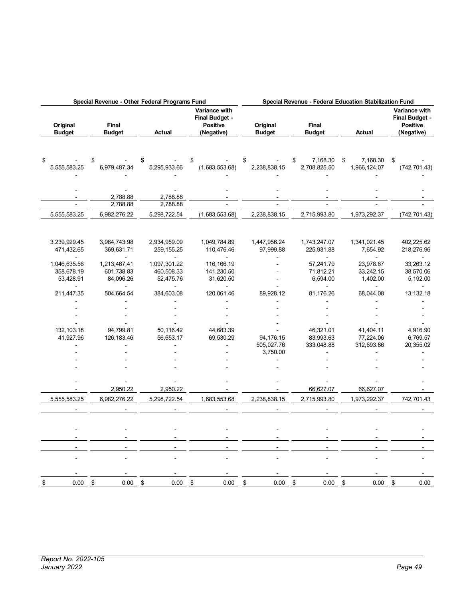|                            | Special Revenue - Other Federal Programs Fund |                             |                                                                  |                           | Special Revenue - Federal Education Stabilization Fund |                                |                                                                  |  |  |
|----------------------------|-----------------------------------------------|-----------------------------|------------------------------------------------------------------|---------------------------|--------------------------------------------------------|--------------------------------|------------------------------------------------------------------|--|--|
| Original<br><b>Budget</b>  | Final<br><b>Budget</b>                        | Actual                      | Variance with<br>Final Budget -<br><b>Positive</b><br>(Negative) | Original<br><b>Budget</b> | <b>Final</b><br><b>Budget</b>                          | <b>Actual</b>                  | Variance with<br>Final Budget -<br><b>Positive</b><br>(Negative) |  |  |
|                            |                                               |                             |                                                                  |                           |                                                        |                                |                                                                  |  |  |
| \$<br>5,555,583.25         | \$<br>6,979,487.34                            | \$<br>5,295,933.66          | \$<br>(1,683,553.68)                                             | \$<br>2,238,838.15        | 7,168.30<br>\$<br>2,708,825.50                         | \$<br>7,168.30<br>1,966,124.07 | \$<br>(742, 701.43)                                              |  |  |
|                            |                                               |                             |                                                                  |                           |                                                        |                                |                                                                  |  |  |
|                            |                                               |                             |                                                                  |                           |                                                        |                                |                                                                  |  |  |
|                            |                                               |                             |                                                                  |                           |                                                        |                                |                                                                  |  |  |
|                            | 2,788.88<br>2,788.88                          | 2,788.88<br>2,788.88        |                                                                  |                           |                                                        |                                |                                                                  |  |  |
|                            |                                               |                             |                                                                  |                           |                                                        |                                |                                                                  |  |  |
| 5,555,583.25               | 6,982,276.22                                  | 5,298,722.54                | (1,683,553.68)                                                   | 2,238,838.15              | 2,715,993.80                                           | 1,973,292.37                   | (742, 701.43)                                                    |  |  |
|                            |                                               |                             |                                                                  |                           |                                                        |                                |                                                                  |  |  |
| 3,239,929.45<br>471,432.65 | 3,984,743.98<br>369,631.71                    | 2,934,959.09<br>259, 155.25 | 1,049,784.89<br>110,476.46                                       | 1,447,956.24<br>97,999.88 | 1,743,247.07<br>225,931.88                             | 1,341,021.45<br>7,654.92       | 402,225.62<br>218,276.96                                         |  |  |
|                            |                                               | $\blacksquare$              | $\overline{a}$                                                   |                           | $\blacksquare$                                         | $\frac{1}{2}$                  |                                                                  |  |  |
| 1,046,635.56               | 1,213,467.41                                  | 1,097,301.22                | 116, 166. 19                                                     |                           | 57,241.79                                              | 23,978.67                      | 33,263.12                                                        |  |  |
| 358,678.19                 | 601,738.83                                    | 460,508.33                  | 141,230.50                                                       |                           | 71,812.21                                              | 33,242.15                      | 38,570.06                                                        |  |  |
| 53,428.91                  | 84,096.26                                     | 52,475.76                   | 31,620.50                                                        |                           | 6,594.00                                               | 1,402.00                       | 5,192.00                                                         |  |  |
| $\mathbf{r}$               | $\overline{\phantom{0}}$                      | $\blacksquare$              | $\blacksquare$                                                   |                           | $\overline{a}$                                         | $\overline{\phantom{a}}$       | $\blacksquare$                                                   |  |  |
| 211,447.35                 | 504,664.54                                    | 384,603.08                  | 120,061.46                                                       | 89,928.12                 | 81,176.26                                              | 68,044.08                      | 13, 132. 18                                                      |  |  |
|                            |                                               |                             |                                                                  |                           |                                                        |                                |                                                                  |  |  |
|                            |                                               |                             |                                                                  |                           |                                                        |                                |                                                                  |  |  |
|                            |                                               |                             |                                                                  |                           |                                                        |                                |                                                                  |  |  |
| 132, 103.18                | 94.799.81                                     | 50,116.42                   | 44,683.39                                                        |                           | 46,321.01                                              | 41,404.11                      | 4,916.90                                                         |  |  |
| 41,927.96                  | 126, 183.46                                   | 56,653.17                   | 69,530.29                                                        | 94, 176. 15               | 83,993.63                                              | 77,224.06                      | 6,769.57                                                         |  |  |
|                            |                                               |                             |                                                                  | 505,027.76                | 333,048.88                                             | 312,693.86                     | 20,355.02                                                        |  |  |
|                            |                                               |                             |                                                                  | 3,750.00                  |                                                        |                                |                                                                  |  |  |
|                            |                                               |                             |                                                                  |                           |                                                        |                                |                                                                  |  |  |
|                            |                                               |                             |                                                                  |                           |                                                        |                                |                                                                  |  |  |
|                            |                                               |                             |                                                                  |                           |                                                        |                                |                                                                  |  |  |
|                            | 2,950.22                                      | 2,950.22                    |                                                                  |                           | 66,627.07                                              | 66,627.07                      |                                                                  |  |  |
| 5,555,583.25               | 6,982,276.22                                  | 5,298,722.54                | 1,683,553.68                                                     | 2,238,838.15              | 2,715,993.80                                           | 1,973,292.37                   | 742,701.43                                                       |  |  |
|                            |                                               |                             |                                                                  |                           |                                                        |                                |                                                                  |  |  |
|                            |                                               |                             |                                                                  |                           |                                                        |                                |                                                                  |  |  |
|                            |                                               |                             |                                                                  |                           |                                                        |                                |                                                                  |  |  |
|                            |                                               |                             |                                                                  |                           |                                                        |                                |                                                                  |  |  |
|                            |                                               |                             |                                                                  |                           |                                                        |                                |                                                                  |  |  |
|                            |                                               |                             |                                                                  |                           |                                                        |                                |                                                                  |  |  |
|                            |                                               |                             |                                                                  |                           |                                                        |                                |                                                                  |  |  |
| 0.00<br>\$                 | $\overline{\mathcal{L}}$<br>0.00              | \$<br>0.00                  | $\overline{\mathcal{L}}$<br>0.00                                 | \$<br>0.00                | $\frac{1}{2}$<br>0.00                                  | \$<br>0.00                     | $\overline{\mathcal{L}}$<br>0.00                                 |  |  |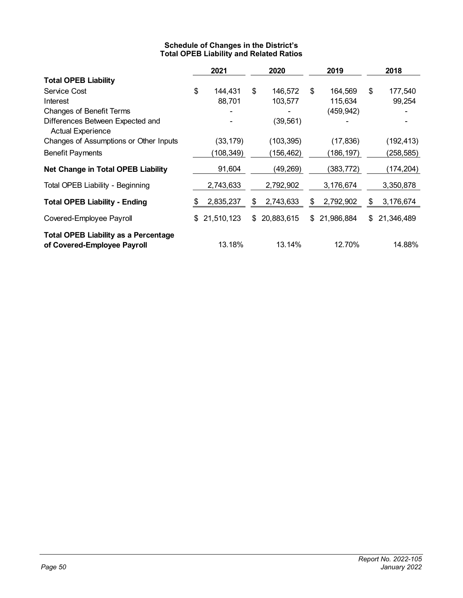#### **Schedule of Changes in the District's Total OPEB Liability and Related Ratios**

<span id="page-55-0"></span>

|                                                                            | 2021 |            | 2020 |            | 2019 |            | 2018             |
|----------------------------------------------------------------------------|------|------------|------|------------|------|------------|------------------|
| <b>Total OPEB Liability</b>                                                |      |            |      |            |      |            |                  |
| Service Cost                                                               | \$   | 144,431    | \$   | 146,572    | \$   | 164,569    | \$<br>177,540    |
| Interest                                                                   |      | 88,701     |      | 103,577    |      | 115,634    | 99,254           |
| <b>Changes of Benefit Terms</b>                                            |      |            |      |            |      | (459, 942) |                  |
| Differences Between Expected and<br><b>Actual Experience</b>               |      |            |      | (39, 561)  |      |            |                  |
| Changes of Assumptions or Other Inputs                                     |      | (33, 179)  |      | (103, 395) |      | (17, 836)  | (192, 413)       |
| <b>Benefit Payments</b>                                                    |      | (108, 349) |      | (156,462)  |      | (186,197)  | (258, 585)       |
| Net Change in Total OPEB Liability                                         |      | 91,604     |      | (49,269)   |      | (383,772)  | (174,204)        |
| Total OPEB Liability - Beginning                                           |      | 2,743,633  |      | 2,792,902  |      | 3,176,674  | 3,350,878        |
| <b>Total OPEB Liability - Ending</b>                                       | \$   | 2,835,237  | \$   | 2,743,633  | S    | 2,792,902  | \$<br>3,176,674  |
| Covered-Employee Payroll                                                   | \$   | 21,510,123 | \$   | 20,883,615 | \$   | 21,986,884 | \$<br>21,346,489 |
| <b>Total OPEB Liability as a Percentage</b><br>of Covered-Employee Payroll |      | 13.18%     |      | 13.14%     |      | 12.70%     | 14.88%           |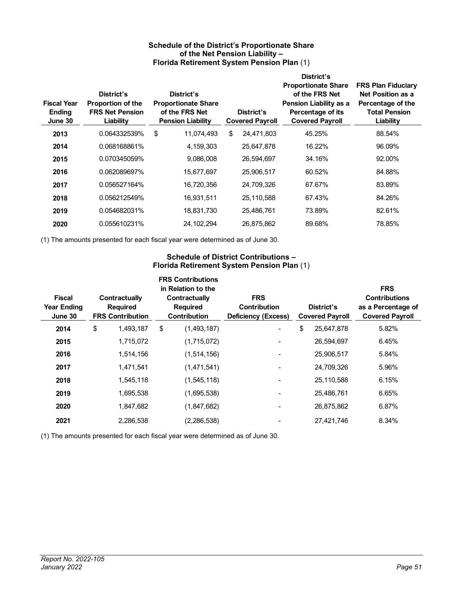#### **Schedule of the District's Proportionate Share of the Net Pension Liability – Florida Retirement System Pension Plan** (1)

<span id="page-56-0"></span>

| <b>Fiscal Year</b><br><b>Ending</b><br>June 30 | District's<br><b>Proportion of the</b><br><b>FRS Net Pension</b><br>Liability | District's<br><b>Proportionate Share</b><br>of the FRS Net<br><b>Pension Liability</b> | District's<br><b>Covered Payroll</b> | District's<br><b>Proportionate Share</b><br>of the FRS Net<br>Pension Liability as a<br>Percentage of its<br><b>Covered Payroll</b> | <b>FRS Plan Fiduciary</b><br>Net Position as a<br>Percentage of the<br><b>Total Pension</b><br>Liability |
|------------------------------------------------|-------------------------------------------------------------------------------|----------------------------------------------------------------------------------------|--------------------------------------|-------------------------------------------------------------------------------------------------------------------------------------|----------------------------------------------------------------------------------------------------------|
| 2013                                           | 0.064332539%                                                                  | \$<br>11,074,493                                                                       | \$<br>24,471,803                     | 45.25%                                                                                                                              | 88.54%                                                                                                   |
| 2014                                           | 0.068168861%                                                                  | 4,159,303                                                                              | 25,647,878                           | 16.22%                                                                                                                              | 96.09%                                                                                                   |
| 2015                                           | 0.070345059%                                                                  | 9,086,008                                                                              | 26,594,697                           | 34.16%                                                                                                                              | 92.00%                                                                                                   |
| 2016                                           | 0.062089697%                                                                  | 15,677,697                                                                             | 25,906,517                           | 60.52%                                                                                                                              | 84.88%                                                                                                   |
| 2017                                           | 0.056527164%                                                                  | 16,720,356                                                                             | 24,709,326                           | 67.67%                                                                                                                              | 83.89%                                                                                                   |
| 2018                                           | 0.056212549%                                                                  | 16,931,511                                                                             | 25,110,588                           | 67.43%                                                                                                                              | 84.26%                                                                                                   |
| 2019                                           | 0.054682031%                                                                  | 18,831,730                                                                             | 25,486,761                           | 73.89%                                                                                                                              | 82.61%                                                                                                   |
| 2020                                           | 0.055610231%                                                                  | 24, 102, 294                                                                           | 26,875,862                           | 89.68%                                                                                                                              | 78.85%                                                                                                   |

(1) The amounts presented for each fiscal year were determined as of June 30.

#### **Schedule of District Contributions – Florida Retirement System Pension Plan** (1)

| <b>Fiscal</b><br><b>Year Ending</b><br>June 30 | Contractually<br><b>Required</b><br><b>FRS Contribution</b> |           |    |               |  |                  |       |  |  |  | <b>FRS Contributions</b><br>in Relation to the<br>Contractually<br><b>Required</b><br><b>Contribution</b> |  | <b>FRS</b><br><b>Contribution</b><br>Deficiency (Excess) | District's<br><b>Covered Payroll</b> | <b>FRS</b><br><b>Contributions</b><br>as a Percentage of<br><b>Covered Payroll</b> |
|------------------------------------------------|-------------------------------------------------------------|-----------|----|---------------|--|------------------|-------|--|--|--|-----------------------------------------------------------------------------------------------------------|--|----------------------------------------------------------|--------------------------------------|------------------------------------------------------------------------------------|
| 2014                                           | \$                                                          | 1,493,187 | \$ | (1,493,187)   |  | \$<br>25,647,878 | 5.82% |  |  |  |                                                                                                           |  |                                                          |                                      |                                                                                    |
| 2015                                           |                                                             | 1,715,072 |    | (1,715,072)   |  | 26,594,697       | 6.45% |  |  |  |                                                                                                           |  |                                                          |                                      |                                                                                    |
| 2016                                           |                                                             | 1,514,156 |    | (1,514,156)   |  | 25,906,517       | 5.84% |  |  |  |                                                                                                           |  |                                                          |                                      |                                                                                    |
| 2017                                           |                                                             | 1,471,541 |    | (1,471,541)   |  | 24,709,326       | 5.96% |  |  |  |                                                                                                           |  |                                                          |                                      |                                                                                    |
| 2018                                           |                                                             | 1,545,118 |    | (1,545,118)   |  | 25,110,588       | 6.15% |  |  |  |                                                                                                           |  |                                                          |                                      |                                                                                    |
| 2019                                           |                                                             | 1,695,538 |    | (1,695,538)   |  | 25,486,761       | 6.65% |  |  |  |                                                                                                           |  |                                                          |                                      |                                                                                    |
| 2020                                           |                                                             | 1,847,682 |    | (1,847,682)   |  | 26,875,862       | 6.87% |  |  |  |                                                                                                           |  |                                                          |                                      |                                                                                    |
| 2021                                           |                                                             | 2,286,538 |    | (2, 286, 538) |  | 27,421,746       | 8.34% |  |  |  |                                                                                                           |  |                                                          |                                      |                                                                                    |
|                                                |                                                             |           |    |               |  |                  |       |  |  |  |                                                                                                           |  |                                                          |                                      |                                                                                    |

(1) The amounts presented for each fiscal year were determined as of June 30.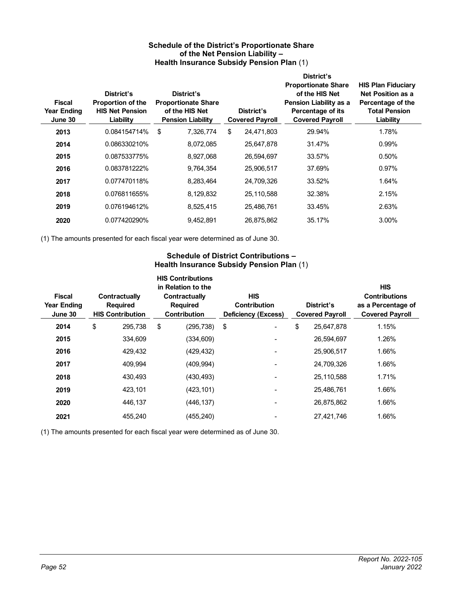#### **Schedule of the District's Proportionate Share of the Net Pension Liability – Health Insurance Subsidy Pension Plan** (1)

<span id="page-57-0"></span>

| <b>Fiscal</b><br><b>Year Ending</b><br>June 30 | District's<br><b>Proportion of the</b><br><b>HIS Net Pension</b><br>Liability | District's<br><b>Proportionate Share</b><br>of the HIS Net<br><b>Pension Liability</b> | District's<br><b>Covered Payroll</b> | District's<br><b>Proportionate Share</b><br>of the HIS Net<br>Pension Liability as a<br>Percentage of its<br><b>Covered Payroll</b> | <b>HIS Plan Fiduciary</b><br>Net Position as a<br>Percentage of the<br><b>Total Pension</b><br>Liability |
|------------------------------------------------|-------------------------------------------------------------------------------|----------------------------------------------------------------------------------------|--------------------------------------|-------------------------------------------------------------------------------------------------------------------------------------|----------------------------------------------------------------------------------------------------------|
| 2013                                           | 0.084154714%                                                                  | \$<br>7,326,774                                                                        | 24,471,803<br>\$                     | 29.94%                                                                                                                              | 1.78%                                                                                                    |
| 2014                                           | 0.086330210%                                                                  | 8,072,085                                                                              | 25,647,878                           | 31.47%                                                                                                                              | 0.99%                                                                                                    |
| 2015                                           | 0.087533775%                                                                  | 8,927,068                                                                              | 26,594,697                           | 33.57%                                                                                                                              | 0.50%                                                                                                    |
| 2016                                           | 0.083781222%                                                                  | 9,764,354                                                                              | 25,906,517                           | 37.69%                                                                                                                              | 0.97%                                                                                                    |
| 2017                                           | 0.077470118%                                                                  | 8,283,464                                                                              | 24,709,326                           | 33.52%                                                                                                                              | 1.64%                                                                                                    |
| 2018                                           | 0.076811655%                                                                  | 8,129,832                                                                              | 25,110,588                           | 32.38%                                                                                                                              | 2.15%                                                                                                    |
| 2019                                           | 0.076194612%                                                                  | 8,525,415                                                                              | 25,486,761                           | 33.45%                                                                                                                              | 2.63%                                                                                                    |
| 2020                                           | 0.077420290%                                                                  | 9,452,891                                                                              | 26,875,862                           | 35.17%                                                                                                                              | 3.00%                                                                                                    |

(1) The amounts presented for each fiscal year were determined as of June 30.

#### **Schedule of District Contributions – Health Insurance Subsidy Pension Plan** (1)

| <b>Fiscal</b><br><b>Year Ending</b><br>June 30 | Contractually<br><b>Required</b><br><b>HIS Contribution</b> | <b>HIS Contributions</b><br>in Relation to the<br>Contractually<br><b>Required</b><br><b>Contribution</b> | <b>HIS</b><br><b>Contribution</b><br><b>Deficiency (Excess)</b> | District's<br><b>Covered Payroll</b> | <b>HIS</b><br><b>Contributions</b><br>as a Percentage of<br><b>Covered Payroll</b> |
|------------------------------------------------|-------------------------------------------------------------|-----------------------------------------------------------------------------------------------------------|-----------------------------------------------------------------|--------------------------------------|------------------------------------------------------------------------------------|
| 2014                                           | \$<br>295,738                                               | \$<br>(295,738)                                                                                           | \$<br>$\blacksquare$                                            | \$<br>25.647.878                     | 1.15%                                                                              |
| 2015                                           | 334,609                                                     | (334, 609)                                                                                                | $\overline{\phantom{a}}$                                        | 26,594,697                           | 1.26%                                                                              |
| 2016                                           | 429,432                                                     | (429,432)                                                                                                 |                                                                 | 25,906,517                           | 1.66%                                                                              |
| 2017                                           | 409,994                                                     | (409,994)                                                                                                 |                                                                 | 24,709,326                           | 1.66%                                                                              |
| 2018                                           | 430.493                                                     | (430,493)                                                                                                 |                                                                 | 25,110,588                           | 1.71%                                                                              |
| 2019                                           | 423,101                                                     | (423,101)                                                                                                 |                                                                 | 25,486,761                           | 1.66%                                                                              |
| 2020                                           | 446,137                                                     | (446,137)                                                                                                 | $\overline{\phantom{0}}$                                        | 26,875,862                           | 1.66%                                                                              |
| 2021                                           | 455,240                                                     | (455,240)                                                                                                 |                                                                 | 27,421,746                           | 1.66%                                                                              |

(1) The amounts presented for each fiscal year were determined as of June 30.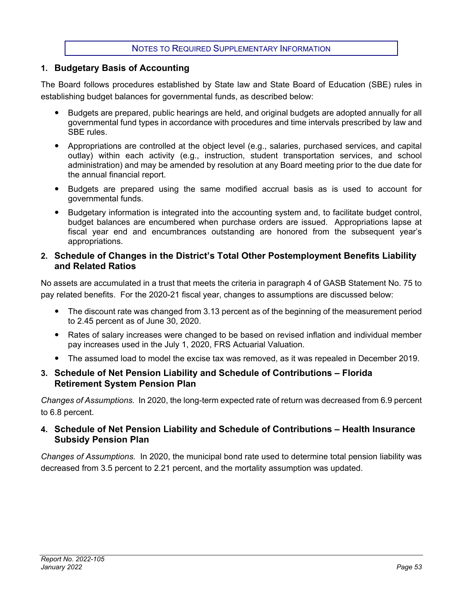#### NOTES TO REQUIRED SUPPLEMENTARY INFORMATION

#### <span id="page-58-0"></span>**1. Budgetary Basis of Accounting**

The Board follows procedures established by State law and State Board of Education (SBE) rules in establishing budget balances for governmental funds, as described below:

- Budgets are prepared, public hearings are held, and original budgets are adopted annually for all governmental fund types in accordance with procedures and time intervals prescribed by law and SBE rules.
- Appropriations are controlled at the object level (e.g., salaries, purchased services, and capital outlay) within each activity (e.g., instruction, student transportation services, and school administration) and may be amended by resolution at any Board meeting prior to the due date for the annual financial report.
- Budgets are prepared using the same modified accrual basis as is used to account for governmental funds.
- Budgetary information is integrated into the accounting system and, to facilitate budget control, budget balances are encumbered when purchase orders are issued. Appropriations lapse at fiscal year end and encumbrances outstanding are honored from the subsequent year's appropriations.

#### **2. Schedule of Changes in the District's Total Other Postemployment Benefits Liability and Related Ratios**

No assets are accumulated in a trust that meets the criteria in paragraph 4 of GASB Statement No. 75 to pay related benefits. For the 2020-21 fiscal year, changes to assumptions are discussed below:

- The discount rate was changed from 3.13 percent as of the beginning of the measurement period to 2.45 percent as of June 30, 2020.
- Rates of salary increases were changed to be based on revised inflation and individual member pay increases used in the July 1, 2020, FRS Actuarial Valuation.
- The assumed load to model the excise tax was removed, as it was repealed in December 2019.

#### **3. Schedule of Net Pension Liability and Schedule of Contributions – Florida Retirement System Pension Plan**

*Changes of Assumptions.* In 2020, the long-term expected rate of return was decreased from 6.9 percent to 6.8 percent.

#### **4. Schedule of Net Pension Liability and Schedule of Contributions – Health Insurance Subsidy Pension Plan**

*Changes of Assumptions.* In 2020, the municipal bond rate used to determine total pension liability was decreased from 3.5 percent to 2.21 percent, and the mortality assumption was updated.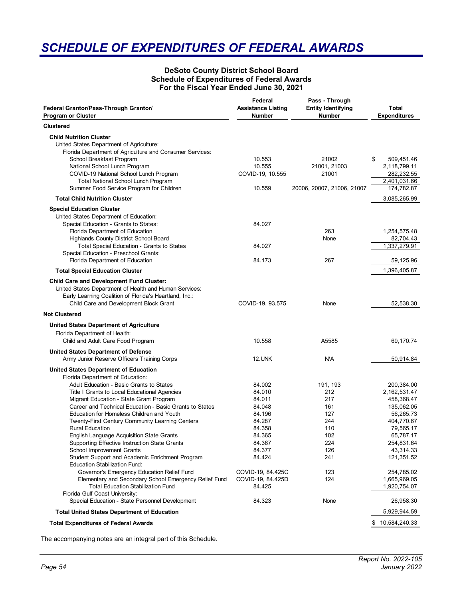## <span id="page-59-0"></span>*SCHEDULE OF EXPENDITURES OF FEDERAL AWARDS*

#### **DeSoto County District School Board Schedule of Expenditures of Federal Awards For the Fiscal Year Ended June 30, 2021**

| Federal Grantor/Pass-Through Grantor/<br><b>Program or Cluster</b>                                                                                                                                            | Federal<br><b>Assistance Listing</b><br><b>Number</b> | Pass - Through<br><b>Entity Identifying</b><br><b>Number</b> | Total<br><b>Expenditures</b> |
|---------------------------------------------------------------------------------------------------------------------------------------------------------------------------------------------------------------|-------------------------------------------------------|--------------------------------------------------------------|------------------------------|
| <b>Clustered</b>                                                                                                                                                                                              |                                                       |                                                              |                              |
| <b>Child Nutrition Cluster</b><br>United States Department of Agriculture:<br>Florida Department of Agriculture and Consumer Services:<br>School Breakfast Program                                            | 10.553                                                | 21002                                                        | \$<br>509,451.46             |
|                                                                                                                                                                                                               |                                                       |                                                              |                              |
| National School Lunch Program                                                                                                                                                                                 | 10.555                                                | 21001, 21003                                                 | 2,118,799.11                 |
| COVID-19 National School Lunch Program                                                                                                                                                                        | COVID-19, 10.555                                      | 21001                                                        | 282,232.55                   |
| <b>Total National School Lunch Program</b>                                                                                                                                                                    |                                                       |                                                              | 2,401,031.66<br>174,782.87   |
| Summer Food Service Program for Children                                                                                                                                                                      | 10.559                                                | 20006, 20007, 21006, 21007                                   |                              |
| <b>Total Child Nutrition Cluster</b>                                                                                                                                                                          |                                                       |                                                              | 3,085,265.99                 |
| <b>Special Education Cluster</b>                                                                                                                                                                              |                                                       |                                                              |                              |
| United States Department of Education:                                                                                                                                                                        |                                                       |                                                              |                              |
| Special Education - Grants to States:                                                                                                                                                                         | 84.027                                                |                                                              |                              |
| Florida Department of Education                                                                                                                                                                               |                                                       | 263                                                          | 1,254,575.48                 |
| <b>Highlands County District School Board</b>                                                                                                                                                                 |                                                       | None                                                         | 82,704.43                    |
| <b>Total Special Education - Grants to States</b>                                                                                                                                                             | 84.027                                                |                                                              | 1,337,279.91                 |
| Special Education - Preschool Grants:                                                                                                                                                                         |                                                       |                                                              |                              |
| Florida Department of Education                                                                                                                                                                               | 84.173                                                | 267                                                          | 59,125.96                    |
| <b>Total Special Education Cluster</b>                                                                                                                                                                        |                                                       |                                                              | 1,396,405.87                 |
| <b>Child Care and Development Fund Cluster:</b><br>United States Department of Health and Human Services:<br>Early Learning Coalition of Florida's Heartland, Inc.:<br>Child Care and Development Block Grant | COVID-19, 93.575                                      | None                                                         | 52,538.30                    |
| <b>Not Clustered</b>                                                                                                                                                                                          |                                                       |                                                              |                              |
| United States Department of Agriculture                                                                                                                                                                       |                                                       |                                                              |                              |
| Florida Department of Health:                                                                                                                                                                                 |                                                       |                                                              |                              |
| Child and Adult Care Food Program                                                                                                                                                                             | 10.558                                                | A5585                                                        | 69,170.74                    |
| <b>United States Department of Defense</b><br>Army Junior Reserve Officers Training Corps                                                                                                                     | <b>12.UNK</b>                                         | N/A                                                          | 50,914.84                    |
| <b>United States Department of Education</b><br>Florida Department of Education:                                                                                                                              |                                                       |                                                              |                              |
| Adult Education - Basic Grants to States                                                                                                                                                                      | 84.002                                                | 191, 193                                                     | 200,384.00                   |
| Title I Grants to Local Educational Agencies                                                                                                                                                                  | 84.010                                                | 212                                                          | 2, 162, 531.47               |
| Migrant Education - State Grant Program                                                                                                                                                                       | 84.011                                                | 217                                                          | 458,368.47                   |
| Career and Technical Education - Basic Grants to States                                                                                                                                                       | 84.048                                                | 161                                                          | 135,062.05                   |
| Education for Homeless Children and Youth                                                                                                                                                                     | 84.196                                                | 127                                                          | 56,265.73                    |
| Twenty-First Century Community Learning Centers                                                                                                                                                               | 84.287                                                | 244                                                          | 404,770.67                   |
| <b>Rural Education</b>                                                                                                                                                                                        | 84.358                                                | 110                                                          | 79,565.17                    |
| English Language Acquisition State Grants                                                                                                                                                                     | 84.365                                                | 102                                                          | 65,787.17                    |
| Supporting Effective Instruction State Grants                                                                                                                                                                 | 84.367                                                | 224                                                          | 254,831.64                   |
| School Improvement Grants                                                                                                                                                                                     | 84.377                                                | 126                                                          | 43,314.33                    |
| Student Support and Academic Enrichment Program                                                                                                                                                               | 84.424                                                | 241                                                          | 121,351.52                   |
| <b>Education Stabilization Fund:</b>                                                                                                                                                                          |                                                       |                                                              |                              |
| Governor's Emergency Education Relief Fund                                                                                                                                                                    | COVID-19, 84.425C                                     | 123                                                          | 254,785.02                   |
| Elementary and Secondary School Emergency Relief Fund                                                                                                                                                         | COVID-19, 84.425D                                     | 124                                                          | 1,665,969.05                 |
| <b>Total Education Stabilization Fund</b>                                                                                                                                                                     | 84.425                                                |                                                              | 1,920,754.07                 |
| Florida Gulf Coast University:<br>Special Education - State Personnel Development                                                                                                                             | 84.323                                                | None                                                         | 26,958.30                    |
|                                                                                                                                                                                                               |                                                       |                                                              |                              |
| <b>Total United States Department of Education</b>                                                                                                                                                            |                                                       |                                                              | 5,929,944.59                 |
| <b>Total Expenditures of Federal Awards</b>                                                                                                                                                                   |                                                       |                                                              | \$10,584,240.33              |

The accompanying notes are an integral part of this Schedule.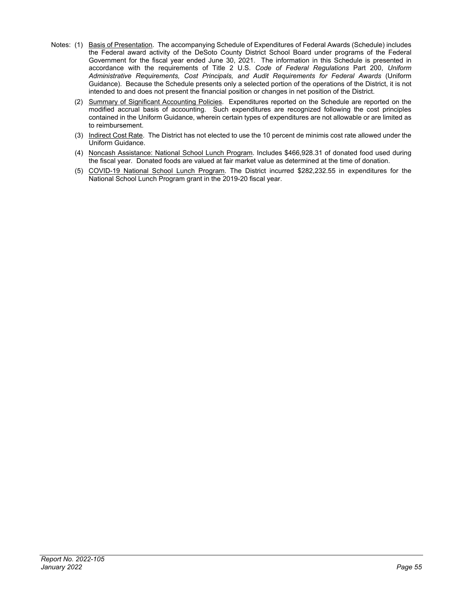- Notes: (1) Basis of Presentation. The accompanying Schedule of Expenditures of Federal Awards (Schedule) includes the Federal award activity of the DeSoto County District School Board under programs of the Federal Government for the fiscal year ended June 30, 2021. The information in this Schedule is presented in accordance with the requirements of Title 2 U.S. *Code of Federal Regulations* Part 200, *Uniform Administrative Requirements, Cost Principals, and Audit Requirements for Federal Awards* (Uniform Guidance). Because the Schedule presents only a selected portion of the operations of the District, it is not intended to and does not present the financial position or changes in net position of the District.
	- (2) Summary of Significant Accounting Policies. Expenditures reported on the Schedule are reported on the modified accrual basis of accounting. Such expenditures are recognized following the cost principles contained in the Uniform Guidance, wherein certain types of expenditures are not allowable or are limited as to reimbursement.
	- (3) Indirect Cost Rate. The District has not elected to use the 10 percent de minimis cost rate allowed under the Uniform Guidance.
	- (4) Noncash Assistance: National School Lunch Program. Includes \$466,928.31 of donated food used during the fiscal year. Donated foods are valued at fair market value as determined at the time of donation.
	- (5) COVID-19 National School Lunch Program. The District incurred \$282,232.55 in expenditures for the National School Lunch Program grant in the 2019-20 fiscal year.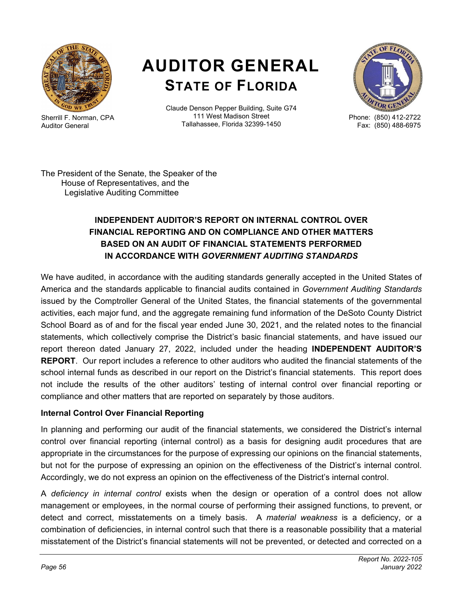<span id="page-61-0"></span>

Sherrill F. Norman, CPA Auditor General

# **AUDITOR GENERAL STATE OF FLORIDA**

Claude Denson Pepper Building, Suite G74 111 West Madison Street Tallahassee, Florida 32399-1450



Phone: (850) 412-2722 Fax: (850) 488-6975

The President of the Senate, the Speaker of the House of Representatives, and the Legislative Auditing Committee

#### **INDEPENDENT AUDITOR'S REPORT ON INTERNAL CONTROL OVER FINANCIAL REPORTING AND ON COMPLIANCE AND OTHER MATTERS BASED ON AN AUDIT OF FINANCIAL STATEMENTS PERFORMED IN ACCORDANCE WITH** *GOVERNMENT AUDITING STANDARDS*

We have audited, in accordance with the auditing standards generally accepted in the United States of America and the standards applicable to financial audits contained in *Government Auditing Standards* issued by the Comptroller General of the United States, the financial statements of the governmental activities, each major fund, and the aggregate remaining fund information of the DeSoto County District School Board as of and for the fiscal year ended June 30, 2021, and the related notes to the financial statements, which collectively comprise the District's basic financial statements, and have issued our report thereon dated January 27, 2022, included under the heading **INDEPENDENT AUDITOR'S REPORT**.Our report includes a reference to other auditors who audited the financial statements of the school internal funds as described in our report on the District's financial statements. This report does not include the results of the other auditors' testing of internal control over financial reporting or compliance and other matters that are reported on separately by those auditors.

#### **Internal Control Over Financial Reporting**

In planning and performing our audit of the financial statements, we considered the District's internal control over financial reporting (internal control) as a basis for designing audit procedures that are appropriate in the circumstances for the purpose of expressing our opinions on the financial statements, but not for the purpose of expressing an opinion on the effectiveness of the District's internal control. Accordingly, we do not express an opinion on the effectiveness of the District's internal control.

A *deficiency in internal control* exists when the design or operation of a control does not allow management or employees, in the normal course of performing their assigned functions, to prevent, or detect and correct, misstatements on a timely basis. A *material weakness* is a deficiency, or a combination of deficiencies, in internal control such that there is a reasonable possibility that a material misstatement of the District's financial statements will not be prevented, or detected and corrected on a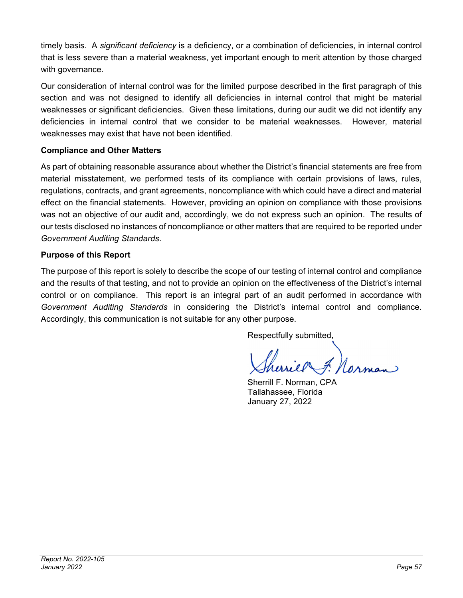timely basis. A *significant deficiency* is a deficiency, or a combination of deficiencies, in internal control that is less severe than a material weakness, yet important enough to merit attention by those charged with governance.

Our consideration of internal control was for the limited purpose described in the first paragraph of this section and was not designed to identify all deficiencies in internal control that might be material weaknesses or significant deficiencies. Given these limitations, during our audit we did not identify any deficiencies in internal control that we consider to be material weaknesses. However, material weaknesses may exist that have not been identified.

#### **Compliance and Other Matters**

As part of obtaining reasonable assurance about whether the District's financial statements are free from material misstatement, we performed tests of its compliance with certain provisions of laws, rules, regulations, contracts, and grant agreements, noncompliance with which could have a direct and material effect on the financial statements. However, providing an opinion on compliance with those provisions was not an objective of our audit and, accordingly, we do not express such an opinion. The results of our tests disclosed no instances of noncompliance or other matters that are required to be reported under *Government Auditing Standards*.

#### **Purpose of this Report**

The purpose of this report is solely to describe the scope of our testing of internal control and compliance and the results of that testing, and not to provide an opinion on the effectiveness of the District's internal control or on compliance. This report is an integral part of an audit performed in accordance with *Government Auditing Standards* in considering the District's internal control and compliance. Accordingly, this communication is not suitable for any other purpose.

Respectfully submitted,

Sherrill F. Norman, CPA Tallahassee, Florida January 27, 2022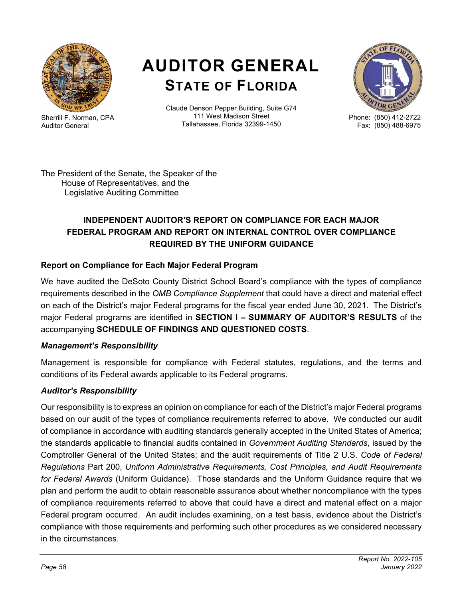<span id="page-63-0"></span>

Sherrill F. Norman, CPA Auditor General

# **AUDITOR GENERAL STATE OF FLORIDA**

Claude Denson Pepper Building, Suite G74 111 West Madison Street Tallahassee, Florida 32399-1450



Phone: (850) 412-2722 Fax: (850) 488-6975

The President of the Senate, the Speaker of the House of Representatives, and the Legislative Auditing Committee

#### **INDEPENDENT AUDITOR'S REPORT ON COMPLIANCE FOR EACH MAJOR FEDERAL PROGRAM AND REPORT ON INTERNAL CONTROL OVER COMPLIANCE REQUIRED BY THE UNIFORM GUIDANCE**

#### **Report on Compliance for Each Major Federal Program**

We have audited the DeSoto County District School Board's compliance with the types of compliance requirements described in the *OMB Compliance Supplement* that could have a direct and material effect on each of the District's major Federal programs for the fiscal year ended June 30, 2021. The District's major Federal programs are identified in **SECTION I – SUMMARY OF AUDITOR'S RESULTS** of the accompanying **SCHEDULE OF FINDINGS AND QUESTIONED COSTS**.

#### *Management's Responsibility*

Management is responsible for compliance with Federal statutes, regulations, and the terms and conditions of its Federal awards applicable to its Federal programs.

#### *Auditor's Responsibility*

Our responsibility is to express an opinion on compliance for each of the District's major Federal programs based on our audit of the types of compliance requirements referred to above. We conducted our audit of compliance in accordance with auditing standards generally accepted in the United States of America; the standards applicable to financial audits contained in *Government Auditing Standards*, issued by the Comptroller General of the United States; and the audit requirements of Title 2 U.S. *Code of Federal Regulations* Part 200, *Uniform Administrative Requirements, Cost Principles, and Audit Requirements for Federal Awards* (Uniform Guidance). Those standards and the Uniform Guidance require that we plan and perform the audit to obtain reasonable assurance about whether noncompliance with the types of compliance requirements referred to above that could have a direct and material effect on a major Federal program occurred. An audit includes examining, on a test basis, evidence about the District's compliance with those requirements and performing such other procedures as we considered necessary in the circumstances.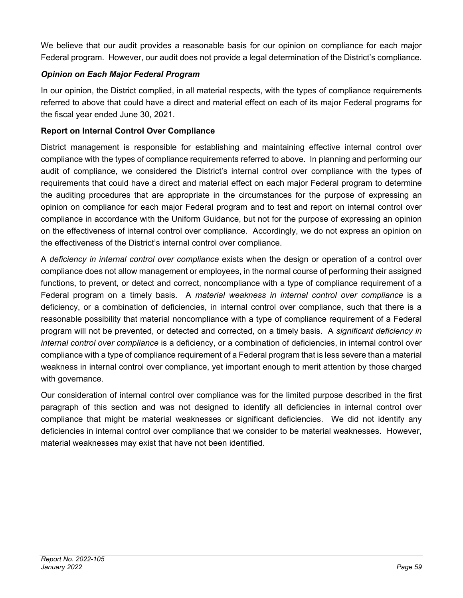We believe that our audit provides a reasonable basis for our opinion on compliance for each major Federal program. However, our audit does not provide a legal determination of the District's compliance.

#### *Opinion on Each Major Federal Program*

In our opinion, the District complied, in all material respects, with the types of compliance requirements referred to above that could have a direct and material effect on each of its major Federal programs for the fiscal year ended June 30, 2021.

#### **Report on Internal Control Over Compliance**

District management is responsible for establishing and maintaining effective internal control over compliance with the types of compliance requirements referred to above. In planning and performing our audit of compliance, we considered the District's internal control over compliance with the types of requirements that could have a direct and material effect on each major Federal program to determine the auditing procedures that are appropriate in the circumstances for the purpose of expressing an opinion on compliance for each major Federal program and to test and report on internal control over compliance in accordance with the Uniform Guidance, but not for the purpose of expressing an opinion on the effectiveness of internal control over compliance. Accordingly, we do not express an opinion on the effectiveness of the District's internal control over compliance.

A *deficiency in internal control over compliance* exists when the design or operation of a control over compliance does not allow management or employees, in the normal course of performing their assigned functions, to prevent, or detect and correct, noncompliance with a type of compliance requirement of a Federal program on a timely basis. A *material weakness in internal control over compliance* is a deficiency, or a combination of deficiencies, in internal control over compliance, such that there is a reasonable possibility that material noncompliance with a type of compliance requirement of a Federal program will not be prevented, or detected and corrected, on a timely basis. A *significant deficiency in internal control over compliance* is a deficiency, or a combination of deficiencies, in internal control over compliance with a type of compliance requirement of a Federal program that is less severe than a material weakness in internal control over compliance, yet important enough to merit attention by those charged with governance.

Our consideration of internal control over compliance was for the limited purpose described in the first paragraph of this section and was not designed to identify all deficiencies in internal control over compliance that might be material weaknesses or significant deficiencies. We did not identify any deficiencies in internal control over compliance that we consider to be material weaknesses. However, material weaknesses may exist that have not been identified.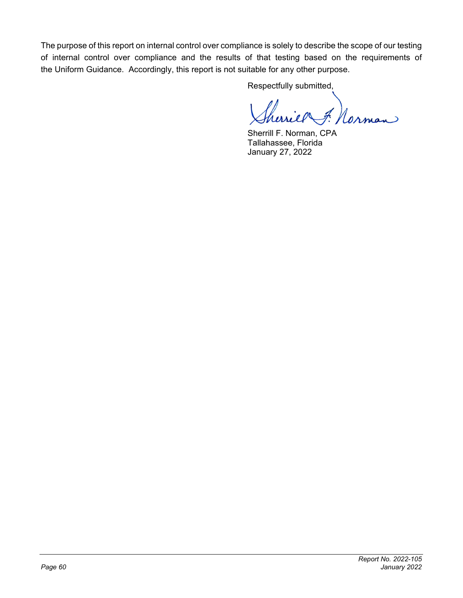The purpose of this report on internal control over compliance is solely to describe the scope of our testing of internal control over compliance and the results of that testing based on the requirements of the Uniform Guidance. Accordingly, this report is not suitable for any other purpose.

Respectfully submitted,

F. Norman

Sherrill F. Norman, CPA Tallahassee, Florida January 27, 2022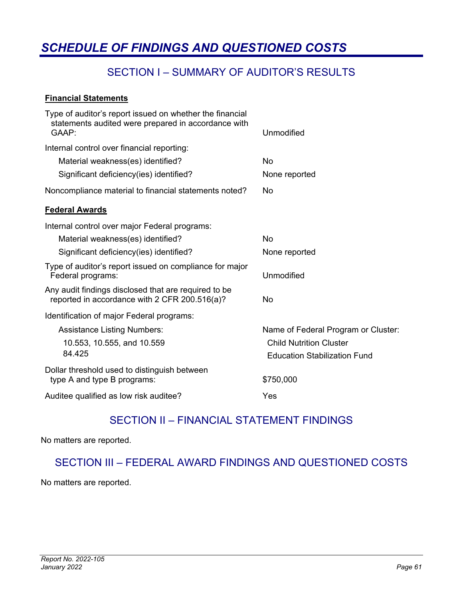# <span id="page-66-0"></span>*SCHEDULE OF FINDINGS AND QUESTIONED COSTS*

### SECTION I – SUMMARY OF AUDITOR'S RESULTS

#### **Financial Statements**

| Type of auditor's report issued on whether the financial<br>statements audited were prepared in accordance with<br>GAAP: | Unmodified                                                                                                   |
|--------------------------------------------------------------------------------------------------------------------------|--------------------------------------------------------------------------------------------------------------|
| Internal control over financial reporting:                                                                               |                                                                                                              |
| Material weakness(es) identified?                                                                                        | No                                                                                                           |
| Significant deficiency(ies) identified?                                                                                  | None reported                                                                                                |
| Noncompliance material to financial statements noted?                                                                    | No                                                                                                           |
| <b>Federal Awards</b>                                                                                                    |                                                                                                              |
| Internal control over major Federal programs:                                                                            |                                                                                                              |
| Material weakness(es) identified?                                                                                        | <b>No</b>                                                                                                    |
| Significant deficiency(ies) identified?                                                                                  | None reported                                                                                                |
| Type of auditor's report issued on compliance for major<br>Federal programs:                                             | Unmodified                                                                                                   |
| Any audit findings disclosed that are required to be<br>reported in accordance with 2 CFR 200.516(a)?                    | No                                                                                                           |
| Identification of major Federal programs:                                                                                |                                                                                                              |
| <b>Assistance Listing Numbers:</b><br>10.553, 10.555, and 10.559<br>84.425                                               | Name of Federal Program or Cluster:<br><b>Child Nutrition Cluster</b><br><b>Education Stabilization Fund</b> |
| Dollar threshold used to distinguish between<br>type A and type B programs:                                              | \$750,000                                                                                                    |
| Auditee qualified as low risk auditee?                                                                                   | Yes                                                                                                          |

#### SECTION II – FINANCIAL STATEMENT FINDINGS

No matters are reported.

#### SECTION III – FEDERAL AWARD FINDINGS AND QUESTIONED COSTS

No matters are reported.